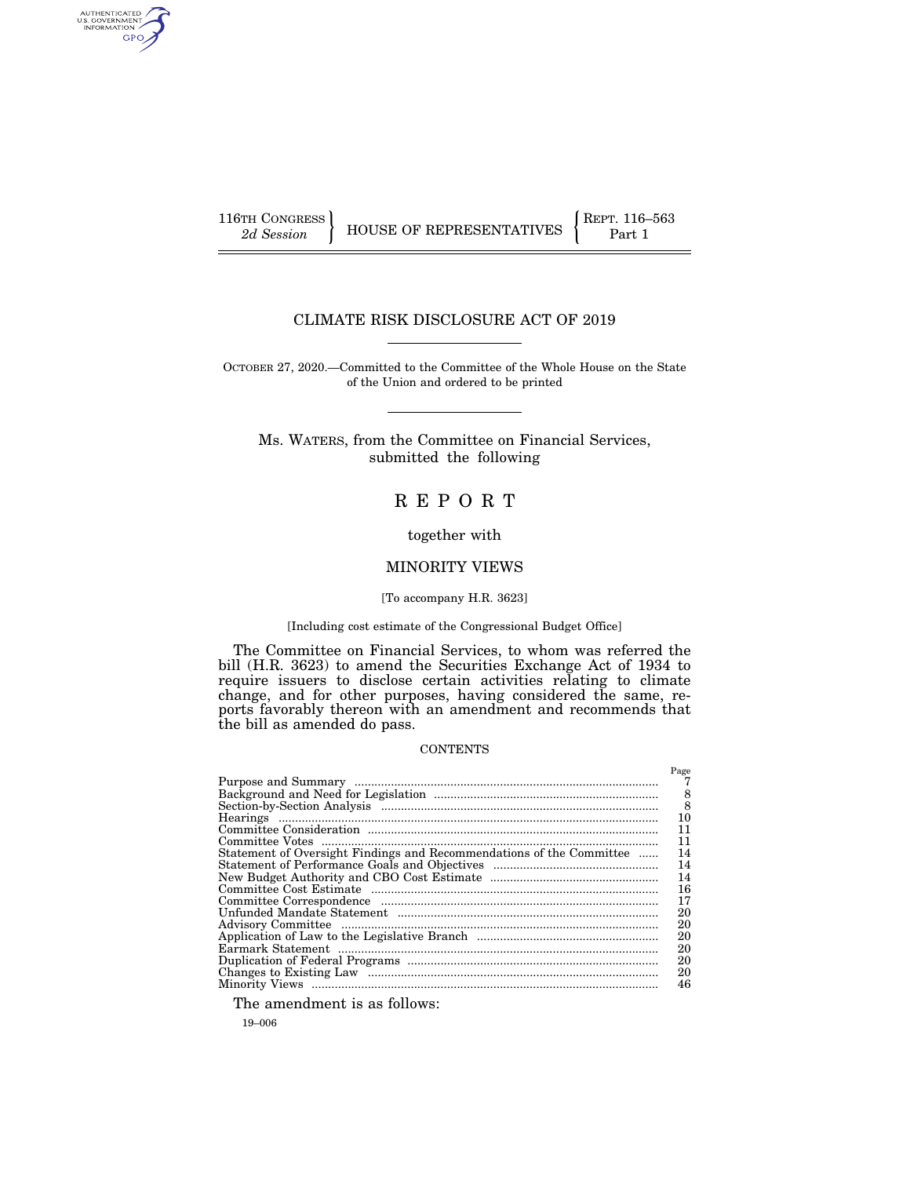AUTHENTICATED<br>U.S. GOVERNMENT<br>INFORMATION GPO

116TH CONGRESS **REPRESENTATIVES** REPRESENTATIVES **Part 1** 

# CLIMATE RISK DISCLOSURE ACT OF 2019

OCTOBER 27, 2020.—Committed to the Committee of the Whole House on the State of the Union and ordered to be printed

Ms. WATERS, from the Committee on Financial Services, submitted the following

# R E P O R T

## together with

# MINORITY VIEWS

## [To accompany H.R. 3623]

#### [Including cost estimate of the Congressional Budget Office]

The Committee on Financial Services, to whom was referred the bill (H.R. 3623) to amend the Securities Exchange Act of 1934 to require issuers to disclose certain activities relating to climate change, and for other purposes, having considered the same, reports favorably thereon with an amendment and recommends that the bill as amended do pass.

#### **CONTENTS**

|                                                                      | Page |
|----------------------------------------------------------------------|------|
|                                                                      |      |
|                                                                      | 8    |
|                                                                      | 8    |
|                                                                      | 10   |
|                                                                      | 11   |
|                                                                      | 11   |
| Statement of Oversight Findings and Recommendations of the Committee | 14   |
|                                                                      | 14   |
|                                                                      | 14   |
|                                                                      | 16   |
|                                                                      | 17   |
|                                                                      | 20   |
|                                                                      | 20   |
|                                                                      | 20   |
|                                                                      | 20   |
|                                                                      | 20   |
|                                                                      | 20   |
|                                                                      | 46   |

The amendment is as follows:

19–006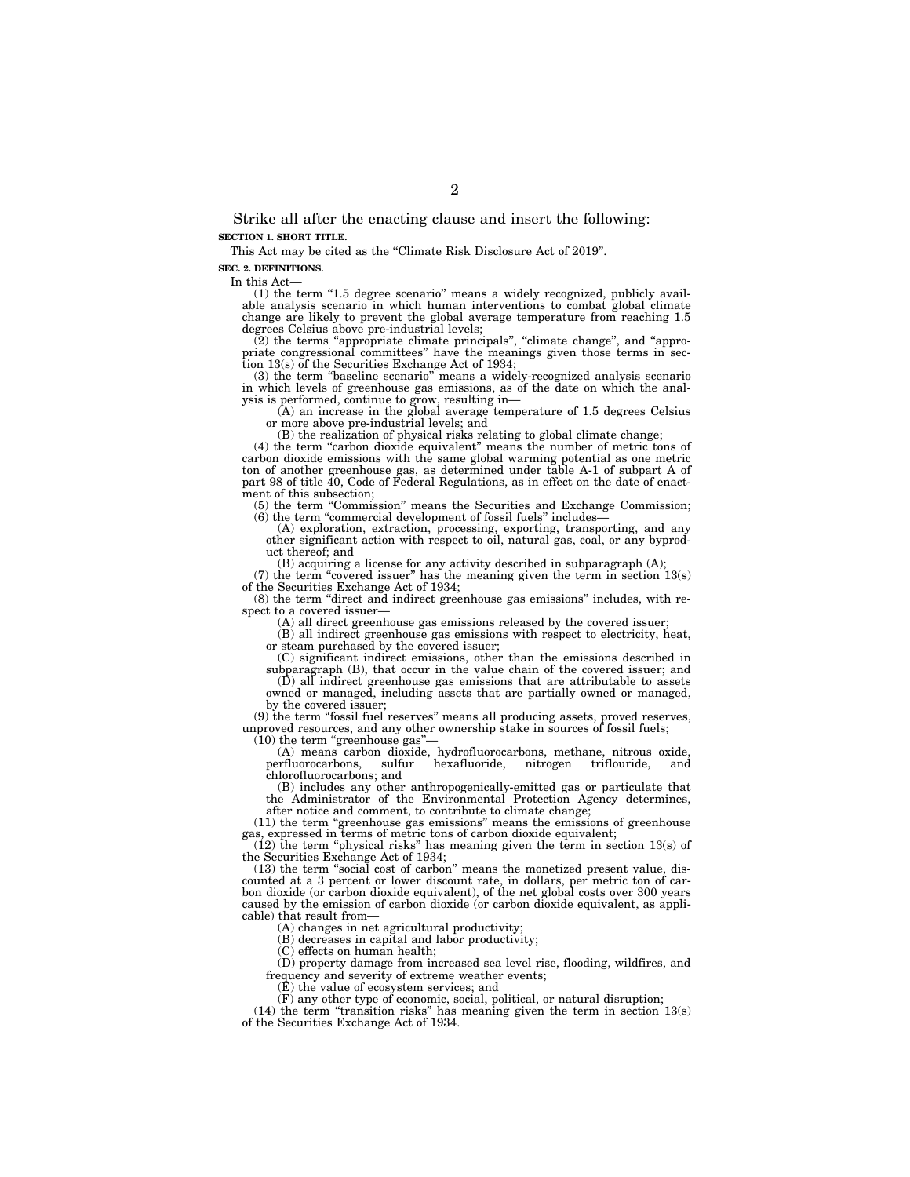Strike all after the enacting clause and insert the following: **SECTION 1. SHORT TITLE.** 

This Act may be cited as the ''Climate Risk Disclosure Act of 2019''.

**SEC. 2. DEFINITIONS.** 

In this Act—

 $(1)$  the term "1.5 degree scenario" means a widely recognized, publicly available analysis scenario in which human interventions to combat global climate change are likely to prevent the global average temperature from reaching 1.5 degrees Celsius above pre-industrial levels;

(2) the terms ''appropriate climate principals'', ''climate change'', and ''appropriate congressional committees" have the meanings given those terms in section 13(s) of the Securities Exchange Act of 1934;

(3) the term ''baseline scenario'' means a widely-recognized analysis scenario in which levels of greenhouse gas emissions, as of the date on which the analysis is performed, continue to grow, resulting in—

(A) an increase in the global average temperature of 1.5 degrees Celsius or more above pre-industrial levels; and

(B) the realization of physical risks relating to global climate change; (4) the term ''carbon dioxide equivalent'' means the number of metric tons of carbon dioxide emissions with the same global warming potential as one metric ton of another greenhouse gas, as determined under table A-1 of subpart A of part 98 of title 40, Code of Federal Regulations, as in effect on the date of enactment of this subsection;

(5) the term ''Commission'' means the Securities and Exchange Commission; (6) the term ''commercial development of fossil fuels'' includes—

(A) exploration, extraction, processing, exporting, transporting, and any other significant action with respect to oil, natural gas, coal, or any byproduct thereof; and

(B) acquiring a license for any activity described in subparagraph (A);

 $(7)$  the term "covered issuer" has the meaning given the term in section  $13(s)$ of the Securities Exchange Act of 1934;

(8) the term ''direct and indirect greenhouse gas emissions'' includes, with respect to a covered issuer-

(A) all direct greenhouse gas emissions released by the covered issuer;

(B) all indirect greenhouse gas emissions with respect to electricity, heat, or steam purchased by the covered issuer;

(C) significant indirect emissions, other than the emissions described in subparagraph (B), that occur in the value chain of the covered issuer; and (D) all indirect greenhouse gas emissions that are attributable to assets

owned or managed, including assets that are partially owned or managed, by the covered issuer;

(9) the term "fossil fuel reserves" means all producing assets, proved reserves, unproved resources, and any other ownership stake in sources of fossil fuels;

 $(10)$  the term "greenhouse gas"

(A) means carbon dioxide, hydrofluorocarbons, methane, nitrous oxide, perfluorocarbons, sulfur hexafluoride, nitrogen triflouride, and chlorofluorocarbons; and

(B) includes any other anthropogenically-emitted gas or particulate that the Administrator of the Environmental Protection Agency determines, after notice and comment, to contribute to climate change;<br>(11) the term "greenhouse gas emissions" means the emissions of greenhouse

gas, expressed in terms of metric tons of carbon dioxide equivalent;<br>(12) the term "physical risks" has meaning given the term in section 13(s) of

the Securities Exchange Act of 1934;

(13) the term ''social cost of carbon'' means the monetized present value, discounted at a 3 percent or lower discount rate, in dollars, per metric ton of carbon dioxide (or carbon dioxide equivalent), of the net global costs over 300 years caused by the emission of carbon dioxide (or carbon dioxide equivalent, as applicable) that result from—

(A) changes in net agricultural productivity;

(B) decreases in capital and labor productivity;

(C) effects on human health;

(D) property damage from increased sea level rise, flooding, wildfires, and frequency and severity of extreme weather events;

(E) the value of ecosystem services; and

(F) any other type of economic, social, political, or natural disruption;

 $(14)$  the term "transition risks" has meaning given the term in section  $13(s)$ of the Securities Exchange Act of 1934.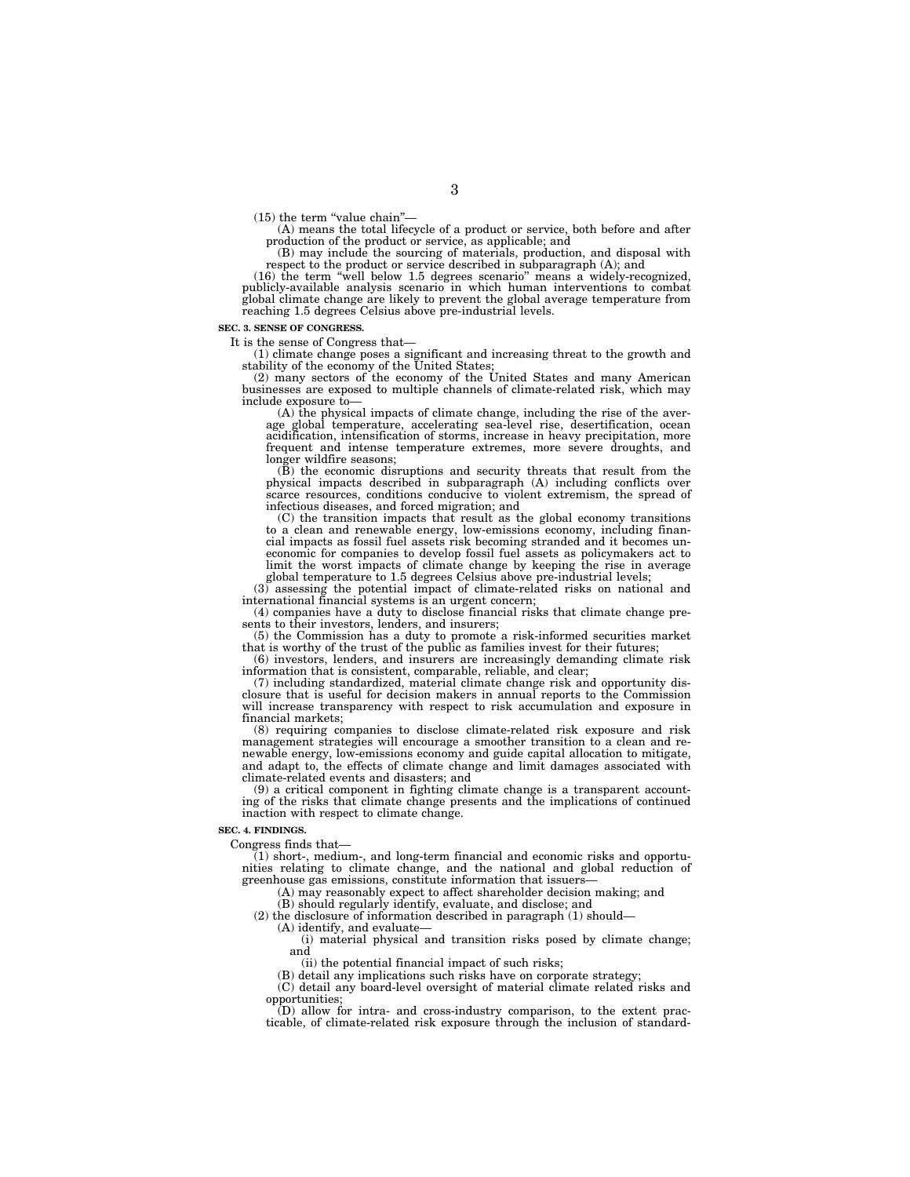(15) the term "value chain"-

(A) means the total lifecycle of a product or service, both before and after production of the product or service, as applicable; and

(B) may include the sourcing of materials, production, and disposal with respect to the product or service described in subparagraph (A); and

(16) the term ''well below 1.5 degrees scenario'' means a widely-recognized, publicly-available analysis scenario in which human interventions to combat global climate change are likely to prevent the global average temperature from reaching 1.5 degrees Celsius above pre-industrial levels.

#### **SEC. 3. SENSE OF CONGRESS.**

It is the sense of Congress that—

(1) climate change poses a significant and increasing threat to the growth and stability of the economy of the United States;

(2) many sectors of the economy of the United States and many American businesses are exposed to multiple channels of climate-related risk, which may include exposure to—

(A) the physical impacts of climate change, including the rise of the average global temperature, accelerating sea-level rise, desertification, ocean acidification, intensification of storms, increase in heavy precipitatio frequent and intense temperature extremes, more severe droughts, and longer wildfire seasons:

(B) the economic disruptions and security threats that result from the physical impacts described in subparagraph (A) including conflicts over scarce resources, conditions conducive to violent extremism, the spread of infectious diseases, and forced migration; and

(C) the transition impacts that result as the global economy transitions to a clean and renewable energy, low-emissions economy, including financial impacts as fossil fuel assets risk becoming stranded and it becomes uneconomic for companies to develop fossil fuel assets as policymakers act to limit the worst impacts of climate change by keeping the rise in average global temperature to 1.5 degrees Celsius above pre-industrial levels;

(3) assessing the potential impact of climate-related risks on national and international financial systems is an urgent concern;

(4) companies have a duty to disclose financial risks that climate change presents to their investors, lenders, and insurers;

(5) the Commission has a duty to promote a risk-informed securities market that is worthy of the trust of the public as families invest for their futures;

(6) investors, lenders, and insurers are increasingly demanding climate risk information that is consistent, comparable, reliable, and clear;

(7) including standardized, material climate change risk and opportunity disclosure that is useful for decision makers in annual reports to the Commission will increase transparency with respect to risk accumulation and exposure in financial markets;

(8) requiring companies to disclose climate-related risk exposure and risk management strategies will encourage a smoother transition to a clean and renewable energy, low-emissions economy and guide capital allocation to mitigate, and adapt to, the effects of climate change and limit damages associated with climate-related events and disasters; and

(9) a critical component in fighting climate change is a transparent accounting of the risks that climate change presents and the implications of continued inaction with respect to climate change.

#### **SEC. 4. FINDINGS.**

Congress finds that—

(1) short-, medium-, and long-term financial and economic risks and opportunities relating to climate change, and the national and global reduction of greenhouse gas emissions, constitute information that issuers—

(A) may reasonably expect to affect shareholder decision making; and

(B) should regularly identify, evaluate, and disclose; and

(2) the disclosure of information described in paragraph (1) should—

(A) identify, and evaluate—

(i) material physical and transition risks posed by climate change; and

(ii) the potential financial impact of such risks;

(B) detail any implications such risks have on corporate strategy;

(C) detail any board-level oversight of material climate related risks and opportunities;

(D) allow for intra- and cross-industry comparison, to the extent practicable, of climate-related risk exposure through the inclusion of standard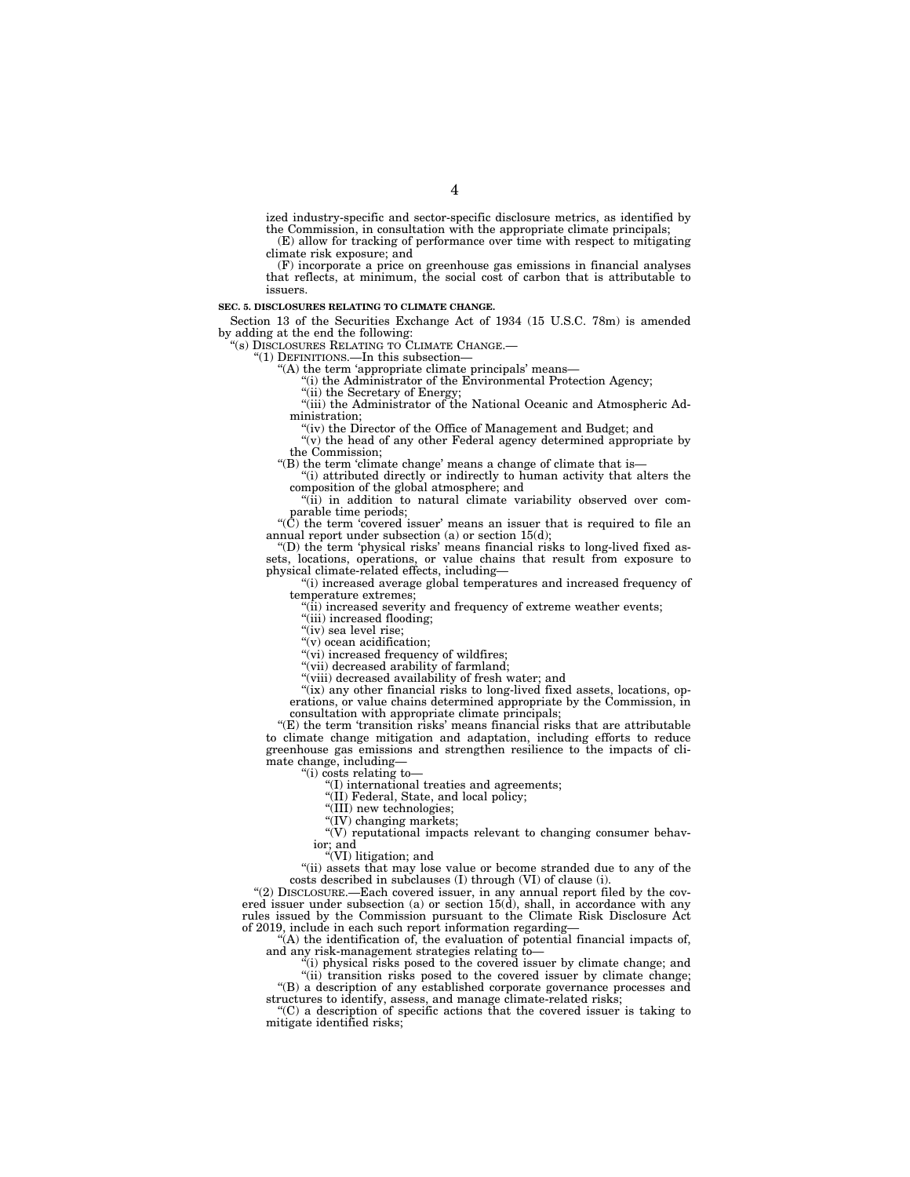ized industry-specific and sector-specific disclosure metrics, as identified by the Commission, in consultation with the appropriate climate principals;

(E) allow for tracking of performance over time with respect to mitigating climate risk exposure; and

(F) incorporate a price on greenhouse gas emissions in financial analyses that reflects, at minimum, the social cost of carbon that is attributable to issuers.

#### **SEC. 5. DISCLOSURES RELATING TO CLIMATE CHANGE.**

Section 13 of the Securities Exchange Act of 1934 (15 U.S.C. 78m) is amended by adding at the end the following:

''(s) DISCLOSURES RELATING TO CLIMATE CHANGE.—

''(1) DEFINITIONS.—In this subsection—

''(A) the term 'appropriate climate principals' means—

''(i) the Administrator of the Environmental Protection Agency;

''(ii) the Secretary of Energy;

''(iii) the Administrator of the National Oceanic and Atmospheric Administration;

"(iv) the Director of the Office of Management and Budget; and

 $\mathbf{w}(v)$  the head of any other Federal agency determined appropriate by the Commission;

''(B) the term 'climate change' means a change of climate that is—

''(i) attributed directly or indirectly to human activity that alters the composition of the global atmosphere; and

"(ii) in addition to natural climate variability observed over comparable time periods;

" $(\overline{C})$  the term 'covered issuer' means an issuer that is required to file an annual report under subsection (a) or section 15(d);

''(D) the term 'physical risks' means financial risks to long-lived fixed assets, locations, operations, or value chains that result from exposure to physical climate-related effects, including—

''(i) increased average global temperatures and increased frequency of temperature extremes;

"(ii) increased severity and frequency of extreme weather events;

"(iii) increased flooding;

"(iv) sea level rise;

''(v) ocean acidification;

"(vi) increased frequency of wildfires;

"(vii) decreased arability of farmland;

''(viii) decreased availability of fresh water; and

"(ix) any other financial risks to long-lived fixed assets, locations, operations, or value chains determined appropriate by the Commission, in consultation with appropriate climate principals;

''(E) the term 'transition risks' means financial risks that are attributable to climate change mitigation and adaptation, including efforts to reduce greenhouse gas emissions and strengthen resilience to the impacts of climate change, including—

 $(i)$  costs relating to-

''(I) international treaties and agreements;

"(II) Federal, State, and local policy;

''(III) new technologies;

''(IV) changing markets;

''(V) reputational impacts relevant to changing consumer behavior; and

''(VI) litigation; and

''(ii) assets that may lose value or become stranded due to any of the costs described in subclauses (I) through (VI) of clause (i).

''(2) DISCLOSURE.—Each covered issuer, in any annual report filed by the covered issuer under subsection (a) or section 15(d), shall, in accordance with any rules issued by the Commission pursuant to the Climate Risk Disclosure Act of 2019, include in each such report information regarding—

'(A) the identification of, the evaluation of potential financial impacts of, and any risk-management strategies relating to—

(i) physical risks posed to the covered issuer by climate change; and "(ii) transition risks posed to the covered issuer by climate change; ''(B) a description of any established corporate governance processes and structures to identify, assess, and manage climate-related risks;

''(C) a description of specific actions that the covered issuer is taking to mitigate identified risks;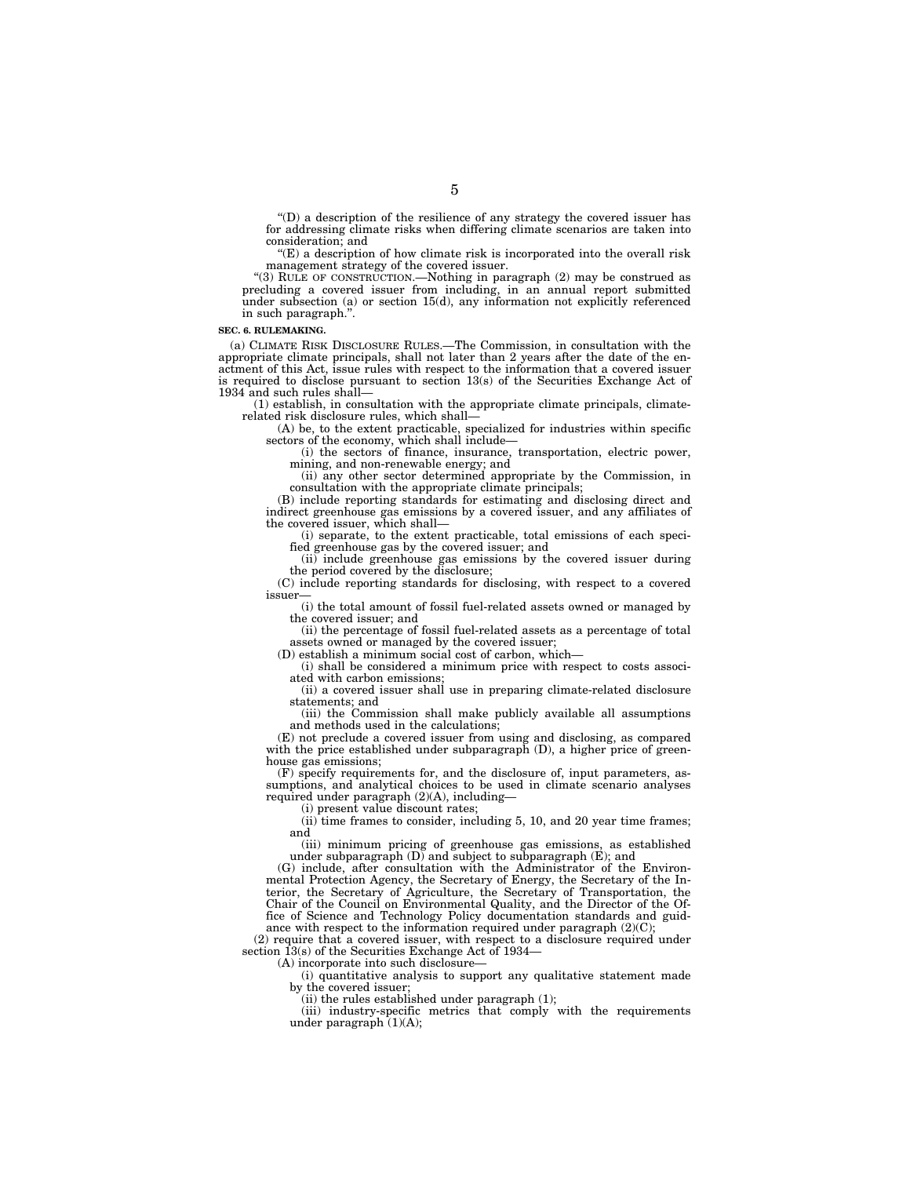''(D) a description of the resilience of any strategy the covered issuer has for addressing climate risks when differing climate scenarios are taken into consideration; and

''(E) a description of how climate risk is incorporated into the overall risk management strategy of the covered issuer.

''(3) RULE OF CONSTRUCTION.—Nothing in paragraph (2) may be construed as precluding a covered issuer from including, in an annual report submitted under subsection (a) or section 15(d), any information not explicitly referenced in such paragraph.''.

#### **SEC. 6. RULEMAKING.**

(a) CLIMATE RISK DISCLOSURE RULES.—The Commission, in consultation with the appropriate climate principals, shall not later than 2 years after the date of the enactment of this Act, issue rules with respect to the information that a covered issuer is required to disclose pursuant to section 13(s) of the Securities Exchange Act of 1934 and such rules shall—

(1) establish, in consultation with the appropriate climate principals, climaterelated risk disclosure rules, which shall—

(A) be, to the extent practicable, specialized for industries within specific sectors of the economy, which shall include—

(i) the sectors of finance, insurance, transportation, electric power, mining, and non-renewable energy; and

(ii) any other sector determined appropriate by the Commission, in consultation with the appropriate climate principals;

(B) include reporting standards for estimating and disclosing direct and indirect greenhouse gas emissions by a covered issuer, and any affiliates of the covered issuer, which shall—

(i) separate, to the extent practicable, total emissions of each specified greenhouse gas by the covered issuer; and

(ii) include greenhouse gas emissions by the covered issuer during the period covered by the disclosure;

(C) include reporting standards for disclosing, with respect to a covered issuer—

(i) the total amount of fossil fuel-related assets owned or managed by the covered issuer; and

(ii) the percentage of fossil fuel-related assets as a percentage of total assets owned or managed by the covered issuer;

(D) establish a minimum social cost of carbon, which—

(i) shall be considered a minimum price with respect to costs associated with carbon emissions;

(ii) a covered issuer shall use in preparing climate-related disclosure statements; and

(iii) the Commission shall make publicly available all assumptions and methods used in the calculations;

(E) not preclude a covered issuer from using and disclosing, as compared with the price established under subparagraph  $(D)$ , a higher price of greenhouse gas emissions;

(F) specify requirements for, and the disclosure of, input parameters, assumptions, and analytical choices to be used in climate scenario analyses required under paragraph (2)(A), including—

(i) present value discount rates;

(ii) time frames to consider, including 5, 10, and 20 year time frames; and

(iii) minimum pricing of greenhouse gas emissions, as established under subparagraph  $(D)$  and subject to subparagraph  $(E)$ ; and

(G) include, after consultation with the Administrator of the Environmental Protection Agency, the Secretary of Energy, the Secretary of the Interior, the Secretary of Agriculture, the Secretary of Transportation, the Chair of the Council on Environmental Quality, and the Director of the Office of Science and Technology Policy documentation standards and guidance with respect to the information required under paragraph (2)(C);

(2) require that a covered issuer, with respect to a disclosure required under section 13(s) of the Securities Exchange Act of 1934—

(A) incorporate into such disclosure—

(i) quantitative analysis to support any qualitative statement made by the covered issuer;

(ii) the rules established under paragraph (1);

(iii) industry-specific metrics that comply with the requirements under paragraph  $(1)(A)$ ;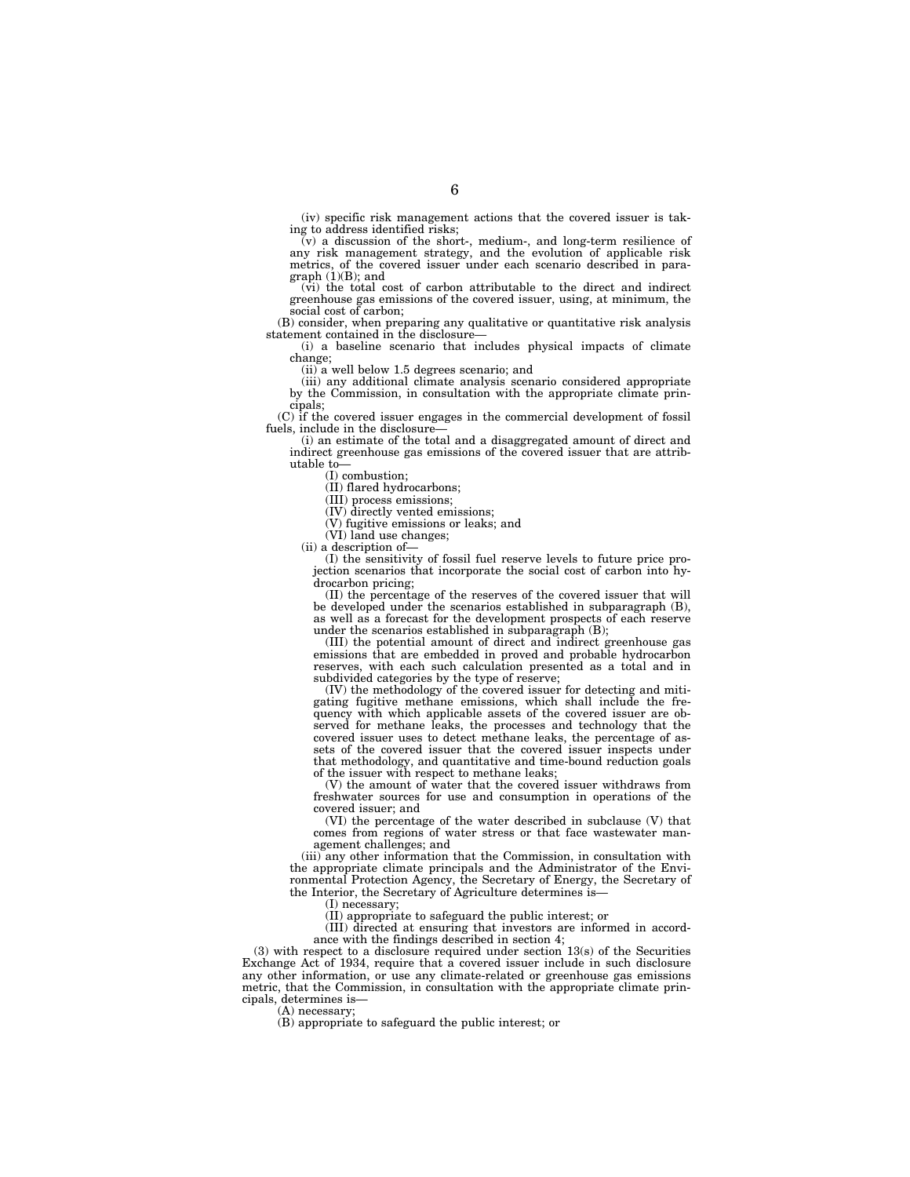(iv) specific risk management actions that the covered issuer is taking to address identified risks;

(v) a discussion of the short-, medium-, and long-term resilience of any risk management strategy, and the evolution of applicable risk metrics, of the covered issuer under each scenario described in paragraph  $(1)(B)$ ; and

(vi) the total cost of carbon attributable to the direct and indirect greenhouse gas emissions of the covered issuer, using, at minimum, the social cost of carbon;

(B) consider, when preparing any qualitative or quantitative risk analysis statement contained in the disclosure—

(i) a baseline scenario that includes physical impacts of climate change;

(ii) a well below 1.5 degrees scenario; and

(iii) any additional climate analysis scenario considered appropriate by the Commission, in consultation with the appropriate climate principals;

(C) if the covered issuer engages in the commercial development of fossil fuels, include in the disclosure—

(i) an estimate of the total and a disaggregated amount of direct and indirect greenhouse gas emissions of the covered issuer that are attributable to—

(I) combustion;

(II) flared hydrocarbons;

(III) process emissions;

(IV) directly vented emissions;

(V) fugitive emissions or leaks; and

(VI) land use changes;

(ii) a description of—

(I) the sensitivity of fossil fuel reserve levels to future price projection scenarios that incorporate the social cost of carbon into hydrocarbon pricing;

(II) the percentage of the reserves of the covered issuer that will be developed under the scenarios established in subparagraph (B), as well as a forecast for the development prospects of each reserve under the scenarios established in subparagraph (B);

(III) the potential amount of direct and indirect greenhouse gas emissions that are embedded in proved and probable hydrocarbon reserves, with each such calculation presented as a total and in subdivided categories by the type of reserve;

(IV) the methodology of the covered issuer for detecting and mitigating fugitive methane emissions, which shall include the frequency with which applicable assets of the covered issuer are observed for methane leaks, the processes and technology that the covered issuer uses to detect methane leaks, the percentage of assets of the covered issuer that the covered issuer inspects under that methodology, and quantitative and time-bound reduction goals of the issuer with respect to methane leaks;

(V) the amount of water that the covered issuer withdraws from freshwater sources for use and consumption in operations of the covered issuer; and

(VI) the percentage of the water described in subclause (V) that comes from regions of water stress or that face wastewater management challenges; and

(iii) any other information that the Commission, in consultation with the appropriate climate principals and the Administrator of the Environmental Protection Agency, the Secretary of Energy, the Secretary of the Interior, the Secretary of Agriculture determines is—

(I) necessary;

(II) appropriate to safeguard the public interest; or

(III) directed at ensuring that investors are informed in accordance with the findings described in section 4;

(3) with respect to a disclosure required under section 13(s) of the Securities Exchange Act of 1934, require that a covered issuer include in such disclosure any other information, or use any climate-related or greenhouse gas emissions metric, that the Commission, in consultation with the appropriate climate principals, determines is—

(A) necessary;

(B) appropriate to safeguard the public interest; or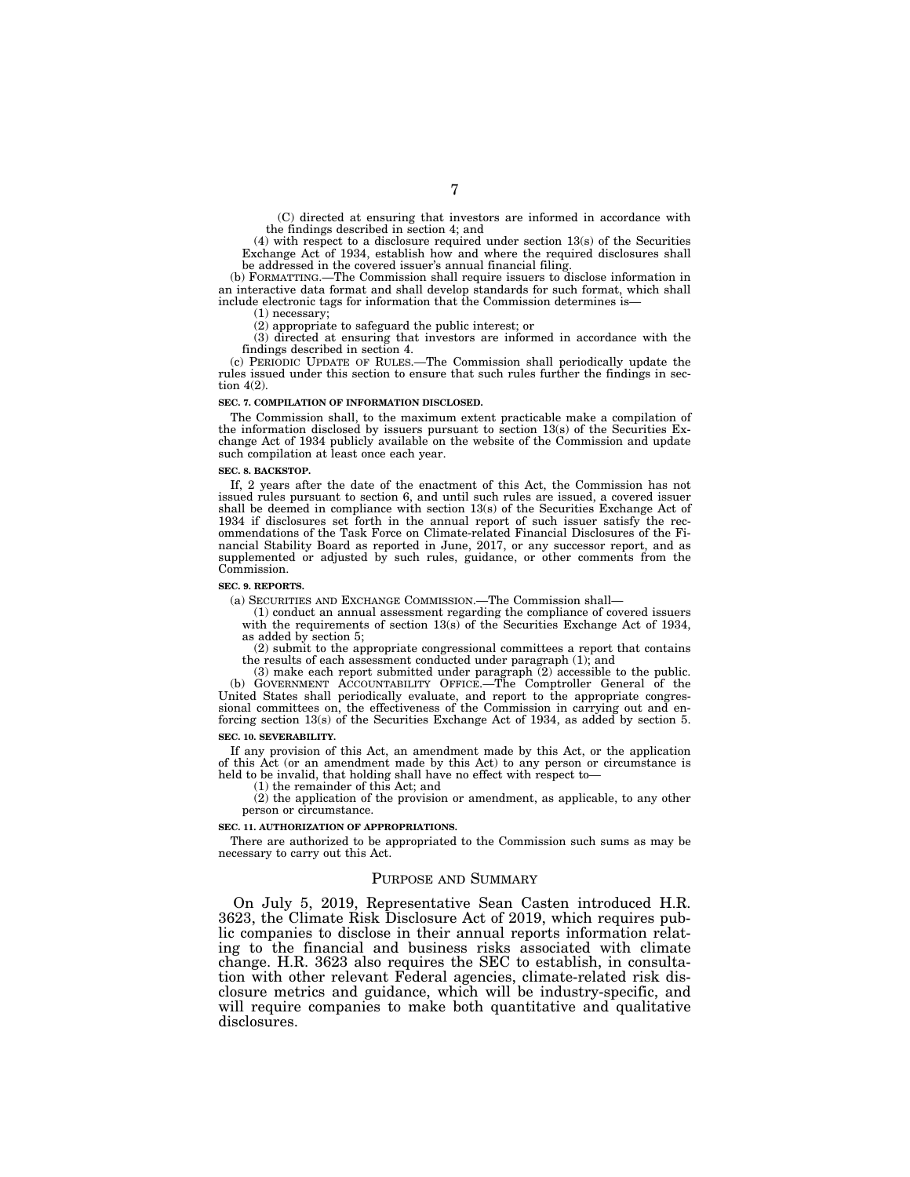(C) directed at ensuring that investors are informed in accordance with the findings described in section 4; and

(4) with respect to a disclosure required under section 13(s) of the Securities Exchange Act of 1934, establish how and where the required disclosures shall be addressed in the covered issuer's annual financial filing.

(b) FORMATTING.—The Commission shall require issuers to disclose information in an interactive data format and shall develop standards for such format, which shall include electronic tags for information that the Commission determines is-

(1) necessary;

(2) appropriate to safeguard the public interest; or

(3) directed at ensuring that investors are informed in accordance with the findings described in section 4.

(c) PERIODIC UPDATE OF RULES.—The Commission shall periodically update the rules issued under this section to ensure that such rules further the findings in section  $4(2)$ .

#### **SEC. 7. COMPILATION OF INFORMATION DISCLOSED.**

The Commission shall, to the maximum extent practicable make a compilation of the information disclosed by issuers pursuant to section 13(s) of the Securities Exchange Act of 1934 publicly available on the website of the Commission and update such compilation at least once each year.

#### **SEC. 8. BACKSTOP.**

If, 2 years after the date of the enactment of this Act, the Commission has not issued rules pursuant to section 6, and until such rules are issued, a covered issuer shall be deemed in compliance with section  $13(s)$  of the Securities Exchange Act of 1934 if disclosures set forth in the annual report of such issuer satisfy the recommendations of the Task Force on Climate-related Financial Disclosures of the Financial Stability Board as reported in June, 2017, or any successor report, and as supplemented or adjusted by such rules, guidance, or other comments from the Commission.

#### **SEC. 9. REPORTS.**

(a) SECURITIES AND EXCHANGE COMMISSION.—The Commission shall—

(1) conduct an annual assessment regarding the compliance of covered issuers with the requirements of section  $13(s)$  of the Securities Exchange Act of 1934, as added by section 5;

(2) submit to the appropriate congressional committees a report that contains the results of each assessment conducted under paragraph (1); and

(3) make each report submitted under paragraph (2) accessible to the public. (b) GOVERNMENT ACCOUNTABILITY OFFICE.—The Comptroller General of the United States shall periodically evaluate, and report to the appropriate congressional committees on, the effectiveness of the Commission in carrying out and enforcing section 13(s) of the Securities Exchange Act of 1934, as added by section 5.

#### **SEC. 10. SEVERABILITY.**

If any provision of this Act, an amendment made by this Act, or the application of this Act (or an amendment made by this Act) to any person or circumstance is held to be invalid, that holding shall have no effect with respect to—

(1) the remainder of this Act; and

(2) the application of the provision or amendment, as applicable, to any other person or circumstance.

#### **SEC. 11. AUTHORIZATION OF APPROPRIATIONS.**

There are authorized to be appropriated to the Commission such sums as may be necessary to carry out this Act.

#### PURPOSE AND SUMMARY

On July 5, 2019, Representative Sean Casten introduced H.R. 3623, the Climate Risk Disclosure Act of 2019, which requires public companies to disclose in their annual reports information relating to the financial and business risks associated with climate change. H.R. 3623 also requires the SEC to establish, in consultation with other relevant Federal agencies, climate-related risk disclosure metrics and guidance, which will be industry-specific, and will require companies to make both quantitative and qualitative disclosures.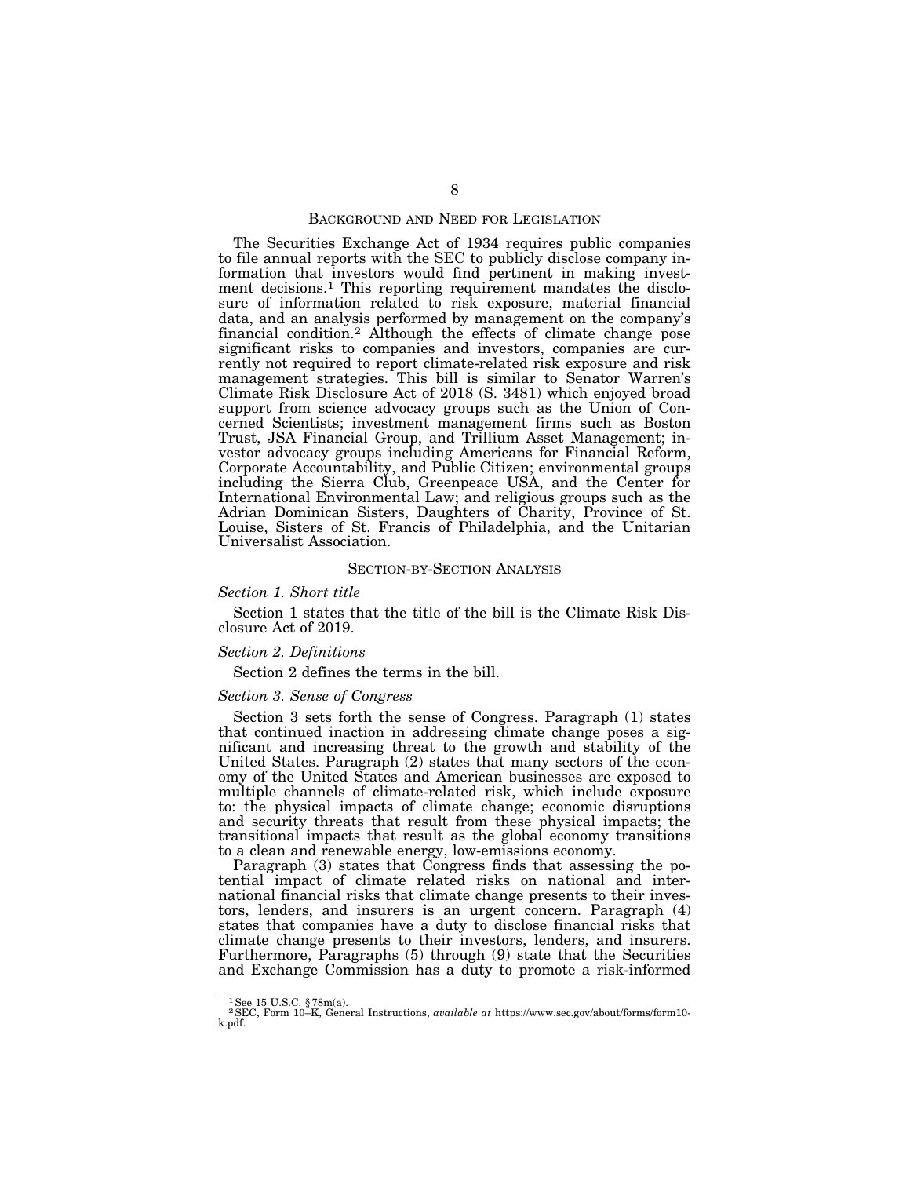#### BACKGROUND AND NEED FOR LEGISLATION

The Securities Exchange Act of 1934 requires public companies to file annual reports with the SEC to publicly disclose company information that investors would find pertinent in making investment decisions.1 This reporting requirement mandates the disclosure of information related to risk exposure, material financial data, and an analysis performed by management on the company's financial condition.2 Although the effects of climate change pose significant risks to companies and investors, companies are currently not required to report climate-related risk exposure and risk management strategies. This bill is similar to Senator Warren's Climate Risk Disclosure Act of 2018 (S. 3481) which enjoyed broad support from science advocacy groups such as the Union of Concerned Scientists; investment management firms such as Boston Trust, JSA Financial Group, and Trillium Asset Management; investor advocacy groups including Americans for Financial Reform, Corporate Accountability, and Public Citizen; environmental groups including the Sierra Club, Greenpeace USA, and the Center for International Environmental Law; and religious groups such as the Adrian Dominican Sisters, Daughters of Charity, Province of St. Louise, Sisters of St. Francis of Philadelphia, and the Unitarian Universalist Association.

#### SECTION-BY-SECTION ANALYSIS

#### *Section 1. Short title*

Section 1 states that the title of the bill is the Climate Risk Disclosure Act of 2019.

#### *Section 2. Definitions*

Section 2 defines the terms in the bill.

#### *Section 3. Sense of Congress*

Section 3 sets forth the sense of Congress. Paragraph (1) states that continued inaction in addressing climate change poses a significant and increasing threat to the growth and stability of the United States. Paragraph (2) states that many sectors of the economy of the United States and American businesses are exposed to multiple channels of climate-related risk, which include exposure to: the physical impacts of climate change; economic disruptions and security threats that result from these physical impacts; the transitional impacts that result as the global economy transitions to a clean and renewable energy, low-emissions economy.

Paragraph (3) states that Congress finds that assessing the potential impact of climate related risks on national and international financial risks that climate change presents to their investors, lenders, and insurers is an urgent concern. Paragraph (4) states that companies have a duty to disclose financial risks that climate change presents to their investors, lenders, and insurers. Furthermore, Paragraphs (5) through (9) state that the Securities and Exchange Commission has a duty to promote a risk-informed

<sup>1</sup>See 15 U.S.C. § 78m(a). 2SEC, Form 10–K, General Instructions, *available at* https://www.sec.gov/about/forms/form10 k.pdf.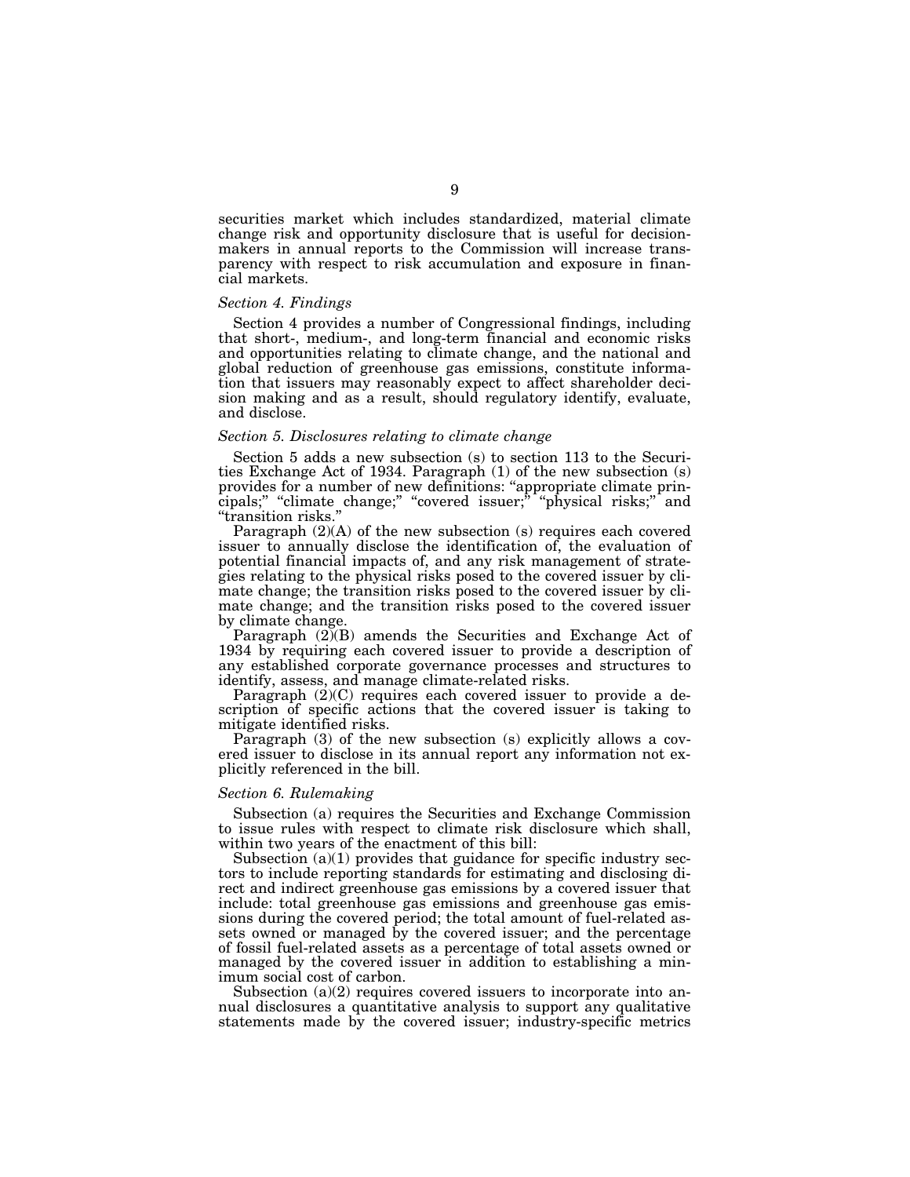securities market which includes standardized, material climate change risk and opportunity disclosure that is useful for decisionmakers in annual reports to the Commission will increase transparency with respect to risk accumulation and exposure in financial markets.

## *Section 4. Findings*

Section 4 provides a number of Congressional findings, including that short-, medium-, and long-term financial and economic risks and opportunities relating to climate change, and the national and global reduction of greenhouse gas emissions, constitute information that issuers may reasonably expect to affect shareholder decision making and as a result, should regulatory identify, evaluate, and disclose.

#### *Section 5. Disclosures relating to climate change*

Section 5 adds a new subsection (s) to section 113 to the Securities Exchange Act of 1934. Paragraph (1) of the new subsection (s) provides for a number of new definitions: ''appropriate climate principals;" "climate change;" "covered issuer;" "physical risks;" and ''transition risks.''

Paragraph  $(2)(A)$  of the new subsection (s) requires each covered issuer to annually disclose the identification of, the evaluation of potential financial impacts of, and any risk management of strategies relating to the physical risks posed to the covered issuer by climate change; the transition risks posed to the covered issuer by climate change; and the transition risks posed to the covered issuer by climate change.

Paragraph  $(2)$ (B) amends the Securities and Exchange Act of 1934 by requiring each covered issuer to provide a description of any established corporate governance processes and structures to identify, assess, and manage climate-related risks.

Paragraph  $(2)(C)$  requires each covered issuer to provide a description of specific actions that the covered issuer is taking to mitigate identified risks.

Paragraph (3) of the new subsection (s) explicitly allows a covered issuer to disclose in its annual report any information not explicitly referenced in the bill.

### *Section 6. Rulemaking*

Subsection (a) requires the Securities and Exchange Commission to issue rules with respect to climate risk disclosure which shall, within two years of the enactment of this bill:

Subsection  $(a)(1)$  provides that guidance for specific industry sectors to include reporting standards for estimating and disclosing direct and indirect greenhouse gas emissions by a covered issuer that include: total greenhouse gas emissions and greenhouse gas emissions during the covered period; the total amount of fuel-related assets owned or managed by the covered issuer; and the percentage of fossil fuel-related assets as a percentage of total assets owned or managed by the covered issuer in addition to establishing a minimum social cost of carbon.

Subsection  $(a)(2)$  requires covered issuers to incorporate into annual disclosures a quantitative analysis to support any qualitative statements made by the covered issuer; industry-specific metrics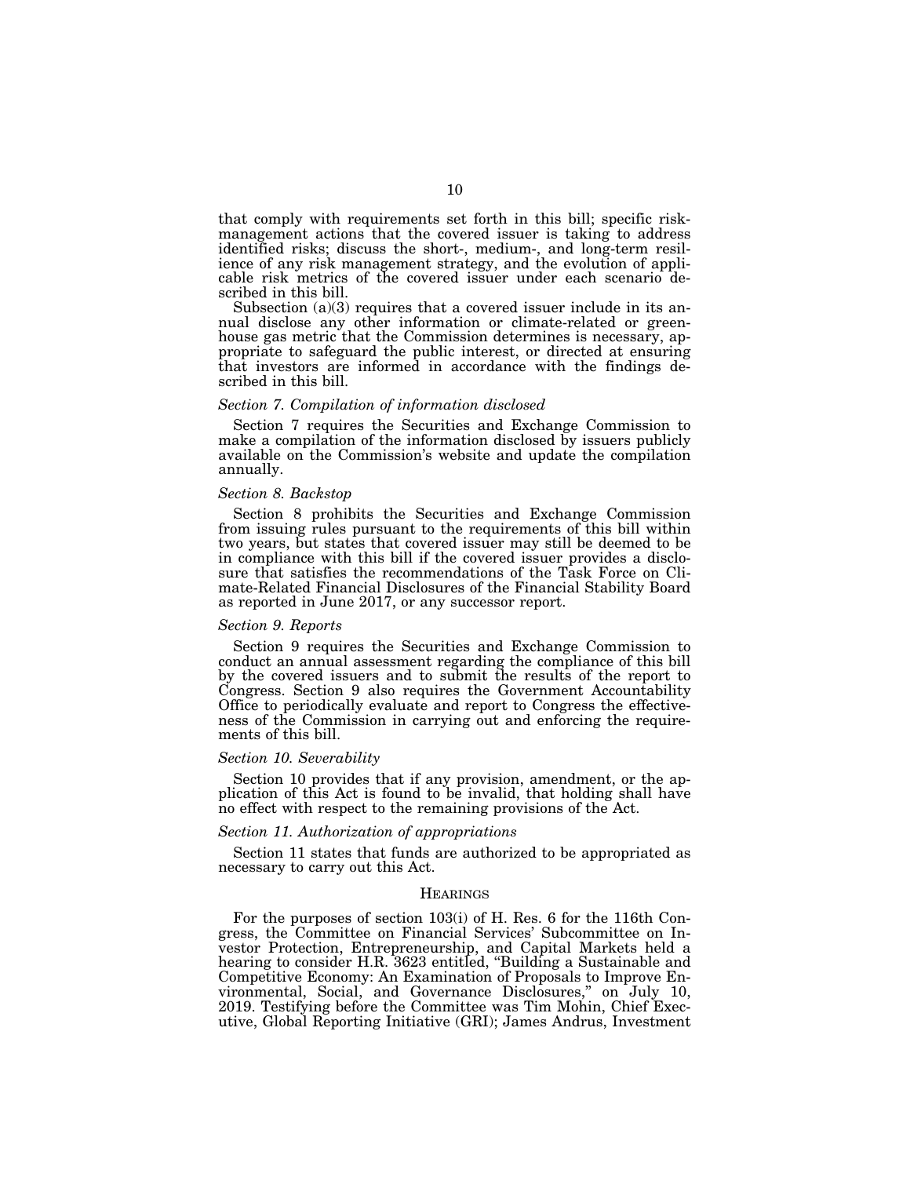that comply with requirements set forth in this bill; specific riskmanagement actions that the covered issuer is taking to address identified risks; discuss the short-, medium-, and long-term resilience of any risk management strategy, and the evolution of applicable risk metrics of the covered issuer under each scenario described in this bill.

Subsection (a)(3) requires that a covered issuer include in its annual disclose any other information or climate-related or greenhouse gas metric that the Commission determines is necessary, appropriate to safeguard the public interest, or directed at ensuring that investors are informed in accordance with the findings described in this bill.

#### *Section 7. Compilation of information disclosed*

Section 7 requires the Securities and Exchange Commission to make a compilation of the information disclosed by issuers publicly available on the Commission's website and update the compilation annually.

#### *Section 8. Backstop*

Section 8 prohibits the Securities and Exchange Commission from issuing rules pursuant to the requirements of this bill within two years, but states that covered issuer may still be deemed to be in compliance with this bill if the covered issuer provides a disclosure that satisfies the recommendations of the Task Force on Climate-Related Financial Disclosures of the Financial Stability Board as reported in June 2017, or any successor report.

#### *Section 9. Reports*

Section 9 requires the Securities and Exchange Commission to conduct an annual assessment regarding the compliance of this bill by the covered issuers and to submit the results of the report to Congress. Section 9 also requires the Government Accountability Office to periodically evaluate and report to Congress the effectiveness of the Commission in carrying out and enforcing the requirements of this bill.

## *Section 10. Severability*

Section 10 provides that if any provision, amendment, or the application of this Act is found to be invalid, that holding shall have no effect with respect to the remaining provisions of the Act.

## *Section 11. Authorization of appropriations*

Section 11 states that funds are authorized to be appropriated as necessary to carry out this Act.

#### **HEARINGS**

For the purposes of section 103(i) of H. Res. 6 for the 116th Congress, the Committee on Financial Services' Subcommittee on Investor Protection, Entrepreneurship, and Capital Markets held a hearing to consider H.R. 3623 entitled, ''Building a Sustainable and Competitive Economy: An Examination of Proposals to Improve Environmental, Social, and Governance Disclosures,'' on July 10, 2019. Testifying before the Committee was Tim Mohin, Chief Executive, Global Reporting Initiative (GRI); James Andrus, Investment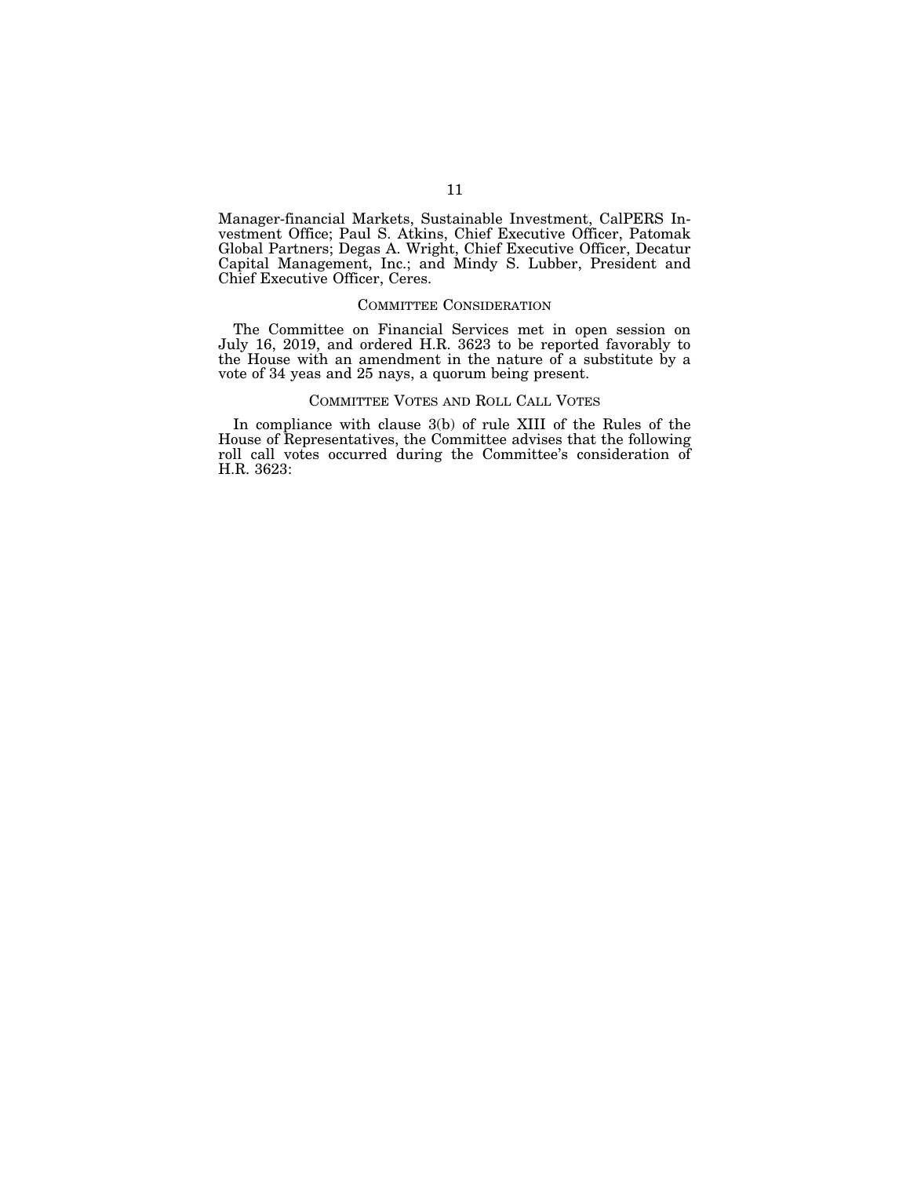Manager-financial Markets, Sustainable Investment, CalPERS Investment Office; Paul S. Atkins, Chief Executive Officer, Patomak Global Partners; Degas A. Wright, Chief Executive Officer, Decatur Capital Management, Inc.; and Mindy S. Lubber, President and Chief Executive Officer, Ceres.

## COMMITTEE CONSIDERATION

The Committee on Financial Services met in open session on July 16, 2019, and ordered H.R. 3623 to be reported favorably to the House with an amendment in the nature of a substitute by a vote of 34 yeas and 25 nays, a quorum being present.

## COMMITTEE VOTES AND ROLL CALL VOTES

In compliance with clause 3(b) of rule XIII of the Rules of the House of Representatives, the Committee advises that the following roll call votes occurred during the Committee's consideration of H.R. 3623: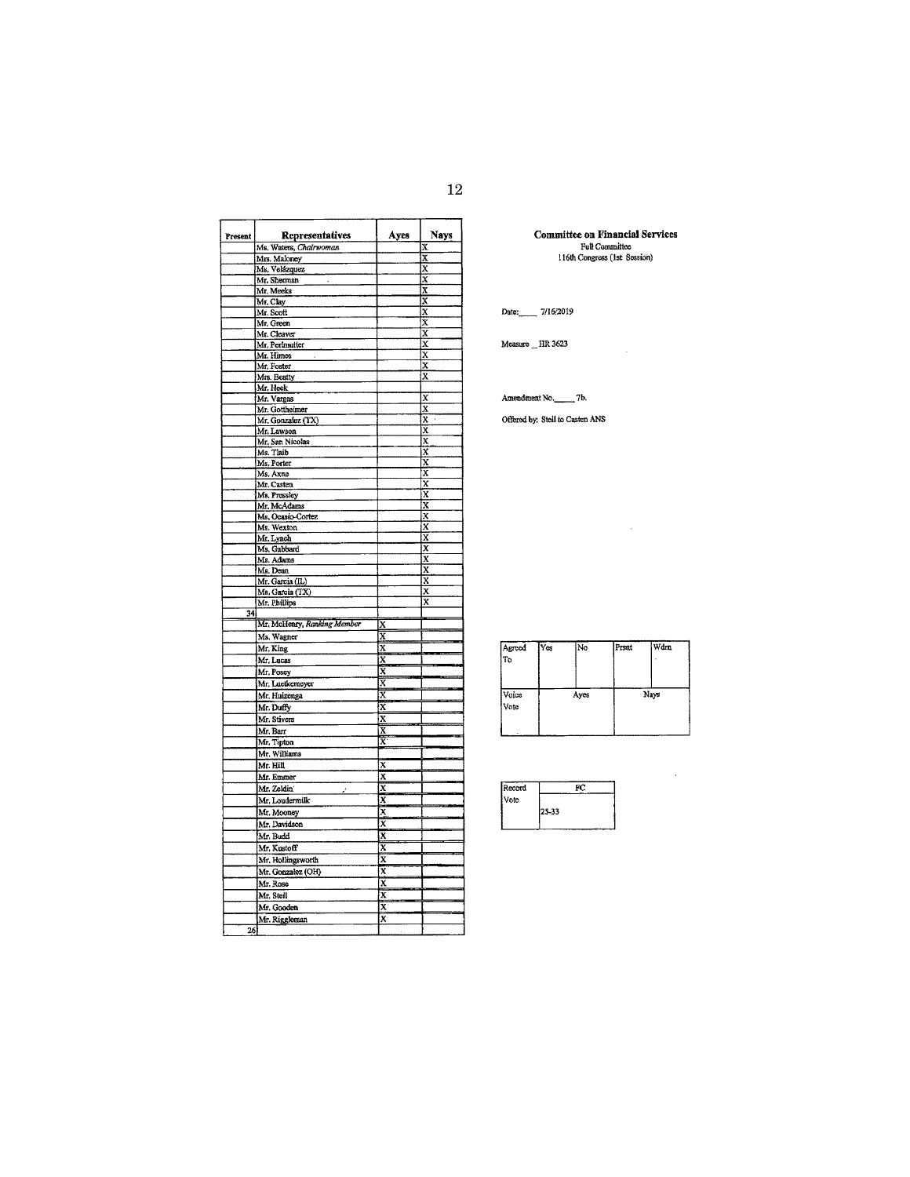| Present | Representatives                 | Ayes         | <b>Nays</b>                         |
|---------|---------------------------------|--------------|-------------------------------------|
|         | Ms. Waters, Chairwoman          |              | X                                   |
|         | Mrs. Maloney                    |              | $\frac{\mathbf{x}}{\mathbf{x}}$     |
|         | Ms, Velázquez                   |              |                                     |
|         | Mr. Sherman                     |              | x                                   |
|         | Mr. Meeks                       |              | x<br>X                              |
|         | Mr. Clay                        |              |                                     |
|         | Mr. Scott<br>Mr. Green          |              | $\frac{\mathbf{x}}{\mathbf{x}}$     |
|         | Mr. Cleaver                     |              |                                     |
|         | Mr. Perimutter                  |              | $\frac{\mathbf{x}}{\mathbf{x}}$     |
|         | Mr. Himes                       |              | $\overline{\mathbf{x}}$             |
|         | Mr. Foster                      |              | X                                   |
|         | Mrs. Beatty                     |              | X                                   |
|         | Mr. Heck                        |              |                                     |
|         | Mr. Vargas                      |              | X                                   |
|         | Mr. Gottheimer                  |              | X                                   |
|         | Mr. Gonzalez (TX)               |              | X                                   |
|         | Mr. Lawson                      |              | x                                   |
|         | Mr. San Nicolas                 |              | $\frac{\overline{x}}{\overline{x}}$ |
|         | Ms. Tlaib<br>Ms, Porter         |              |                                     |
|         | Ms, Axne                        |              | X                                   |
|         | Mr. Casten                      |              | $\overline{\mathbf{x}}$             |
|         | Ms. Pressley                    |              | $\overline{\mathbf{x}}$             |
|         | Mr. McAdams                     |              | $\overline{\mathbf{x}}$             |
|         | Ms. Ocasio-Cortez               |              | $\frac{\mathbf{x}}{\mathbf{x}}$     |
|         | Ms. Wexton                      |              |                                     |
|         | Mr. Lynch                       |              | X                                   |
|         | Ms, Gabbard                     |              | X                                   |
|         | Ms. Adams                       |              | x                                   |
|         | Ma. Dean                        |              | X                                   |
|         | Mr. Garcia (IL)                 |              | X<br>X                              |
|         | Ms. Garcia (TX)<br>Mr. Phillips |              | X                                   |
| 34      |                                 |              |                                     |
|         | Mr. McHenry, Ranking Member     | x            |                                     |
|         | Ms. Wagner                      | $\mathbf{x}$ |                                     |
|         | Mr. King                        | X            |                                     |
|         | Mr. Lucas                       | x            |                                     |
|         | Mr. Posey                       | x            |                                     |
|         | Mr. Luetkemeyer                 | X            |                                     |
|         | Mr. Huizenga                    | X            |                                     |
|         | Mr. Duffy                       | X            |                                     |
|         | Mr. Stivers                     | X            |                                     |
|         | Mr. Barr                        | X            |                                     |
|         | Mr. Tipton                      | x            |                                     |
|         | Mr. Williams                    |              |                                     |
|         | Mr. Hill                        | X            |                                     |
|         | Mr Emmer                        | x            |                                     |
|         | Mr. Zeldin'                     | X            |                                     |
|         | Mr. Loudermilk                  | X            |                                     |
|         | Mr. Mooney                      | X            |                                     |
|         | Mr. Davidson                    | х            |                                     |
|         | Mr. Budd                        | X            |                                     |
|         | Mr. Kustoff                     | X            |                                     |
|         |                                 | x            |                                     |
|         | Mr. Hollingsworth               | X            |                                     |
|         | Mr. Gonzalez (OH)               | x            |                                     |
|         | Mr. Rose                        | X            |                                     |
|         | Mr. Steil                       |              |                                     |
|         | Mr. Gooden                      | X            |                                     |
|         | Mr. Riggleman                   | X            |                                     |
| 26      |                                 |              |                                     |

# Committee on Financial Services<br>Full Committee<br>116th Congress (1st Session)

# Date:\_\_\_\_\_ 7/16/2019

Measure \_HR 3623  $\sim 10$ 

Amendment No. 7b.

## Offered by: Stell to Casten ANS

 $\sim 10^{-10}$ 

| <b>Yes</b> | No.  | Prsnt | Wdrn |
|------------|------|-------|------|
|            | Ayes |       | Nays |
|            |      |       |      |

| FC<br>$\sqrt{\frac{1}{\text{Note}}}$<br>25-33 |        |  |
|-----------------------------------------------|--------|--|
|                                               | Record |  |
|                                               |        |  |
|                                               |        |  |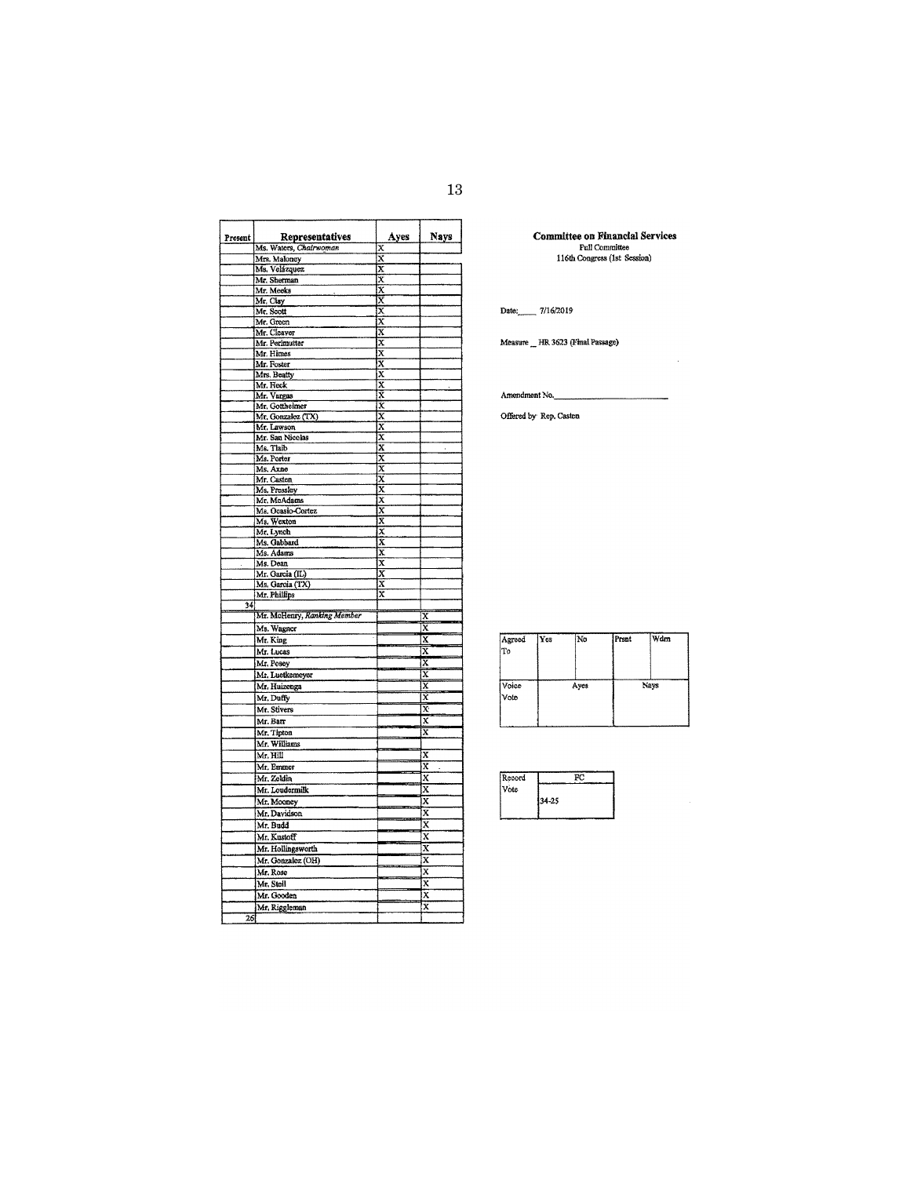|  | 13 |  |
|--|----|--|
|  |    |  |

| Present | Representatives                 | Ayes                    | <b>Nays</b>             |
|---------|---------------------------------|-------------------------|-------------------------|
|         | Ms. Waters, Chairwoman          | χ                       |                         |
|         | Mrs. Maloney                    | X                       |                         |
|         | Ms. Velázquez                   | X                       |                         |
|         | Mr. Sherman                     | X                       |                         |
|         | Mr. Meeks                       | X                       |                         |
|         | Mr. Clay                        | $\overline{\mathbf{x}}$ |                         |
|         | Mr. Scott                       | X                       |                         |
|         | Mr. Green                       | X                       |                         |
|         | Mr. Cleaver                     | X                       |                         |
|         | Mr. Perlmutter                  | X                       |                         |
|         | Mr. Himes                       | X                       |                         |
|         | Mr. Foster                      | X                       |                         |
|         | Mrs. Beatty                     | X                       |                         |
|         | Mr. Heck                        | x                       |                         |
|         | Mr. Vargas                      | ÿ                       |                         |
|         | Mr. Gottheimer                  | X                       |                         |
|         | Mr, Gonzalez (TX)               | X                       |                         |
|         | Mr. Lawson                      | $\overline{\mathbf{x}}$ |                         |
|         | Mr. San Nicolas                 | X                       |                         |
|         | Ms. Tlaib                       | X                       |                         |
|         | Ms. Porter                      | X<br>X                  |                         |
|         | Ms. Axne                        | X                       |                         |
|         | Mr. Casten                      | $\overline{\mathbf{x}}$ |                         |
|         | Ms. Pressley                    | x                       |                         |
|         | Mr. McAdams                     | $\overline{\mathbf{x}}$ |                         |
|         | Ms. Ocasio-Cortez<br>Ms. Wexton | X                       |                         |
|         | Mr. Lynch                       | X                       |                         |
|         | Ms. Gabbard                     | X                       |                         |
|         | Ms. Adams                       | x                       |                         |
|         | Ms. Dean                        | X                       |                         |
|         | Mr. Garcia (IL)                 | $\overline{\mathbf{x}}$ |                         |
|         | Ms. Garoia (TX)                 | X                       |                         |
|         | Mr. Phillips                    | $\overline{\mathbf{x}}$ |                         |
| 34      |                                 |                         |                         |
|         | Mr. McHenry, Ranking Member     |                         | х                       |
|         | Ms. Wagner                      |                         | x                       |
|         | Mr. King                        |                         | $\overline{\mathbf{x}}$ |
|         | Mr. Lucas                       |                         | $\overline{\mathbf{x}}$ |
|         |                                 |                         | X                       |
|         | Mr. Posey                       |                         |                         |
|         | Mr. Luetkemeyer                 |                         | x                       |
|         | Mr. Huizenga                    |                         | χ                       |
|         | Mr. Duffy                       |                         | x                       |
|         | Mr. Stivers                     |                         | χ                       |
|         | Mr. Barr                        |                         | x                       |
|         | Mr. Tipton                      |                         | $\overline{\mathbf{x}}$ |
|         | Mr. Williams                    |                         |                         |
|         | Mr. Hill                        |                         | $\overline{\mathbf{x}}$ |
|         | Mr. Emmer                       |                         | X                       |
|         | Mr. Zeldin                      |                         | x                       |
|         | Mr. Loudermilk                  |                         | X                       |
|         | Mr. Mooney                      |                         | x                       |
|         | Mr. Davidson                    |                         | X                       |
|         | Mr. Budd                        |                         | $\overline{\mathbf{x}}$ |
|         |                                 |                         |                         |
|         | Mr. Kustoff                     |                         | X                       |
|         | Mr. Hollingsworth               |                         | X                       |
|         | Mr. Gonzalez (OH)               |                         | X                       |
|         | Mr. Rose                        |                         | X                       |
|         | Mr. Steil                       |                         | X                       |
|         | Mr. Gooden                      |                         | x                       |
|         | Mr. Riggleman                   |                         | Ÿ                       |
| 26      |                                 |                         |                         |
|         |                                 |                         |                         |

 $\mathbf{r}$ 

Committee on Financial Services<br>Pull Committee<br>116th Congress (1st Session)

 $\hat{\mathcal{A}}$ 

Date: 7/16/2019

Measure \_HR 3623 (Final Passage)

Amendment No.

Offered by Rep, Casten

| Agreed<br>lTo        | Yes | İNo  | Prsnt | Wdm  |
|----------------------|-----|------|-------|------|
| Voice<br><b>Vote</b> |     | Ayes |       | Nays |

| Record | PC.    |
|--------|--------|
| Vote   |        |
|        | 134-25 |
|        |        |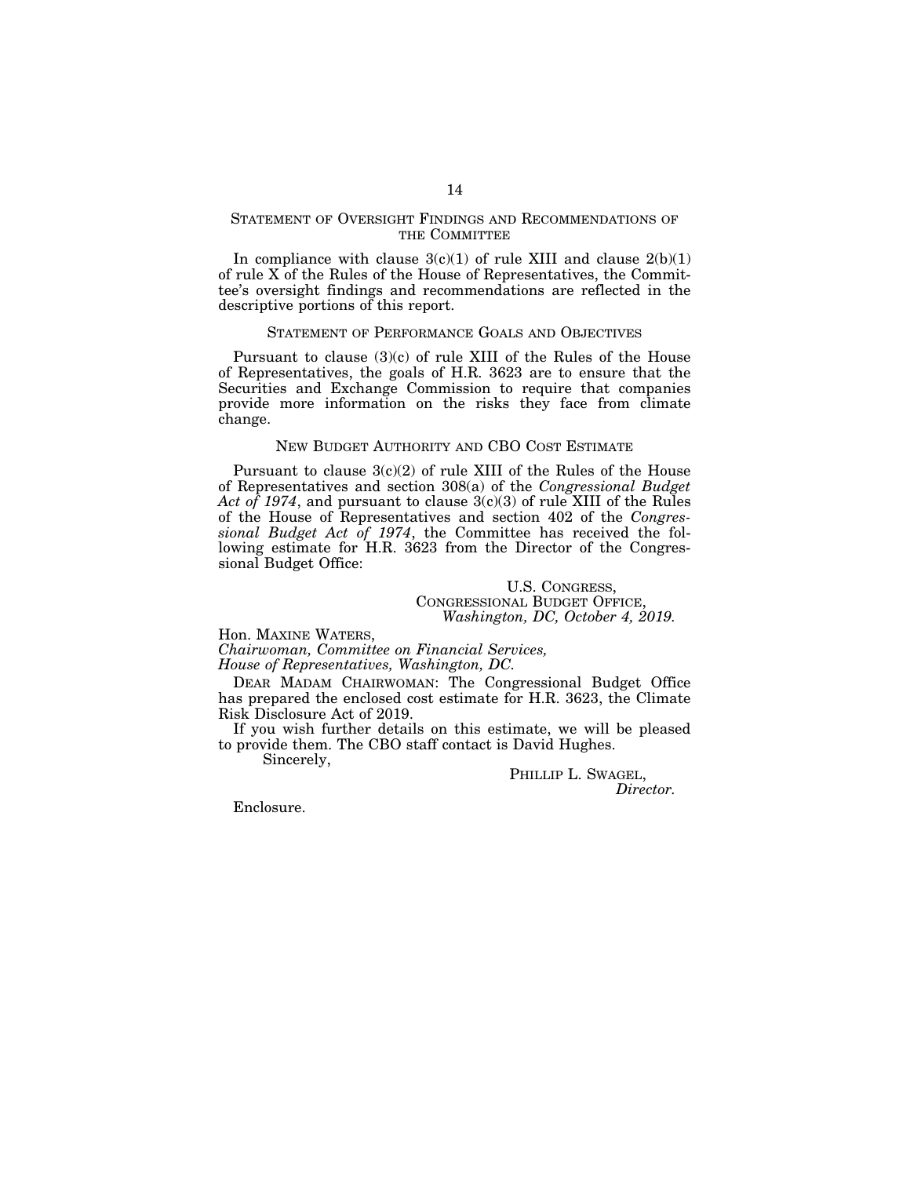## STATEMENT OF OVERSIGHT FINDINGS AND RECOMMENDATIONS OF THE COMMITTEE

In compliance with clause  $3(c)(1)$  of rule XIII and clause  $2(b)(1)$ of rule X of the Rules of the House of Representatives, the Committee's oversight findings and recommendations are reflected in the descriptive portions of this report.

#### STATEMENT OF PERFORMANCE GOALS AND OBJECTIVES

Pursuant to clause  $(3)(c)$  of rule XIII of the Rules of the House of Representatives, the goals of H.R. 3623 are to ensure that the Securities and Exchange Commission to require that companies provide more information on the risks they face from climate change.

#### NEW BUDGET AUTHORITY AND CBO COST ESTIMATE

Pursuant to clause 3(c)(2) of rule XIII of the Rules of the House of Representatives and section 308(a) of the *Congressional Budget Act of 1974*, and pursuant to clause 3(c)(3) of rule XIII of the Rules of the House of Representatives and section 402 of the *Congressional Budget Act of 1974*, the Committee has received the following estimate for H.R. 3623 from the Director of the Congressional Budget Office:

> U.S. CONGRESS, CONGRESSIONAL BUDGET OFFICE, *Washington, DC, October 4, 2019.*

Hon. MAXINE WATERS,

*Chairwoman, Committee on Financial Services, House of Representatives, Washington, DC.* 

DEAR MADAM CHAIRWOMAN: The Congressional Budget Office has prepared the enclosed cost estimate for H.R. 3623, the Climate Risk Disclosure Act of 2019.

If you wish further details on this estimate, we will be pleased to provide them. The CBO staff contact is David Hughes.

Sincerely,

PHILLIP L. SWAGEL,

*Director.* 

Enclosure.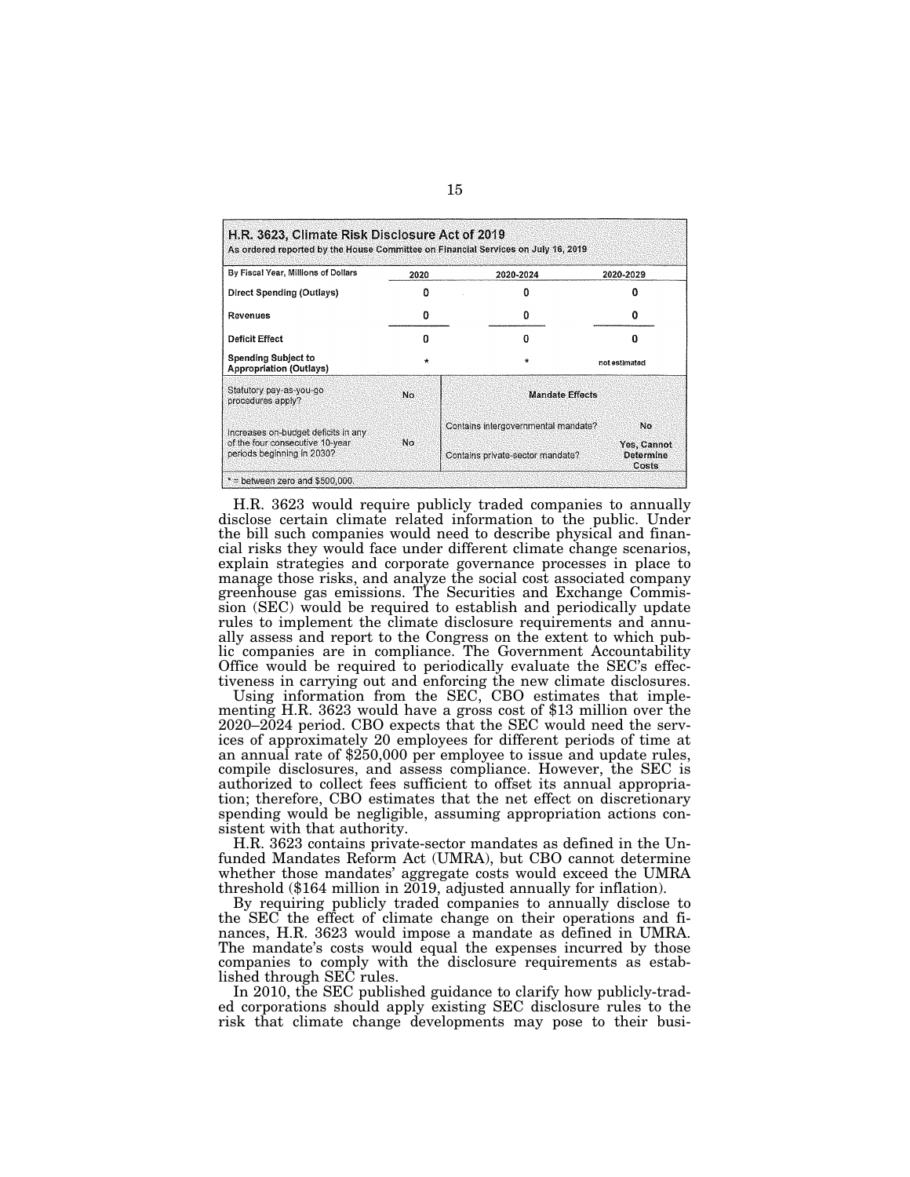|                                                               |      | As ordered reported by the House Committee on Financial Services on July 16, 2019 |                                   |  |
|---------------------------------------------------------------|------|-----------------------------------------------------------------------------------|-----------------------------------|--|
| By Fiscal Year, Millions of Dollars                           | 2020 | 2020-2024                                                                         | 2020-2029                         |  |
| Direct Spending (Outlays)                                     | n    |                                                                                   |                                   |  |
| Revenues                                                      | o    | n                                                                                 | Ω                                 |  |
| <b>Deficit Effect</b>                                         | Ω    | Ω                                                                                 |                                   |  |
| <b>Spending Subject to</b><br><b>Appropriation (Outlays)</b>  | ÷    | ÷                                                                                 | not estimated                     |  |
| Statutory pay-as-you-go<br>procedures apply?                  | No   | Mandate Effects                                                                   |                                   |  |
| Increases on-budget deficits in any                           |      | Contains intergovernmental mandate?                                               | No                                |  |
| of the four consecutive 10-year<br>periods beginning in 2030? | No.  | Contains private-sector mandate?                                                  | Yes, Cannot<br>Determine<br>Costs |  |

H.R. 3623 would require publicly traded companies to annually disclose certain climate related information to the public. Under the bill such companies would need to describe physical and financial risks they would face under different climate change scenarios, explain strategies and corporate governance processes in place to manage those risks, and analyze the social cost associated company greenhouse gas emissions. The Securities and Exchange Commission (SEC) would be required to establish and periodically update rules to implement the climate disclosure requirements and annually assess and report to the Congress on the extent to which public companies are in compliance. The Government Accountability Office would be required to periodically evaluate the SEC's effectiveness in carrying out and enforcing the new climate disclosures.

Using information from the SEC, CBO estimates that imple-<br>menting H.R. 3623 would have a gross cost of \$13 million over the menting H.R. 3623 would have a gross cost of \$13 million over the 2020–2024 period. CBO expects that the SEC would need the services of approximately 20 employees for different periods of time at an annual rate of \$250,000 per employee to issue and update rules, compile disclosures, and assess compliance. However, the SEC is authorized to collect fees sufficient to offset its annual appropriation; therefore, CBO estimates that the net effect on discretionary spending would be negligible, assuming appropriation actions consistent with that authority.

H.R. 3623 contains private-sector mandates as defined in the Unfunded Mandates Reform Act (UMRA), but CBO cannot determine whether those mandates' aggregate costs would exceed the UMRA threshold (\$164 million in 2019, adjusted annually for inflation).

By requiring publicly traded companies to annually disclose to the SEC the effect of climate change on their operations and finances, H.R. 3623 would impose a mandate as defined in UMRA. The mandate's costs would equal the expenses incurred by those companies to comply with the disclosure requirements as established through SEC rules.

In 2010, the SEC published guidance to clarify how publicly-traded corporations should apply existing SEC disclosure rules to the risk that climate change developments may pose to their busi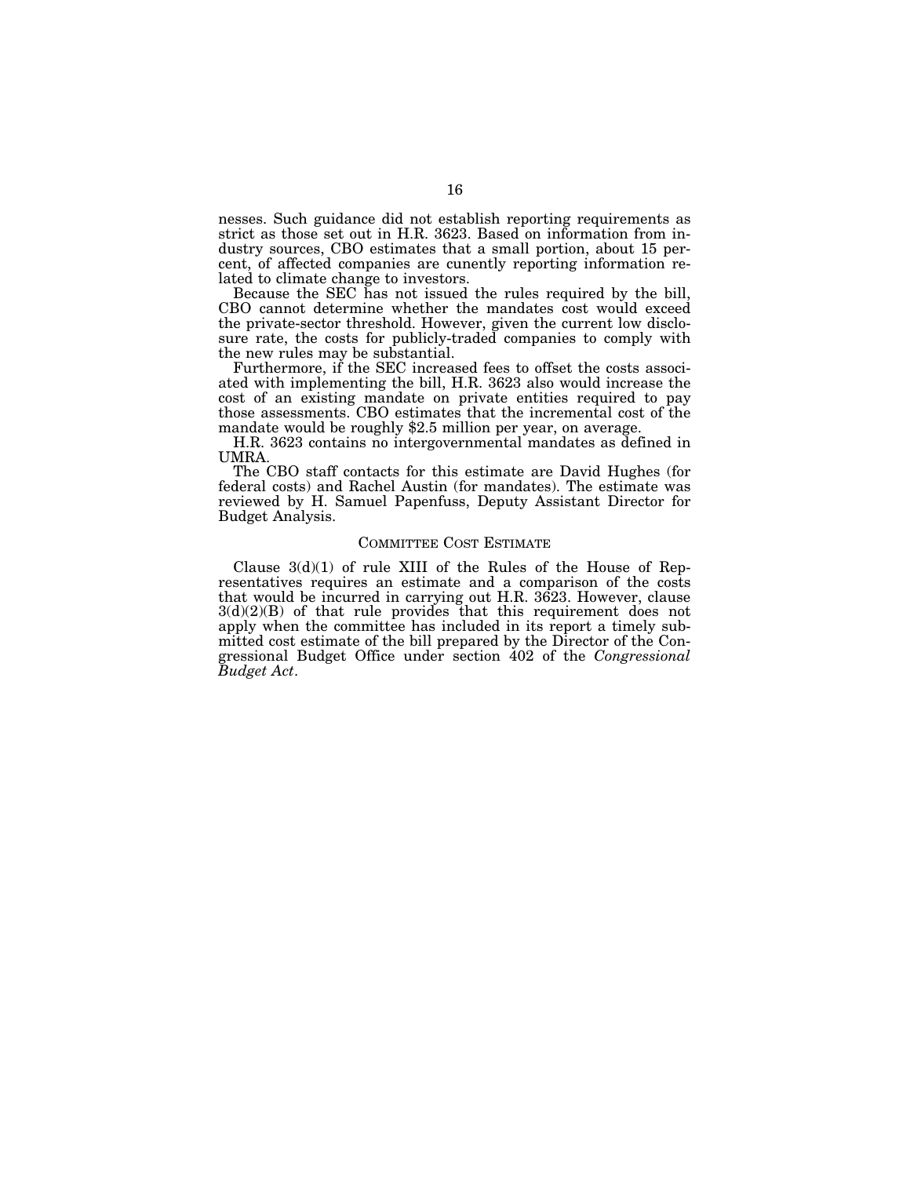nesses. Such guidance did not establish reporting requirements as strict as those set out in H.R. 3623. Based on information from industry sources, CBO estimates that a small portion, about 15 percent, of affected companies are cunently reporting information related to climate change to investors.

Because the SEC has not issued the rules required by the bill, CBO cannot determine whether the mandates cost would exceed the private-sector threshold. However, given the current low disclosure rate, the costs for publicly-traded companies to comply with the new rules may be substantial.

Furthermore, if the SEC increased fees to offset the costs associated with implementing the bill, H.R. 3623 also would increase the cost of an existing mandate on private entities required to pay those assessments. CBO estimates that the incremental cost of the mandate would be roughly \$2.5 million per year, on average.

H.R. 3623 contains no intergovernmental mandates as defined in UMRA.

The CBO staff contacts for this estimate are David Hughes (for federal costs) and Rachel Austin (for mandates). The estimate was reviewed by H. Samuel Papenfuss, Deputy Assistant Director for Budget Analysis.

#### COMMITTEE COST ESTIMATE

Clause  $3(d)(1)$  of rule XIII of the Rules of the House of Representatives requires an estimate and a comparison of the costs that would be incurred in carrying out H.R. 3623. However, clause 3(d)(2)(B) of that rule provides that this requirement does not apply when the committee has included in its report a timely submitted cost estimate of the bill prepared by the Director of the Congressional Budget Office under section 402 of the *Congressional Budget Act*.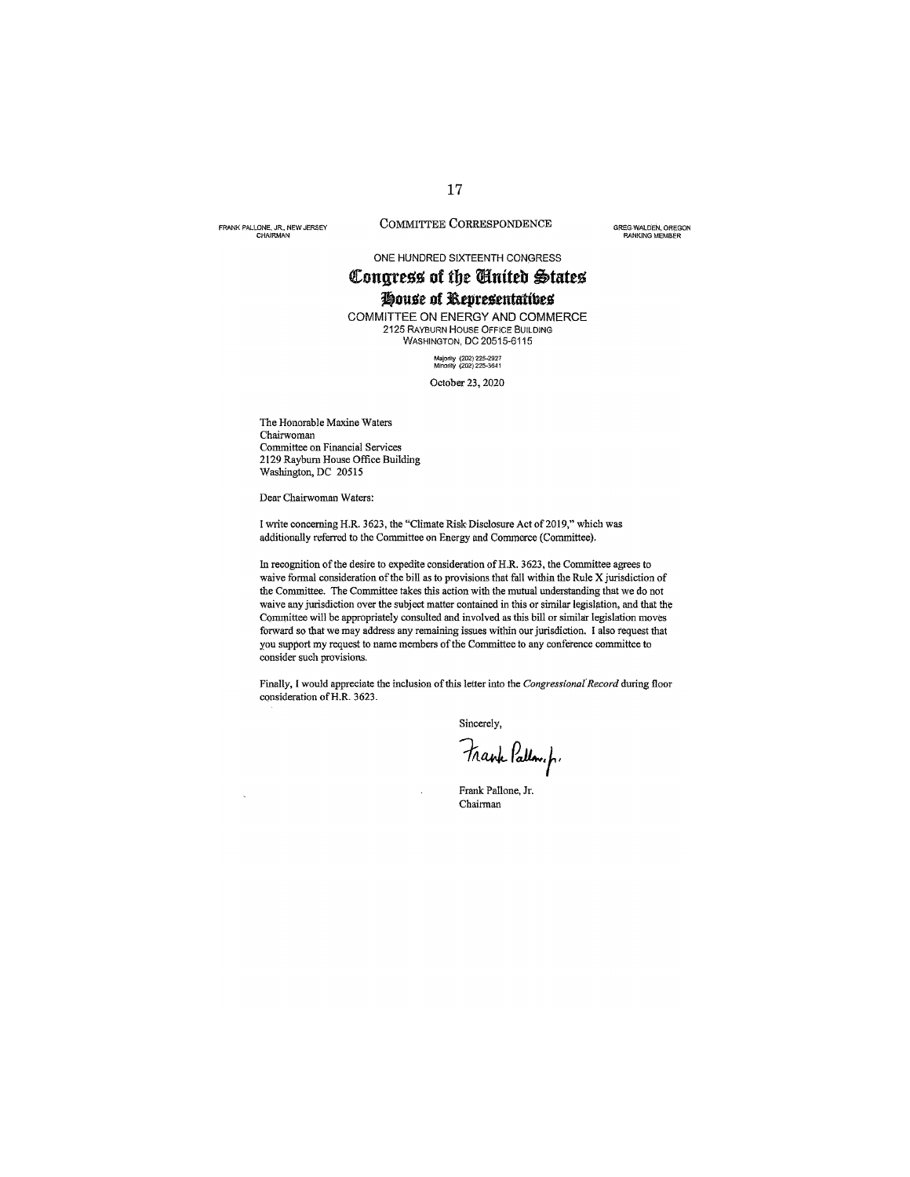FRANK PALLONE, JR., NEW JERSEY

COMMITTEE CORRESPONDENCE

GREG-WALDEN, OREGON<br>RANKING MEMBER

ONE HUNDRED SIXTEENTH CONGRESS

# Congress of the United States

# House of Representatives

COMMITTEE ON ENERGY AND COMMERCE 2125 RAYBURN HOUSE OFFICE BUILDING WASHINGTON, DC 20515-6115

Majority (202) 225-2927<br>Minority (202) 225-3641

October 23, 2020

The Honorable Maxine Waters Chairwoman Committee on Financial Services 2129 Rayburn House Office Building Washington, DC 20515

Dear Chairwoman Waters:

I write concerning H.R. 3623, the "Climate Risk Disclosure Act of 2019," which was additionally referred to the Committee on Energy and Commerce (Committee).

In recognition of the desire to expedite consideration of H.R. 3623, the Committee agrees to waive formal consideration of the bill as to provisions that fall within the Rule X jurisdiction of the Committee. The Committee takes this action with the mutual understanding that we do not waive any jurisdiction over the subject matter contained in this or similar legislation, and that the Committee will be appropriately consulted and involved as this bill or similar legislation moves forward so that we may address any remaining issues within our jurisdiction. I also request that you support my request to name members of the Committee to any conference committee to consider such provisions.

Finally, I would appreciate the inclusion of this letter into the Congressional Record during floor consideration of H.R. 3623.

Sincerely.

Frank Pallow.fr

Frank Pallone, Jr. Chairman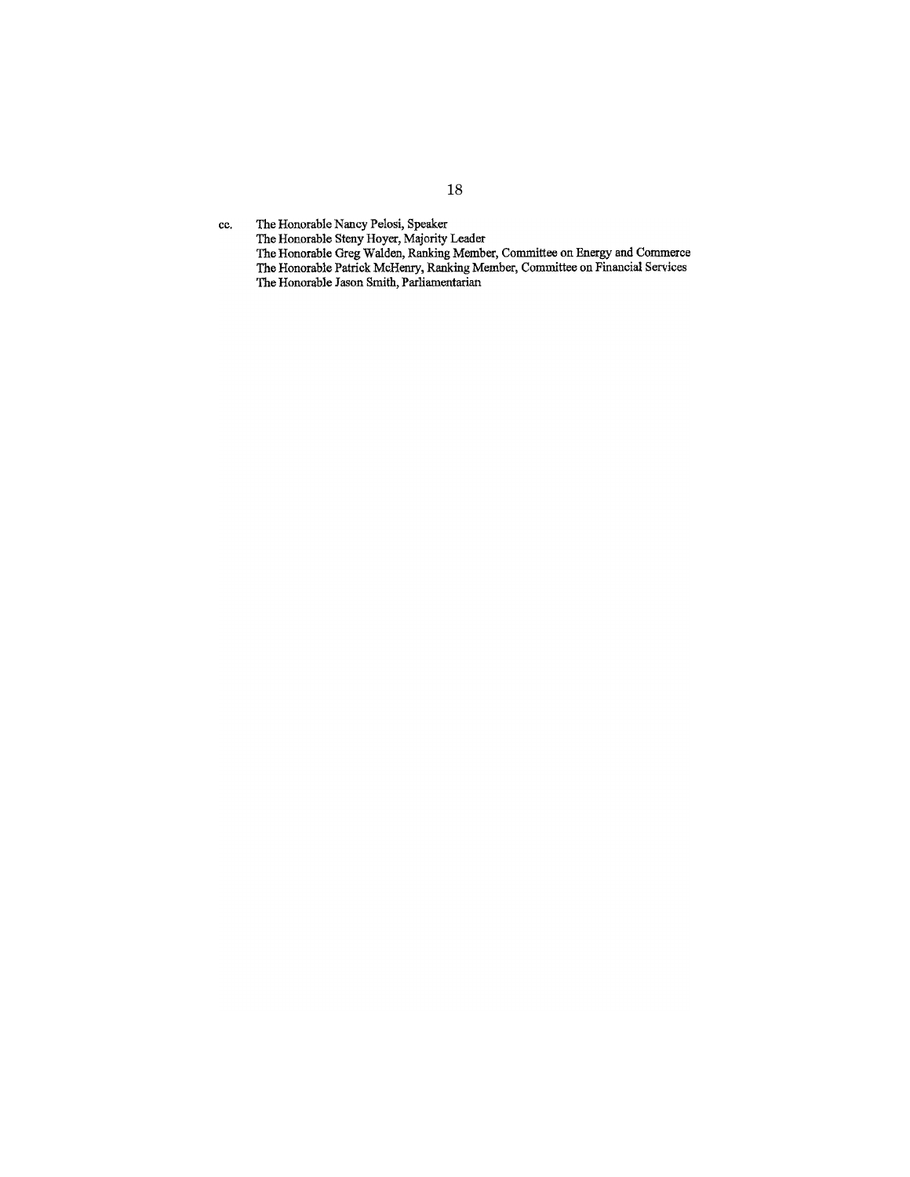The Honorable Nancy Pelosi, Speaker<br>The Honorable Steny Hoyer, Majority Leader<br>The Honorable Greg Walden, Ranking Member, Committee on Energy and Commerce<br>The Honorable Patrick McHenry, Ranking Member, Committee on Financi cc.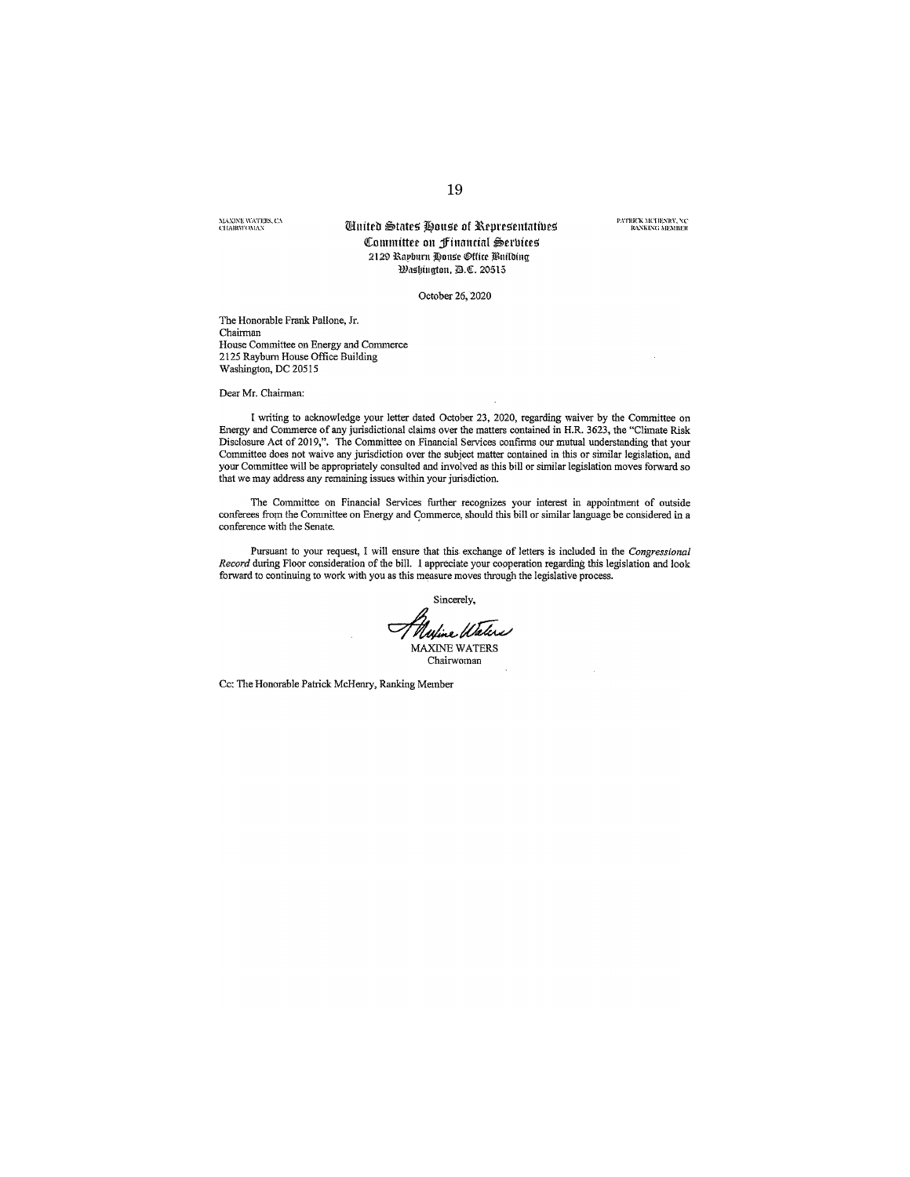MAXINE WATERS, CA<br>CHAIRWOMAN

### **Timited States House of Representatives** Committee on Financial Serbices 2129 Rayburn House Office Building Washington, D.C. 20515

October 26, 2020

The Honorable Frank Pallone, Jr. Chairman House Committee on Energy and Commerce 2125 Rayburn House Office Building Washington, DC 20515

Dear Mr. Chairman:

I writing to acknowledge your letter dated October 23, 2020, regarding waiver by the Committee on Energy and Commerce of any jurisdictional claims over the matters contained in H.R. 3623, the "Climate Risk Disclosure Act o Committee does not waive any jurisdiction over the subject matter contained in this or similar legislation, and your Committee will be appropriately consulted and involved as this bill or similar legislation moves forward so that we may address any remaining issues within your jurisdiction.

The Committee on Financial Services further recognizes your interest in appointment of outside conferees from the Committee on Energy and Commerce, should this bill or similar language be considered in a conference with the Senate.

Pursuant to your request, I will ensure that this exchange of letters is included in the Congressional Record during Floor consideration of the bill. I appreciate your cooperation regarding this legislation and look forward to continuing to work with you as this measure moves through the legislative process.

Sincerely,

n<br>Mufine Waters MAXINE WATERS Chairwoman

Cc: The Honorable Patrick McHenry, Ranking Member

PATRICK MCHENRY, NC<br>RANKING MEMBER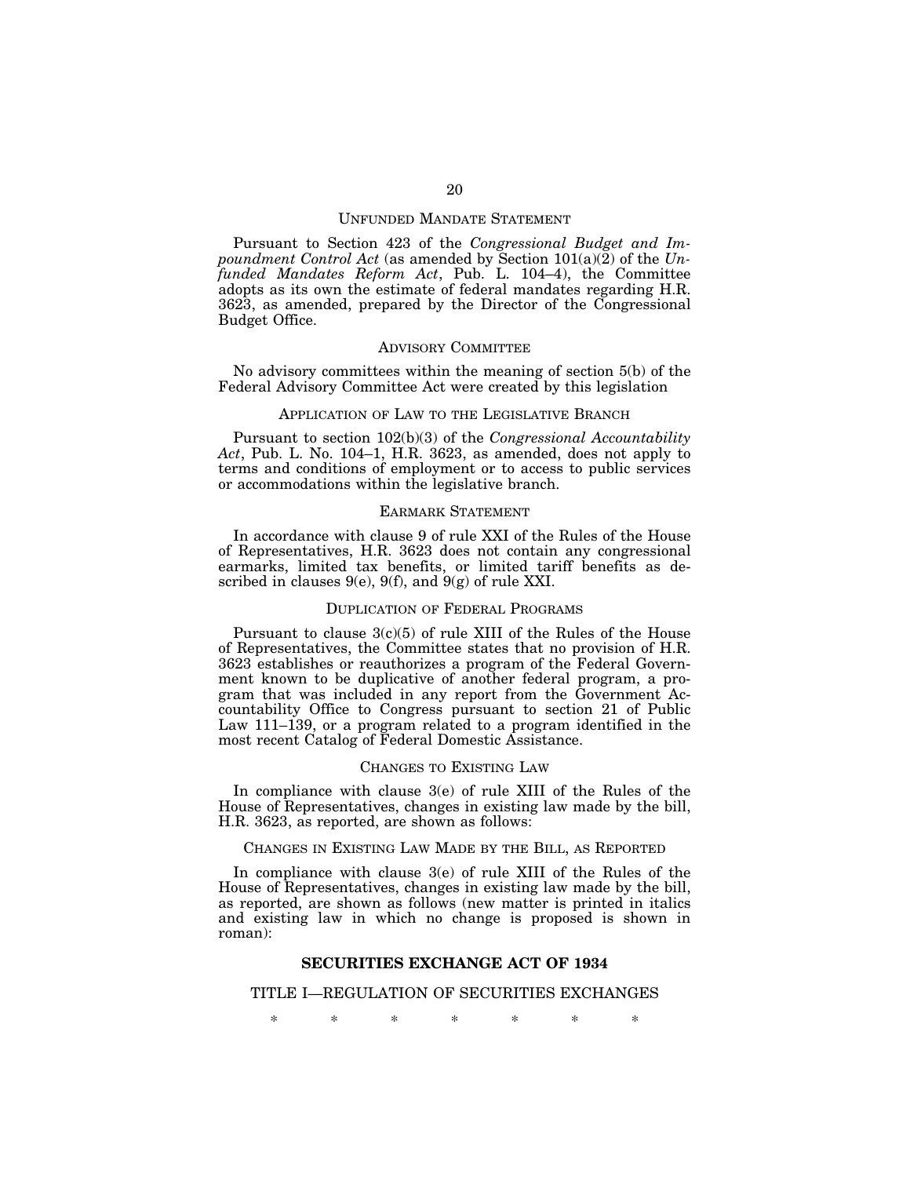#### UNFUNDED MANDATE STATEMENT

Pursuant to Section 423 of the *Congressional Budget and Impoundment Control Act* (as amended by Section 101(a)(2) of the *Unfunded Mandates Reform Act*, Pub. L. 104–4), the Committee adopts as its own the estimate of federal mandates regarding H.R. 3623, as amended, prepared by the Director of the Congressional Budget Office.

#### ADVISORY COMMITTEE

No advisory committees within the meaning of section 5(b) of the Federal Advisory Committee Act were created by this legislation

#### APPLICATION OF LAW TO THE LEGISLATIVE BRANCH

Pursuant to section 102(b)(3) of the *Congressional Accountability Act*, Pub. L. No. 104–1, H.R. 3623, as amended, does not apply to terms and conditions of employment or to access to public services or accommodations within the legislative branch.

#### EARMARK STATEMENT

In accordance with clause 9 of rule XXI of the Rules of the House of Representatives, H.R. 3623 does not contain any congressional earmarks, limited tax benefits, or limited tariff benefits as described in clauses  $9(e)$ ,  $9(f)$ , and  $9(g)$  of rule XXI.

#### DUPLICATION OF FEDERAL PROGRAMS

Pursuant to clause 3(c)(5) of rule XIII of the Rules of the House of Representatives, the Committee states that no provision of H.R. 3623 establishes or reauthorizes a program of the Federal Government known to be duplicative of another federal program, a program that was included in any report from the Government Accountability Office to Congress pursuant to section 21 of Public Law 111–139, or a program related to a program identified in the most recent Catalog of Federal Domestic Assistance.

#### CHANGES TO EXISTING LAW

In compliance with clause 3(e) of rule XIII of the Rules of the House of Representatives, changes in existing law made by the bill, H.R. 3623, as reported, are shown as follows:

#### CHANGES IN EXISTING LAW MADE BY THE BILL, AS REPORTED

In compliance with clause 3(e) of rule XIII of the Rules of the House of Representatives, changes in existing law made by the bill, as reported, are shown as follows (new matter is printed in italics and existing law in which no change is proposed is shown in roman):

## **SECURITIES EXCHANGE ACT OF 1934**

#### TITLE I—REGULATION OF SECURITIES EXCHANGES

\* \* \* \* \* \* \*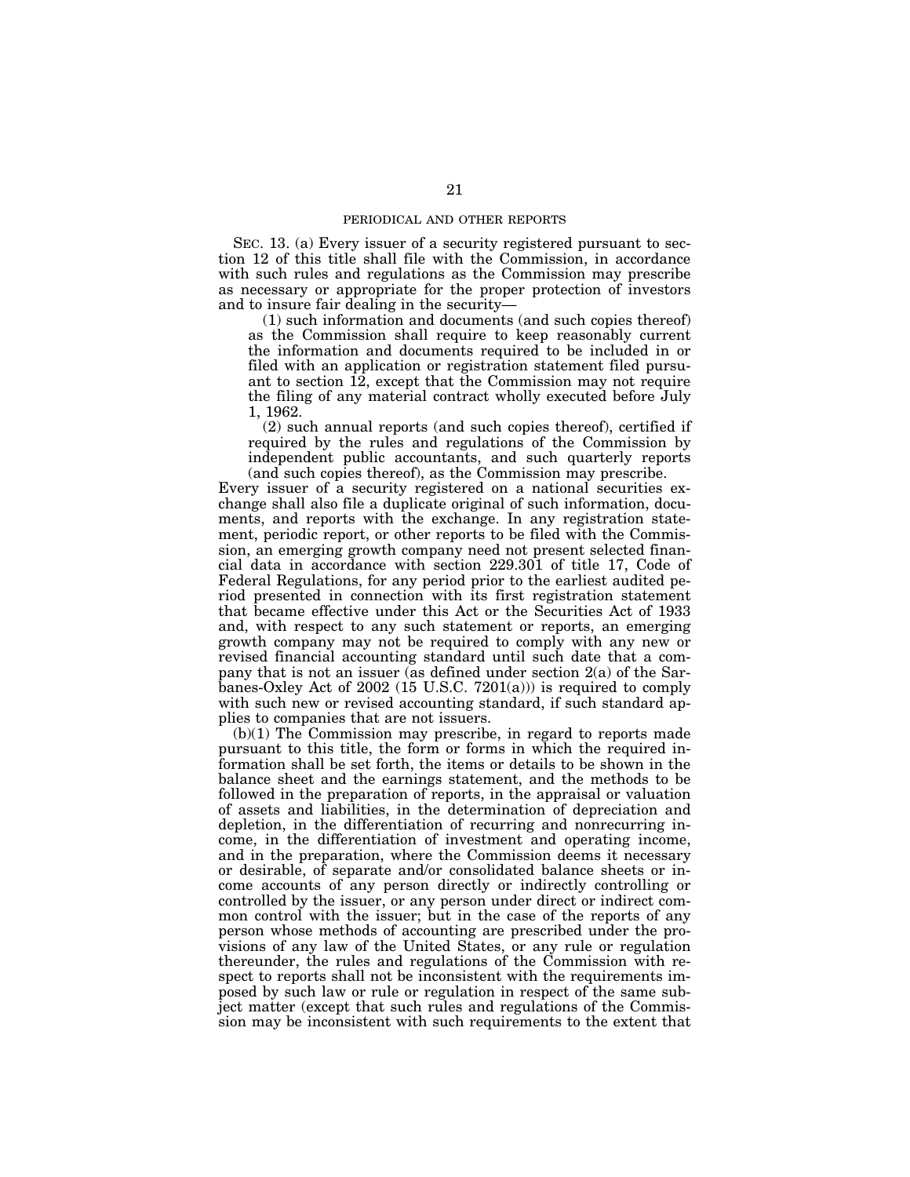#### PERIODICAL AND OTHER REPORTS

SEC. 13. (a) Every issuer of a security registered pursuant to section 12 of this title shall file with the Commission, in accordance with such rules and regulations as the Commission may prescribe as necessary or appropriate for the proper protection of investors and to insure fair dealing in the security—

(1) such information and documents (and such copies thereof) as the Commission shall require to keep reasonably current the information and documents required to be included in or filed with an application or registration statement filed pursuant to section 12, except that the Commission may not require the filing of any material contract wholly executed before July 1, 1962.

(2) such annual reports (and such copies thereof), certified if required by the rules and regulations of the Commission by independent public accountants, and such quarterly reports (and such copies thereof), as the Commission may prescribe.

Every issuer of a security registered on a national securities exchange shall also file a duplicate original of such information, documents, and reports with the exchange. In any registration statement, periodic report, or other reports to be filed with the Commission, an emerging growth company need not present selected financial data in accordance with section 229.301 of title 17, Code of Federal Regulations, for any period prior to the earliest audited period presented in connection with its first registration statement that became effective under this Act or the Securities Act of 1933 and, with respect to any such statement or reports, an emerging growth company may not be required to comply with any new or revised financial accounting standard until such date that a company that is not an issuer (as defined under section 2(a) of the Sarbanes-Oxley Act of 2002 (15 U.S.C. 7201(a))) is required to comply with such new or revised accounting standard, if such standard applies to companies that are not issuers.

(b)(1) The Commission may prescribe, in regard to reports made pursuant to this title, the form or forms in which the required information shall be set forth, the items or details to be shown in the balance sheet and the earnings statement, and the methods to be followed in the preparation of reports, in the appraisal or valuation of assets and liabilities, in the determination of depreciation and depletion, in the differentiation of recurring and nonrecurring income, in the differentiation of investment and operating income, and in the preparation, where the Commission deems it necessary or desirable, of separate and/or consolidated balance sheets or income accounts of any person directly or indirectly controlling or controlled by the issuer, or any person under direct or indirect common control with the issuer; but in the case of the reports of any person whose methods of accounting are prescribed under the provisions of any law of the United States, or any rule or regulation thereunder, the rules and regulations of the Commission with respect to reports shall not be inconsistent with the requirements imposed by such law or rule or regulation in respect of the same subject matter (except that such rules and regulations of the Commission may be inconsistent with such requirements to the extent that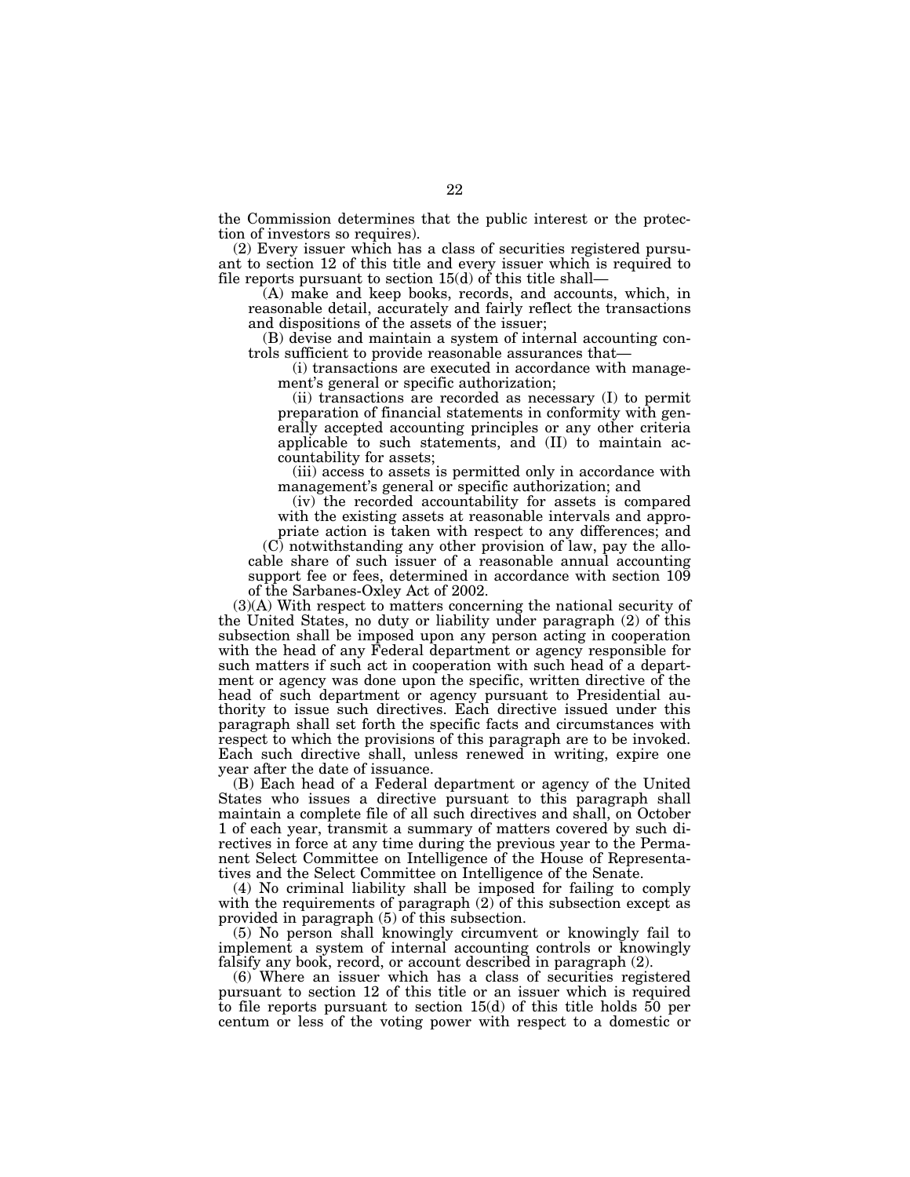the Commission determines that the public interest or the protection of investors so requires).

(2) Every issuer which has a class of securities registered pursuant to section 12 of this title and every issuer which is required to file reports pursuant to section  $15(d)$  of this title shall-

(A) make and keep books, records, and accounts, which, in reasonable detail, accurately and fairly reflect the transactions and dispositions of the assets of the issuer;

(B) devise and maintain a system of internal accounting controls sufficient to provide reasonable assurances that—

(i) transactions are executed in accordance with management's general or specific authorization;

(ii) transactions are recorded as necessary (I) to permit preparation of financial statements in conformity with generally accepted accounting principles or any other criteria applicable to such statements, and (II) to maintain accountability for assets;

(iii) access to assets is permitted only in accordance with management's general or specific authorization; and

(iv) the recorded accountability for assets is compared with the existing assets at reasonable intervals and appropriate action is taken with respect to any differences; and

(C) notwithstanding any other provision of law, pay the allocable share of such issuer of a reasonable annual accounting support fee or fees, determined in accordance with section 109 of the Sarbanes-Oxley Act of 2002.

(3)(A) With respect to matters concerning the national security of the United States, no duty or liability under paragraph (2) of this subsection shall be imposed upon any person acting in cooperation with the head of any Federal department or agency responsible for such matters if such act in cooperation with such head of a department or agency was done upon the specific, written directive of the head of such department or agency pursuant to Presidential authority to issue such directives. Each directive issued under this paragraph shall set forth the specific facts and circumstances with respect to which the provisions of this paragraph are to be invoked. Each such directive shall, unless renewed in writing, expire one year after the date of issuance.

(B) Each head of a Federal department or agency of the United States who issues a directive pursuant to this paragraph shall maintain a complete file of all such directives and shall, on October 1 of each year, transmit a summary of matters covered by such directives in force at any time during the previous year to the Permanent Select Committee on Intelligence of the House of Representatives and the Select Committee on Intelligence of the Senate.

(4) No criminal liability shall be imposed for failing to comply with the requirements of paragraph (2) of this subsection except as provided in paragraph (5) of this subsection.

(5) No person shall knowingly circumvent or knowingly fail to implement a system of internal accounting controls or knowingly falsify any book, record, or account described in paragraph (2).

(6) Where an issuer which has a class of securities registered pursuant to section 12 of this title or an issuer which is required to file reports pursuant to section 15(d) of this title holds 50 per centum or less of the voting power with respect to a domestic or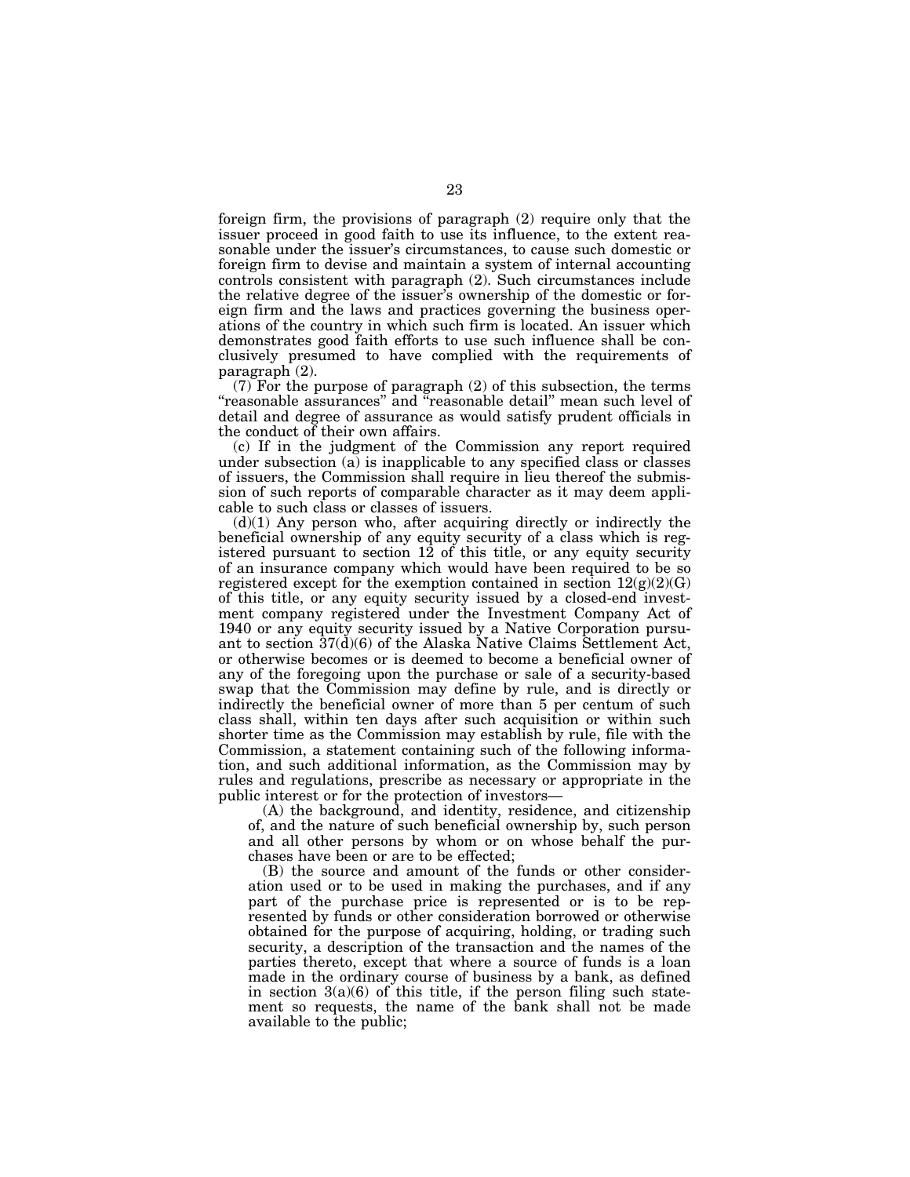foreign firm, the provisions of paragraph (2) require only that the issuer proceed in good faith to use its influence, to the extent reasonable under the issuer's circumstances, to cause such domestic or foreign firm to devise and maintain a system of internal accounting controls consistent with paragraph (2). Such circumstances include the relative degree of the issuer's ownership of the domestic or foreign firm and the laws and practices governing the business operations of the country in which such firm is located. An issuer which demonstrates good faith efforts to use such influence shall be conclusively presumed to have complied with the requirements of paragraph (2).

(7) For the purpose of paragraph (2) of this subsection, the terms "reasonable assurances" and "reasonable detail" mean such level of detail and degree of assurance as would satisfy prudent officials in the conduct of their own affairs.

(c) If in the judgment of the Commission any report required under subsection (a) is inapplicable to any specified class or classes of issuers, the Commission shall require in lieu thereof the submission of such reports of comparable character as it may deem applicable to such class or classes of issuers.

(d)(1) Any person who, after acquiring directly or indirectly the beneficial ownership of any equity security of a class which is registered pursuant to section 12 of this title, or any equity security of an insurance company which would have been required to be so registered except for the exemption contained in section  $12(g)(2)(G)$ of this title, or any equity security issued by a closed-end investment company registered under the Investment Company Act of 1940 or any equity security issued by a Native Corporation pursuant to section 37(d)(6) of the Alaska Native Claims Settlement Act, or otherwise becomes or is deemed to become a beneficial owner of any of the foregoing upon the purchase or sale of a security-based swap that the Commission may define by rule, and is directly or indirectly the beneficial owner of more than 5 per centum of such class shall, within ten days after such acquisition or within such shorter time as the Commission may establish by rule, file with the Commission, a statement containing such of the following information, and such additional information, as the Commission may by rules and regulations, prescribe as necessary or appropriate in the public interest or for the protection of investors—

(A) the background, and identity, residence, and citizenship of, and the nature of such beneficial ownership by, such person and all other persons by whom or on whose behalf the purchases have been or are to be effected;

(B) the source and amount of the funds or other consideration used or to be used in making the purchases, and if any part of the purchase price is represented or is to be represented by funds or other consideration borrowed or otherwise obtained for the purpose of acquiring, holding, or trading such security, a description of the transaction and the names of the parties thereto, except that where a source of funds is a loan made in the ordinary course of business by a bank, as defined in section  $3(a)(6)$  of this title, if the person filing such statement so requests, the name of the bank shall not be made available to the public;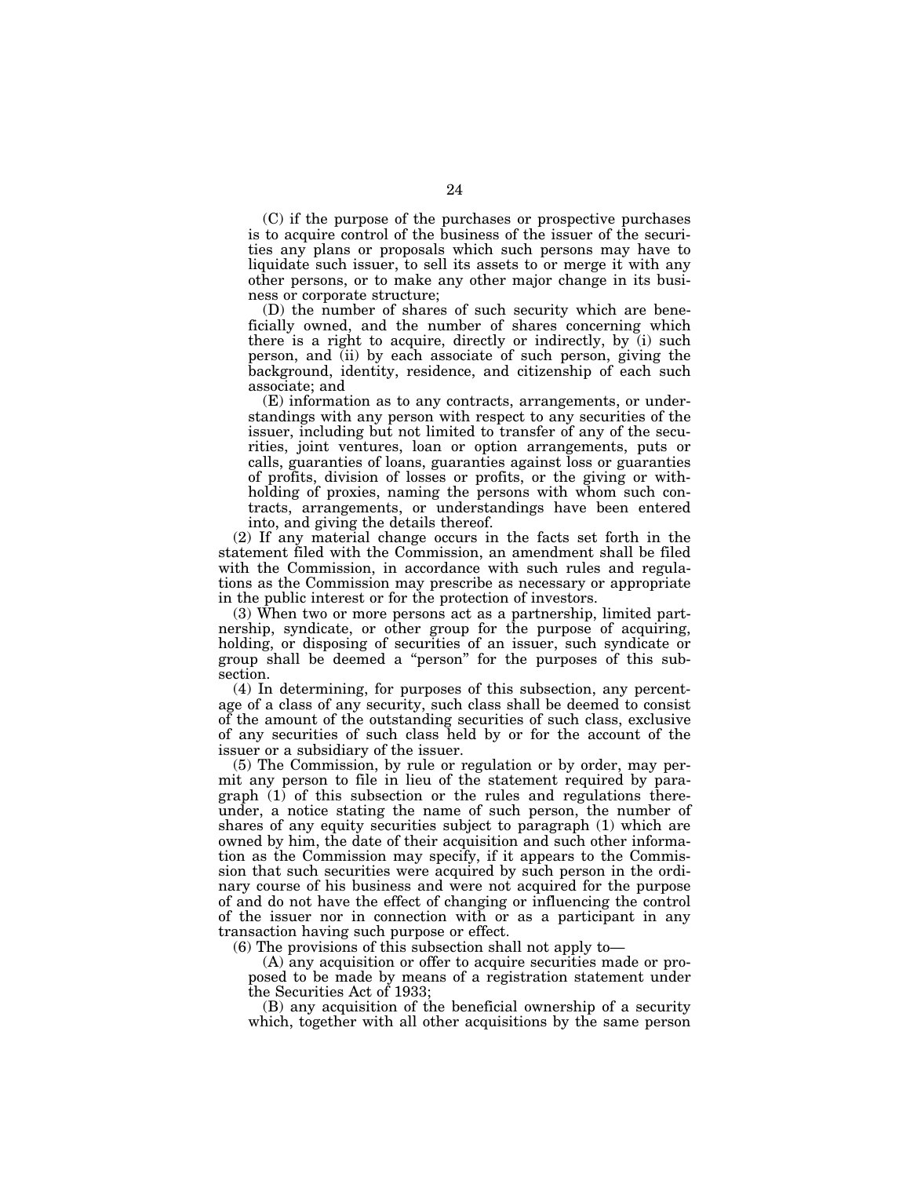(C) if the purpose of the purchases or prospective purchases is to acquire control of the business of the issuer of the securities any plans or proposals which such persons may have to liquidate such issuer, to sell its assets to or merge it with any other persons, or to make any other major change in its business or corporate structure;

(D) the number of shares of such security which are beneficially owned, and the number of shares concerning which there is a right to acquire, directly or indirectly, by (i) such person, and (ii) by each associate of such person, giving the background, identity, residence, and citizenship of each such associate; and

(E) information as to any contracts, arrangements, or understandings with any person with respect to any securities of the issuer, including but not limited to transfer of any of the securities, joint ventures, loan or option arrangements, puts or calls, guaranties of loans, guaranties against loss or guaranties of profits, division of losses or profits, or the giving or withholding of proxies, naming the persons with whom such contracts, arrangements, or understandings have been entered into, and giving the details thereof.

(2) If any material change occurs in the facts set forth in the statement filed with the Commission, an amendment shall be filed with the Commission, in accordance with such rules and regulations as the Commission may prescribe as necessary or appropriate in the public interest or for the protection of investors.

(3) When two or more persons act as a partnership, limited partnership, syndicate, or other group for the purpose of acquiring, holding, or disposing of securities of an issuer, such syndicate or group shall be deemed a ''person'' for the purposes of this subsection.

(4) In determining, for purposes of this subsection, any percentage of a class of any security, such class shall be deemed to consist of the amount of the outstanding securities of such class, exclusive of any securities of such class held by or for the account of the issuer or a subsidiary of the issuer.

(5) The Commission, by rule or regulation or by order, may permit any person to file in lieu of the statement required by paragraph (1) of this subsection or the rules and regulations thereunder, a notice stating the name of such person, the number of shares of any equity securities subject to paragraph (1) which are owned by him, the date of their acquisition and such other information as the Commission may specify, if it appears to the Commission that such securities were acquired by such person in the ordinary course of his business and were not acquired for the purpose of and do not have the effect of changing or influencing the control of the issuer nor in connection with or as a participant in any transaction having such purpose or effect.

(6) The provisions of this subsection shall not apply to—

(A) any acquisition or offer to acquire securities made or proposed to be made by means of a registration statement under the Securities Act of 1933;

(B) any acquisition of the beneficial ownership of a security which, together with all other acquisitions by the same person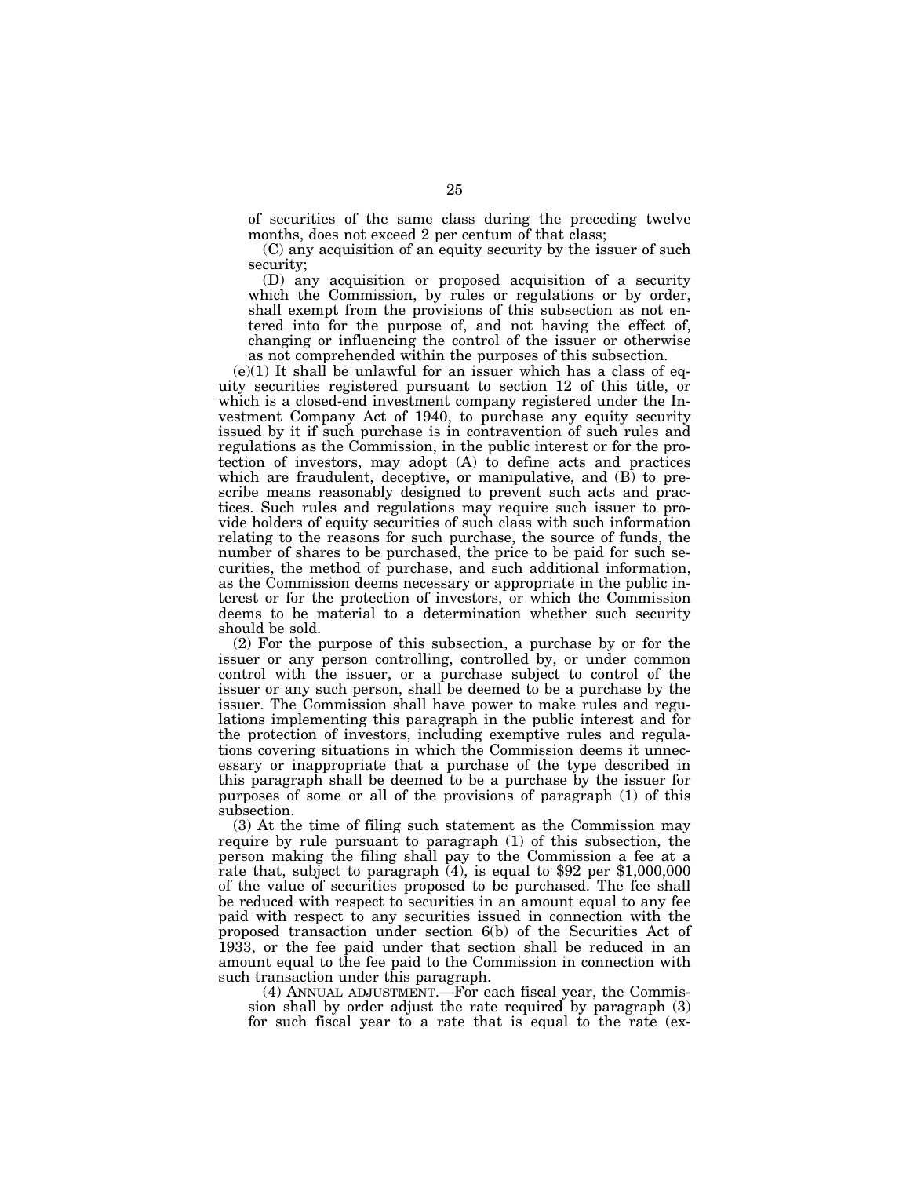of securities of the same class during the preceding twelve months, does not exceed 2 per centum of that class;

(C) any acquisition of an equity security by the issuer of such security;

(D) any acquisition or proposed acquisition of a security which the Commission, by rules or regulations or by order, shall exempt from the provisions of this subsection as not entered into for the purpose of, and not having the effect of, changing or influencing the control of the issuer or otherwise as not comprehended within the purposes of this subsection.

 $(e)(1)$  It shall be unlawful for an issuer which has a class of equity securities registered pursuant to section 12 of this title, or which is a closed-end investment company registered under the Investment Company Act of 1940, to purchase any equity security issued by it if such purchase is in contravention of such rules and regulations as the Commission, in the public interest or for the protection of investors, may adopt (A) to define acts and practices which are fraudulent, deceptive, or manipulative, and (B) to prescribe means reasonably designed to prevent such acts and practices. Such rules and regulations may require such issuer to provide holders of equity securities of such class with such information relating to the reasons for such purchase, the source of funds, the number of shares to be purchased, the price to be paid for such securities, the method of purchase, and such additional information, as the Commission deems necessary or appropriate in the public interest or for the protection of investors, or which the Commission deems to be material to a determination whether such security should be sold.

(2) For the purpose of this subsection, a purchase by or for the issuer or any person controlling, controlled by, or under common control with the issuer, or a purchase subject to control of the issuer or any such person, shall be deemed to be a purchase by the issuer. The Commission shall have power to make rules and regulations implementing this paragraph in the public interest and for the protection of investors, including exemptive rules and regulations covering situations in which the Commission deems it unnecessary or inappropriate that a purchase of the type described in this paragraph shall be deemed to be a purchase by the issuer for purposes of some or all of the provisions of paragraph (1) of this subsection.

(3) At the time of filing such statement as the Commission may require by rule pursuant to paragraph (1) of this subsection, the person making the filing shall pay to the Commission a fee at a rate that, subject to paragraph (4), is equal to \$92 per \$1,000,000 of the value of securities proposed to be purchased. The fee shall be reduced with respect to securities in an amount equal to any fee paid with respect to any securities issued in connection with the proposed transaction under section 6(b) of the Securities Act of 1933, or the fee paid under that section shall be reduced in an amount equal to the fee paid to the Commission in connection with such transaction under this paragraph.

(4) ANNUAL ADJUSTMENT.—For each fiscal year, the Commission shall by order adjust the rate required by paragraph (3) for such fiscal year to a rate that is equal to the rate (ex-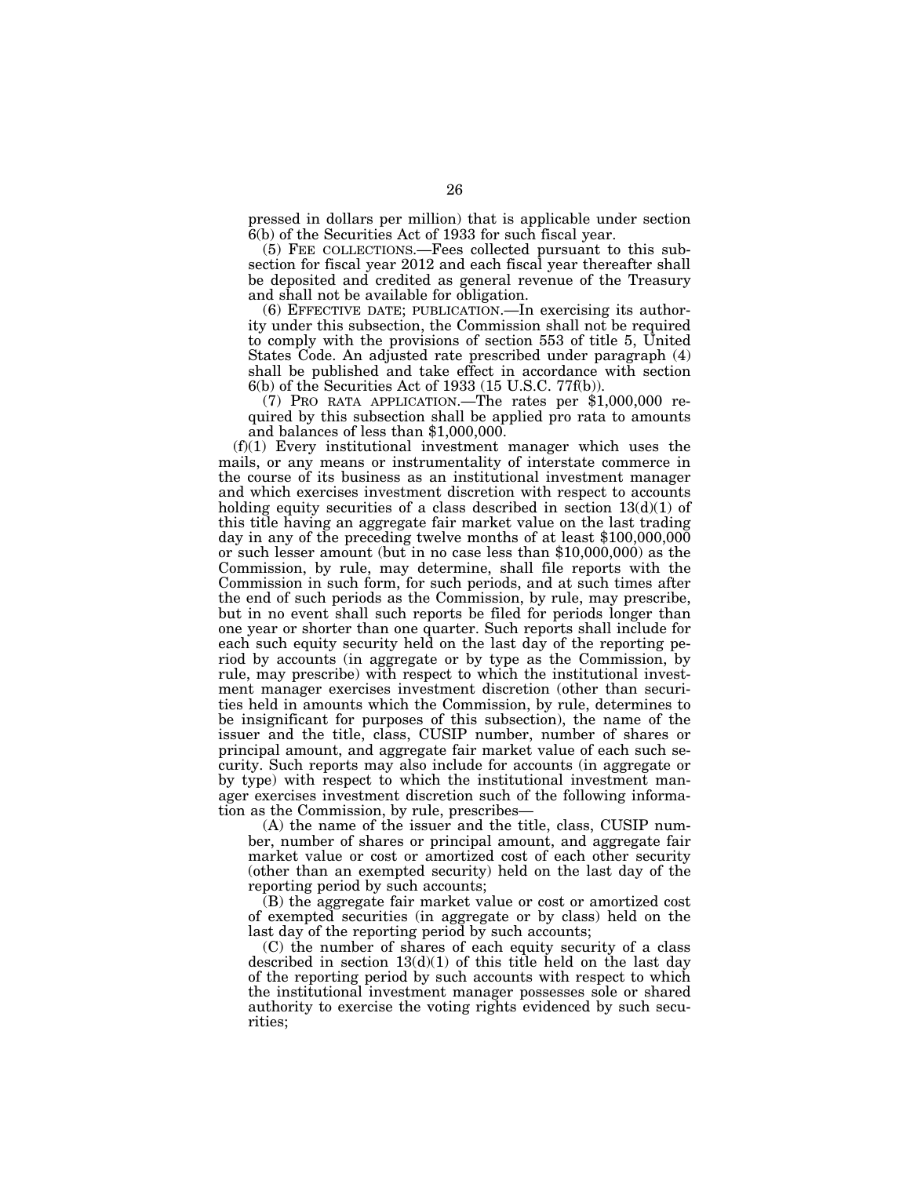pressed in dollars per million) that is applicable under section 6(b) of the Securities Act of 1933 for such fiscal year.

(5) FEE COLLECTIONS.—Fees collected pursuant to this subsection for fiscal year 2012 and each fiscal year thereafter shall be deposited and credited as general revenue of the Treasury and shall not be available for obligation.

(6) EFFECTIVE DATE; PUBLICATION.—In exercising its authority under this subsection, the Commission shall not be required to comply with the provisions of section 553 of title 5, United States Code. An adjusted rate prescribed under paragraph (4) shall be published and take effect in accordance with section 6(b) of the Securities Act of 1933 (15 U.S.C. 77f(b)).

(7) PRO RATA APPLICATION.—The rates per \$1,000,000 required by this subsection shall be applied pro rata to amounts and balances of less than \$1,000,000.

(f)(1) Every institutional investment manager which uses the mails, or any means or instrumentality of interstate commerce in the course of its business as an institutional investment manager and which exercises investment discretion with respect to accounts holding equity securities of a class described in section  $13(d)(1)$  of this title having an aggregate fair market value on the last trading day in any of the preceding twelve months of at least \$100,000,000 or such lesser amount (but in no case less than \$10,000,000) as the Commission, by rule, may determine, shall file reports with the Commission in such form, for such periods, and at such times after the end of such periods as the Commission, by rule, may prescribe, but in no event shall such reports be filed for periods longer than one year or shorter than one quarter. Such reports shall include for each such equity security held on the last day of the reporting period by accounts (in aggregate or by type as the Commission, by rule, may prescribe) with respect to which the institutional investment manager exercises investment discretion (other than securities held in amounts which the Commission, by rule, determines to be insignificant for purposes of this subsection), the name of the issuer and the title, class, CUSIP number, number of shares or principal amount, and aggregate fair market value of each such security. Such reports may also include for accounts (in aggregate or by type) with respect to which the institutional investment manager exercises investment discretion such of the following information as the Commission, by rule, prescribes—

(A) the name of the issuer and the title, class, CUSIP number, number of shares or principal amount, and aggregate fair market value or cost or amortized cost of each other security (other than an exempted security) held on the last day of the reporting period by such accounts;

(B) the aggregate fair market value or cost or amortized cost of exempted securities (in aggregate or by class) held on the last day of the reporting period by such accounts;

(C) the number of shares of each equity security of a class described in section  $13(d)(1)$  of this title held on the last day of the reporting period by such accounts with respect to which the institutional investment manager possesses sole or shared authority to exercise the voting rights evidenced by such securities;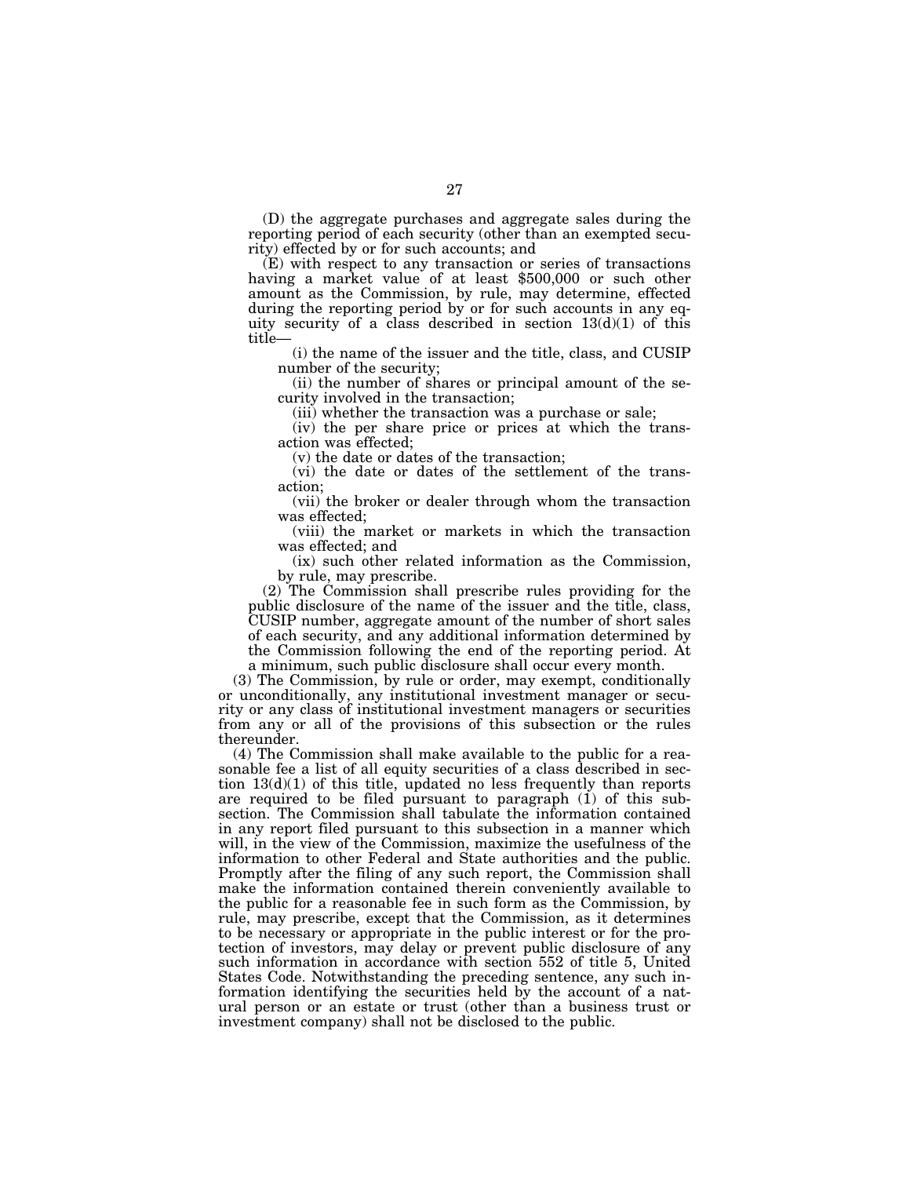(D) the aggregate purchases and aggregate sales during the reporting period of each security (other than an exempted security) effected by or for such accounts; and<br>(E) with respect to any transaction or series of transactions

having a market value of at least \$500,000 or such other amount as the Commission, by rule, may determine, effected during the reporting period by or for such accounts in any equity security of a class described in section  $13(d)(1)$  of this title—

(i) the name of the issuer and the title, class, and CUSIP number of the security;

(ii) the number of shares or principal amount of the security involved in the transaction;

(iii) whether the transaction was a purchase or sale;

(iv) the per share price or prices at which the transaction was effected;

(v) the date or dates of the transaction;

(vi) the date or dates of the settlement of the transaction;

(vii) the broker or dealer through whom the transaction was effected;

(viii) the market or markets in which the transaction was effected; and

(ix) such other related information as the Commission, by rule, may prescribe.

(2) The Commission shall prescribe rules providing for the public disclosure of the name of the issuer and the title, class, CUSIP number, aggregate amount of the number of short sales of each security, and any additional information determined by the Commission following the end of the reporting period. At a minimum, such public disclosure shall occur every month.

(3) The Commission, by rule or order, may exempt, conditionally or unconditionally, any institutional investment manager or security or any class of institutional investment managers or securities from any or all of the provisions of this subsection or the rules thereunder.

(4) The Commission shall make available to the public for a reasonable fee a list of all equity securities of a class described in section 13(d)(1) of this title, updated no less frequently than reports are required to be filed pursuant to paragraph (1) of this subsection. The Commission shall tabulate the information contained in any report filed pursuant to this subsection in a manner which will, in the view of the Commission, maximize the usefulness of the information to other Federal and State authorities and the public. Promptly after the filing of any such report, the Commission shall make the information contained therein conveniently available to the public for a reasonable fee in such form as the Commission, by rule, may prescribe, except that the Commission, as it determines to be necessary or appropriate in the public interest or for the protection of investors, may delay or prevent public disclosure of any such information in accordance with section 552 of title 5, United States Code. Notwithstanding the preceding sentence, any such information identifying the securities held by the account of a natural person or an estate or trust (other than a business trust or investment company) shall not be disclosed to the public.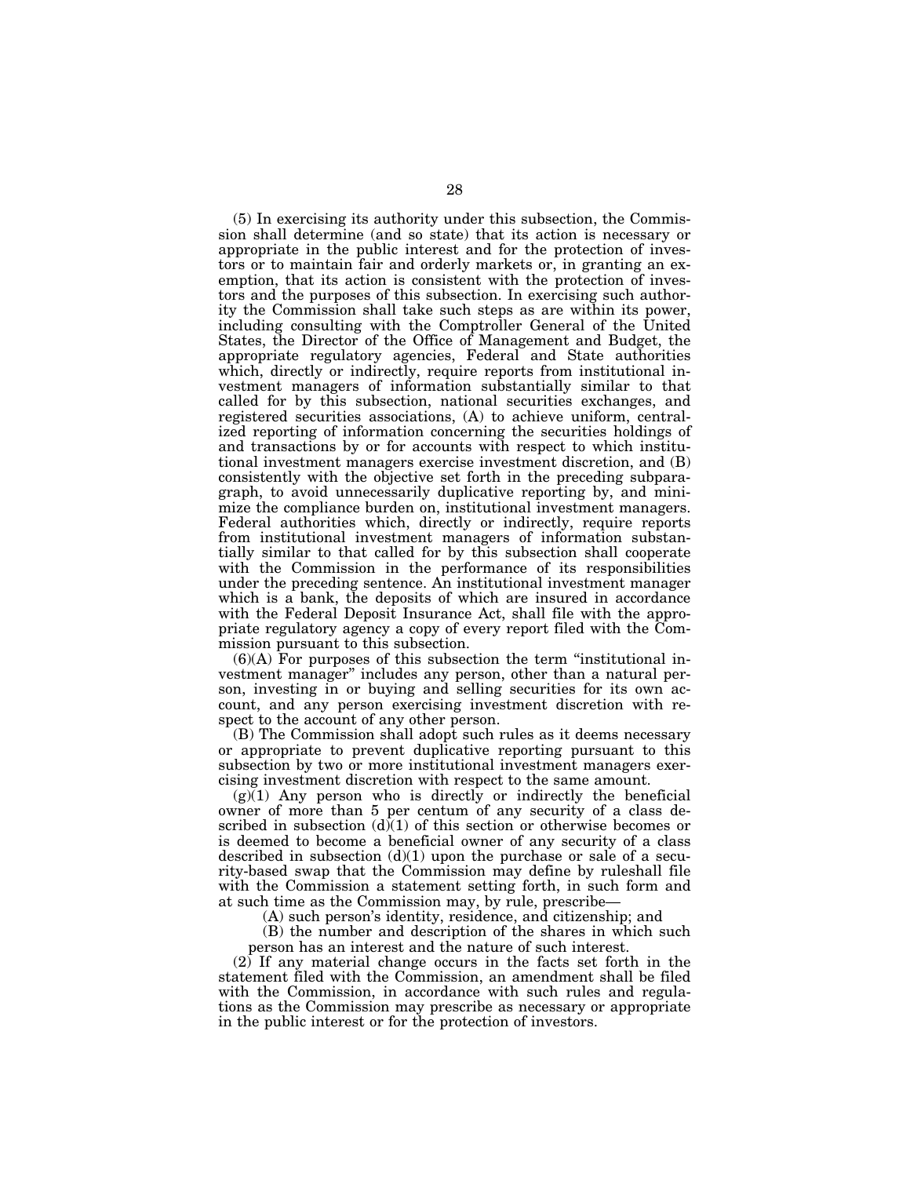(5) In exercising its authority under this subsection, the Commission shall determine (and so state) that its action is necessary or appropriate in the public interest and for the protection of investors or to maintain fair and orderly markets or, in granting an exemption, that its action is consistent with the protection of investors and the purposes of this subsection. In exercising such authority the Commission shall take such steps as are within its power, including consulting with the Comptroller General of the United States, the Director of the Office of Management and Budget, the appropriate regulatory agencies, Federal and State authorities which, directly or indirectly, require reports from institutional investment managers of information substantially similar to that called for by this subsection, national securities exchanges, and registered securities associations, (A) to achieve uniform, centralized reporting of information concerning the securities holdings of and transactions by or for accounts with respect to which institutional investment managers exercise investment discretion, and (B) consistently with the objective set forth in the preceding subparagraph, to avoid unnecessarily duplicative reporting by, and minimize the compliance burden on, institutional investment managers. Federal authorities which, directly or indirectly, require reports from institutional investment managers of information substantially similar to that called for by this subsection shall cooperate with the Commission in the performance of its responsibilities under the preceding sentence. An institutional investment manager which is a bank, the deposits of which are insured in accordance with the Federal Deposit Insurance Act, shall file with the appropriate regulatory agency a copy of every report filed with the Commission pursuant to this subsection.

 $(6)(A)$  For purposes of this subsection the term "institutional investment manager'' includes any person, other than a natural person, investing in or buying and selling securities for its own account, and any person exercising investment discretion with respect to the account of any other person.

(B) The Commission shall adopt such rules as it deems necessary or appropriate to prevent duplicative reporting pursuant to this subsection by two or more institutional investment managers exercising investment discretion with respect to the same amount.

 $(g(1)$  Any person who is directly or indirectly the beneficial owner of more than 5 per centum of any security of a class described in subsection (d)(1) of this section or otherwise becomes or is deemed to become a beneficial owner of any security of a class described in subsection  $(d)(1)$  upon the purchase or sale of a security-based swap that the Commission may define by ruleshall file with the Commission a statement setting forth, in such form and at such time as the Commission may, by rule, prescribe—

(A) such person's identity, residence, and citizenship; and

(B) the number and description of the shares in which such person has an interest and the nature of such interest.

(2) If any material change occurs in the facts set forth in the statement filed with the Commission, an amendment shall be filed with the Commission, in accordance with such rules and regulations as the Commission may prescribe as necessary or appropriate in the public interest or for the protection of investors.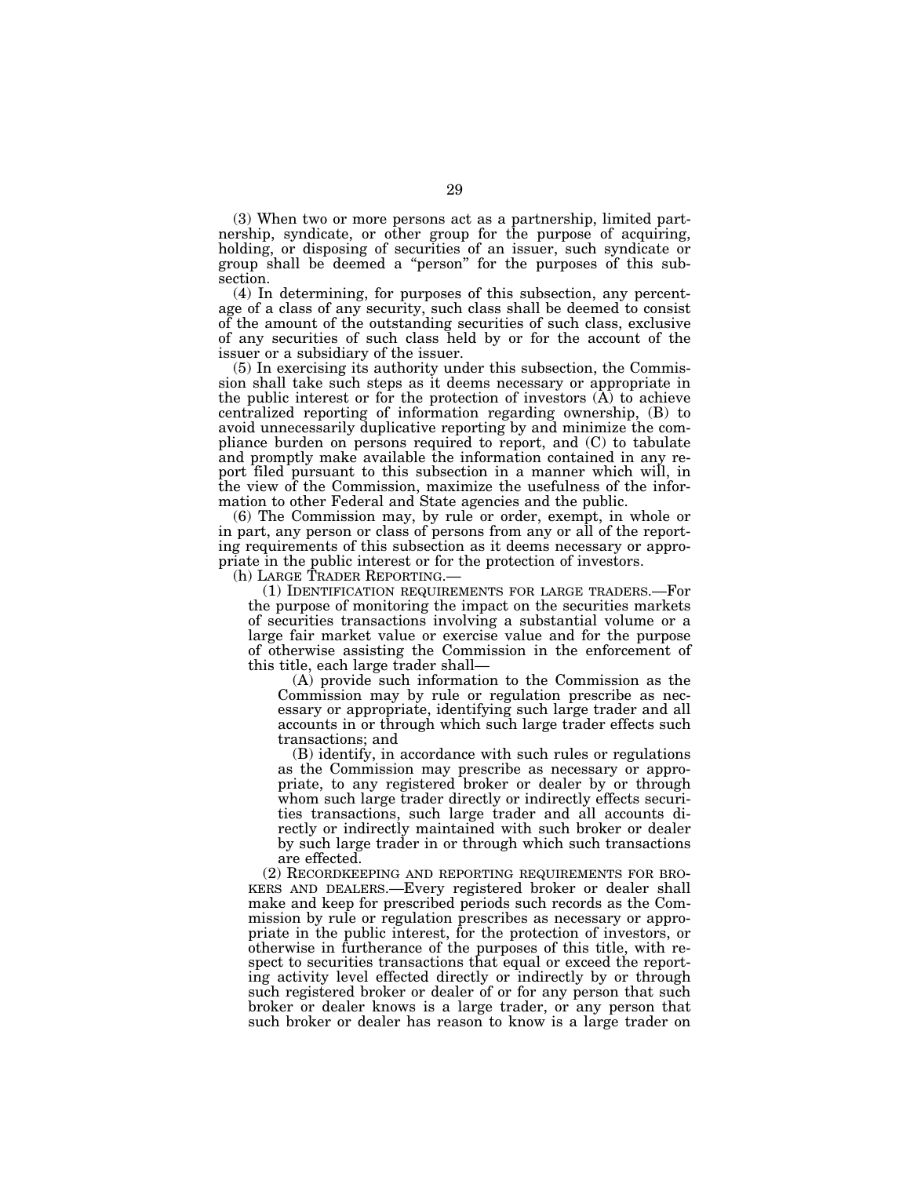(3) When two or more persons act as a partnership, limited partnership, syndicate, or other group for the purpose of acquiring, holding, or disposing of securities of an issuer, such syndicate or group shall be deemed a ''person'' for the purposes of this subsection.

(4) In determining, for purposes of this subsection, any percentage of a class of any security, such class shall be deemed to consist of the amount of the outstanding securities of such class, exclusive of any securities of such class held by or for the account of the issuer or a subsidiary of the issuer.

(5) In exercising its authority under this subsection, the Commission shall take such steps as it deems necessary or appropriate in the public interest or for the protection of investors  $(\tilde{A})$  to achieve centralized reporting of information regarding ownership, (B) to avoid unnecessarily duplicative reporting by and minimize the compliance burden on persons required to report, and (C) to tabulate and promptly make available the information contained in any report filed pursuant to this subsection in a manner which will, in the view of the Commission, maximize the usefulness of the information to other Federal and State agencies and the public.

(6) The Commission may, by rule or order, exempt, in whole or in part, any person or class of persons from any or all of the reporting requirements of this subsection as it deems necessary or appropriate in the public interest or for the protection of investors.

(h) LARGE TRADER REPORTING.— (1) IDENTIFICATION REQUIREMENTS FOR LARGE TRADERS.—For the purpose of monitoring the impact on the securities markets of securities transactions involving a substantial volume or a large fair market value or exercise value and for the purpose of otherwise assisting the Commission in the enforcement of this title, each large trader shall—

(A) provide such information to the Commission as the Commission may by rule or regulation prescribe as necessary or appropriate, identifying such large trader and all accounts in or through which such large trader effects such transactions; and

(B) identify, in accordance with such rules or regulations as the Commission may prescribe as necessary or appropriate, to any registered broker or dealer by or through whom such large trader directly or indirectly effects securities transactions, such large trader and all accounts directly or indirectly maintained with such broker or dealer by such large trader in or through which such transactions are effected.

(2) RECORDKEEPING AND REPORTING REQUIREMENTS FOR BRO-KERS AND DEALERS.—Every registered broker or dealer shall make and keep for prescribed periods such records as the Commission by rule or regulation prescribes as necessary or appropriate in the public interest, for the protection of investors, or otherwise in furtherance of the purposes of this title, with respect to securities transactions that equal or exceed the reporting activity level effected directly or indirectly by or through such registered broker or dealer of or for any person that such broker or dealer knows is a large trader, or any person that such broker or dealer has reason to know is a large trader on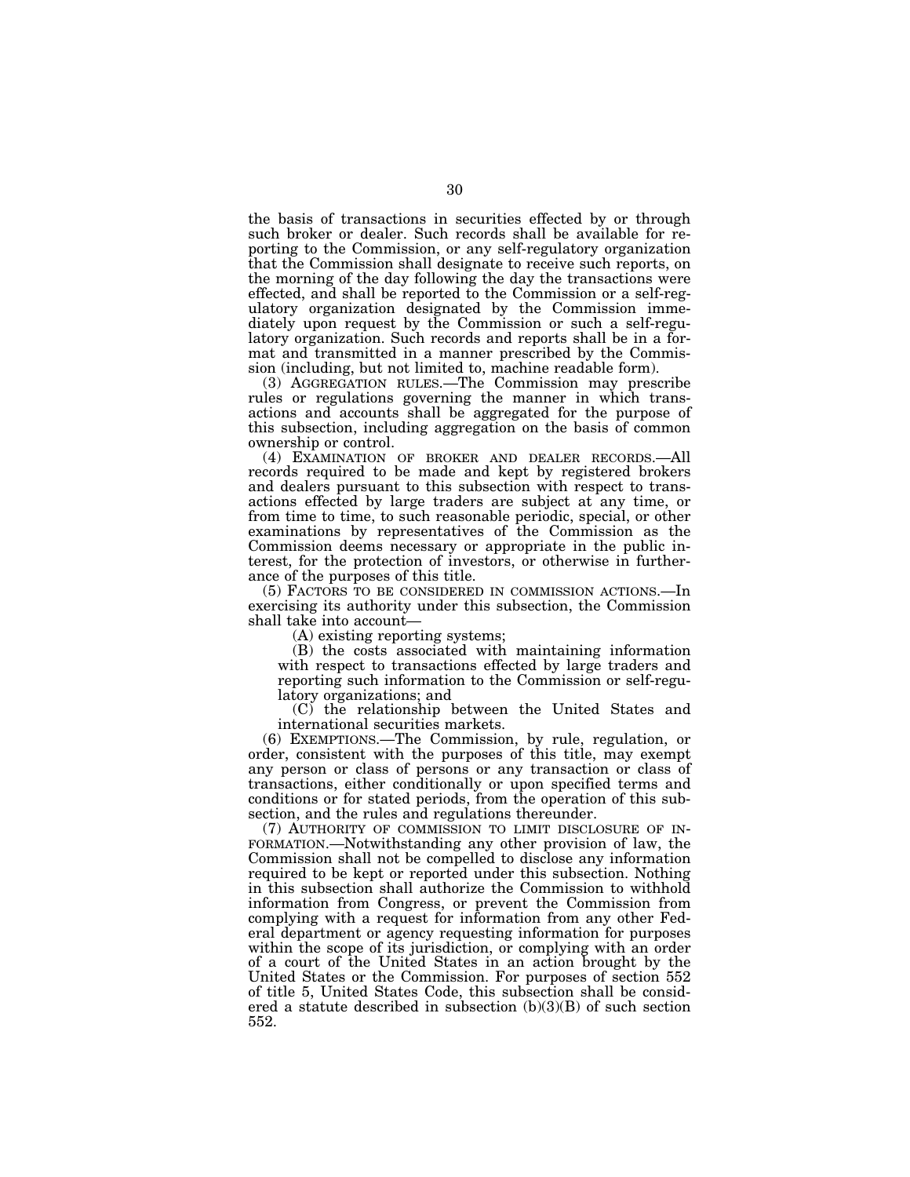the basis of transactions in securities effected by or through such broker or dealer. Such records shall be available for reporting to the Commission, or any self-regulatory organization that the Commission shall designate to receive such reports, on the morning of the day following the day the transactions were effected, and shall be reported to the Commission or a self-regulatory organization designated by the Commission immediately upon request by the Commission or such a self-regulatory organization. Such records and reports shall be in a format and transmitted in a manner prescribed by the Commission (including, but not limited to, machine readable form).

(3) AGGREGATION RULES.—The Commission may prescribe rules or regulations governing the manner in which transactions and accounts shall be aggregated for the purpose of this subsection, including aggregation on the basis of common ownership or control.

(4) EXAMINATION OF BROKER AND DEALER RECORDS.—All records required to be made and kept by registered brokers and dealers pursuant to this subsection with respect to transactions effected by large traders are subject at any time, or from time to time, to such reasonable periodic, special, or other examinations by representatives of the Commission as the Commission deems necessary or appropriate in the public interest, for the protection of investors, or otherwise in furtherance of the purposes of this title.

(5) FACTORS TO BE CONSIDERED IN COMMISSION ACTIONS.—In exercising its authority under this subsection, the Commission shall take into account—

(A) existing reporting systems;

(B) the costs associated with maintaining information with respect to transactions effected by large traders and reporting such information to the Commission or self-regulatory organizations; and

(C) the relationship between the United States and international securities markets.

(6) EXEMPTIONS.—The Commission, by rule, regulation, or order, consistent with the purposes of this title, may exempt any person or class of persons or any transaction or class of transactions, either conditionally or upon specified terms and conditions or for stated periods, from the operation of this subsection, and the rules and regulations thereunder.

(7) AUTHORITY OF COMMISSION TO LIMIT DISCLOSURE OF IN-FORMATION.—Notwithstanding any other provision of law, the Commission shall not be compelled to disclose any information required to be kept or reported under this subsection. Nothing in this subsection shall authorize the Commission to withhold information from Congress, or prevent the Commission from complying with a request for information from any other Federal department or agency requesting information for purposes within the scope of its jurisdiction, or complying with an order of a court of the United States in an action brought by the United States or the Commission. For purposes of section 552 of title 5, United States Code, this subsection shall be considered a statute described in subsection  $(b)(3)(B)$  of such section 552.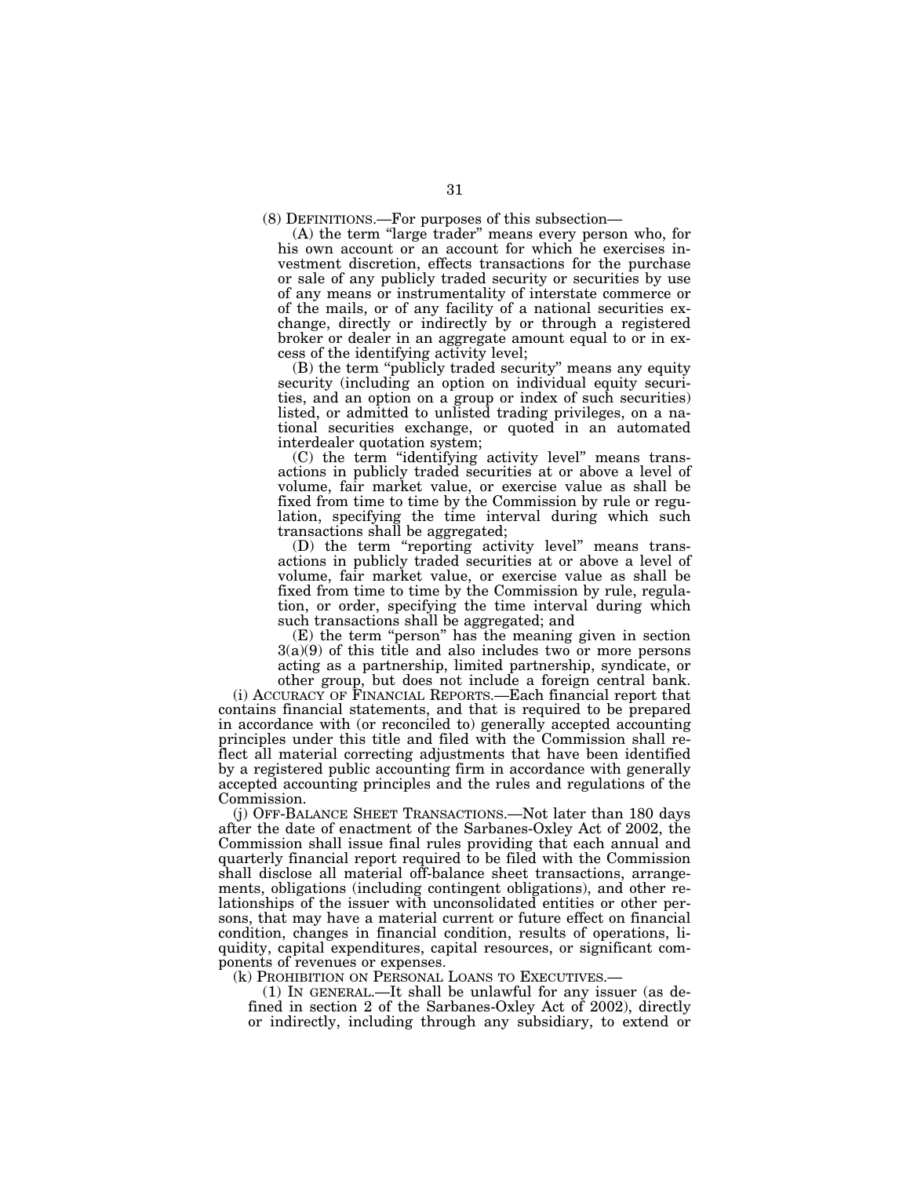(8) DEFINITIONS.—For purposes of this subsection—

(A) the term "large trader" means every person who, for his own account or an account for which he exercises investment discretion, effects transactions for the purchase or sale of any publicly traded security or securities by use of any means or instrumentality of interstate commerce or of the mails, or of any facility of a national securities exchange, directly or indirectly by or through a registered broker or dealer in an aggregate amount equal to or in excess of the identifying activity level;

(B) the term ''publicly traded security'' means any equity security (including an option on individual equity securities, and an option on a group or index of such securities) listed, or admitted to unlisted trading privileges, on a national securities exchange, or quoted in an automated interdealer quotation system;

(C) the term ''identifying activity level'' means transactions in publicly traded securities at or above a level of volume, fair market value, or exercise value as shall be fixed from time to time by the Commission by rule or regulation, specifying the time interval during which such transactions shall be aggregated;

(D) the term "reporting activity level" means transactions in publicly traded securities at or above a level of volume, fair market value, or exercise value as shall be fixed from time to time by the Commission by rule, regulation, or order, specifying the time interval during which such transactions shall be aggregated; and

(E) the term ''person'' has the meaning given in section 3(a)(9) of this title and also includes two or more persons acting as a partnership, limited partnership, syndicate, or other group, but does not include a foreign central bank.

(i) ACCURACY OF FINANCIAL REPORTS.—Each financial report that contains financial statements, and that is required to be prepared in accordance with (or reconciled to) generally accepted accounting principles under this title and filed with the Commission shall reflect all material correcting adjustments that have been identified by a registered public accounting firm in accordance with generally accepted accounting principles and the rules and regulations of the Commission.

(j) OFF-BALANCE SHEET TRANSACTIONS.—Not later than 180 days after the date of enactment of the Sarbanes-Oxley Act of 2002, the Commission shall issue final rules providing that each annual and quarterly financial report required to be filed with the Commission shall disclose all material off-balance sheet transactions, arrangements, obligations (including contingent obligations), and other relationships of the issuer with unconsolidated entities or other persons, that may have a material current or future effect on financial condition, changes in financial condition, results of operations, liquidity, capital expenditures, capital resources, or significant components of revenues or expenses.<br>(k) Prohibition on Personal Loans to Executives.—

(1) IN GENERAL.—It shall be unlawful for any issuer (as defined in section 2 of the Sarbanes-Oxley Act of 2002), directly or indirectly, including through any subsidiary, to extend or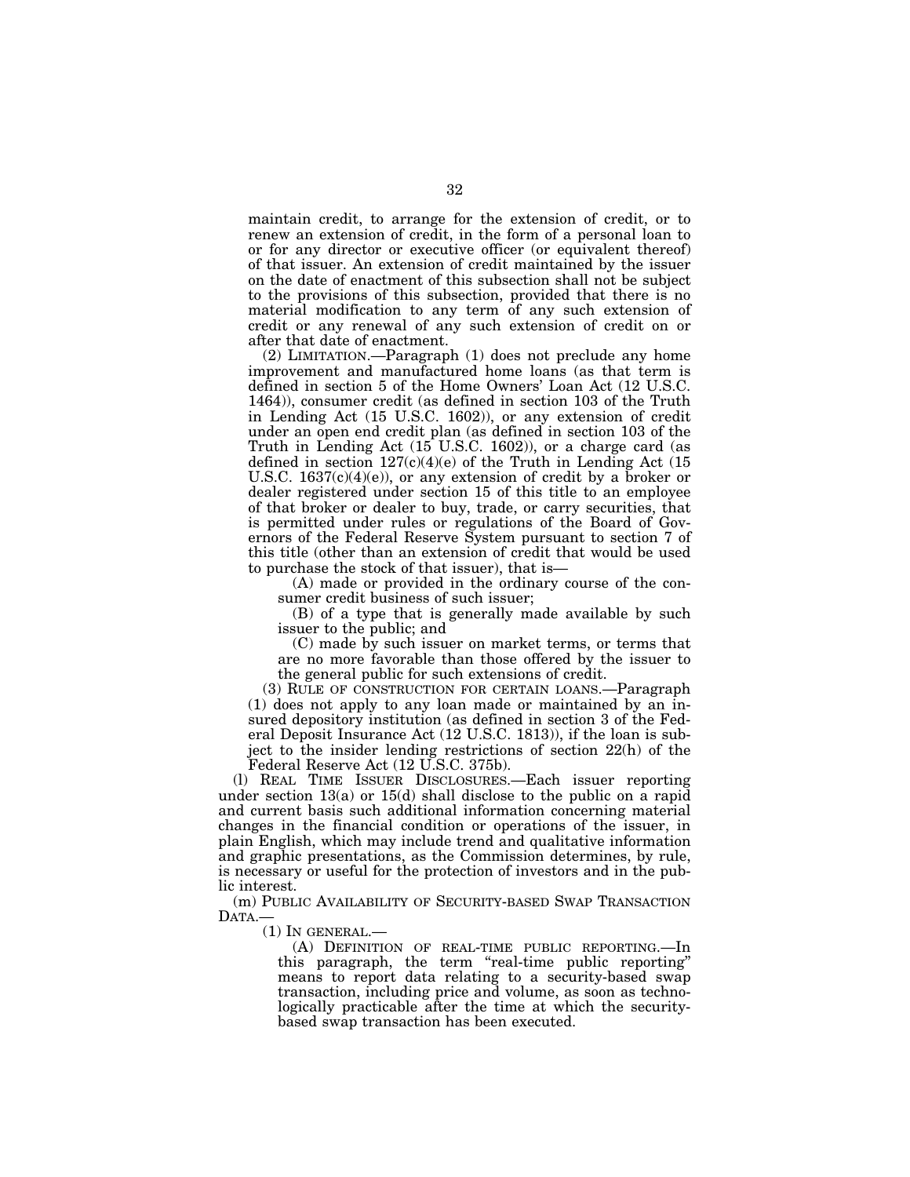maintain credit, to arrange for the extension of credit, or to renew an extension of credit, in the form of a personal loan to or for any director or executive officer (or equivalent thereof) of that issuer. An extension of credit maintained by the issuer on the date of enactment of this subsection shall not be subject to the provisions of this subsection, provided that there is no material modification to any term of any such extension of credit or any renewal of any such extension of credit on or after that date of enactment.

(2) LIMITATION.—Paragraph (1) does not preclude any home improvement and manufactured home loans (as that term is defined in section 5 of the Home Owners' Loan Act (12 U.S.C. 1464)), consumer credit (as defined in section 103 of the Truth in Lending Act (15 U.S.C. 1602)), or any extension of credit under an open end credit plan (as defined in section 103 of the Truth in Lending Act (15 U.S.C. 1602)), or a charge card (as defined in section  $127(c)(4)(e)$  of the Truth in Lending Act (15 U.S.C. 1637(c)(4)(e)), or any extension of credit by a broker or dealer registered under section 15 of this title to an employee of that broker or dealer to buy, trade, or carry securities, that is permitted under rules or regulations of the Board of Governors of the Federal Reserve System pursuant to section 7 of this title (other than an extension of credit that would be used to purchase the stock of that issuer), that is—

(A) made or provided in the ordinary course of the consumer credit business of such issuer;

(B) of a type that is generally made available by such issuer to the public; and

(C) made by such issuer on market terms, or terms that are no more favorable than those offered by the issuer to the general public for such extensions of credit.

(3) RULE OF CONSTRUCTION FOR CERTAIN LOANS.—Paragraph (1) does not apply to any loan made or maintained by an insured depository institution (as defined in section 3 of the Federal Deposit Insurance Act (12 U.S.C. 1813)), if the loan is subject to the insider lending restrictions of section 22(h) of the Federal Reserve Act (12 U.S.C. 375b).

(l) REAL TIME ISSUER DISCLOSURES.—Each issuer reporting under section 13(a) or 15(d) shall disclose to the public on a rapid and current basis such additional information concerning material changes in the financial condition or operations of the issuer, in plain English, which may include trend and qualitative information and graphic presentations, as the Commission determines, by rule, is necessary or useful for the protection of investors and in the public interest.

(m) PUBLIC AVAILABILITY OF SECURITY-BASED SWAP TRANSACTION DATA.—

(1) IN GENERAL.—

(A) DEFINITION OF REAL-TIME PUBLIC REPORTING.—In this paragraph, the term "real-time public reporting" means to report data relating to a security-based swap transaction, including price and volume, as soon as technologically practicable after the time at which the securitybased swap transaction has been executed.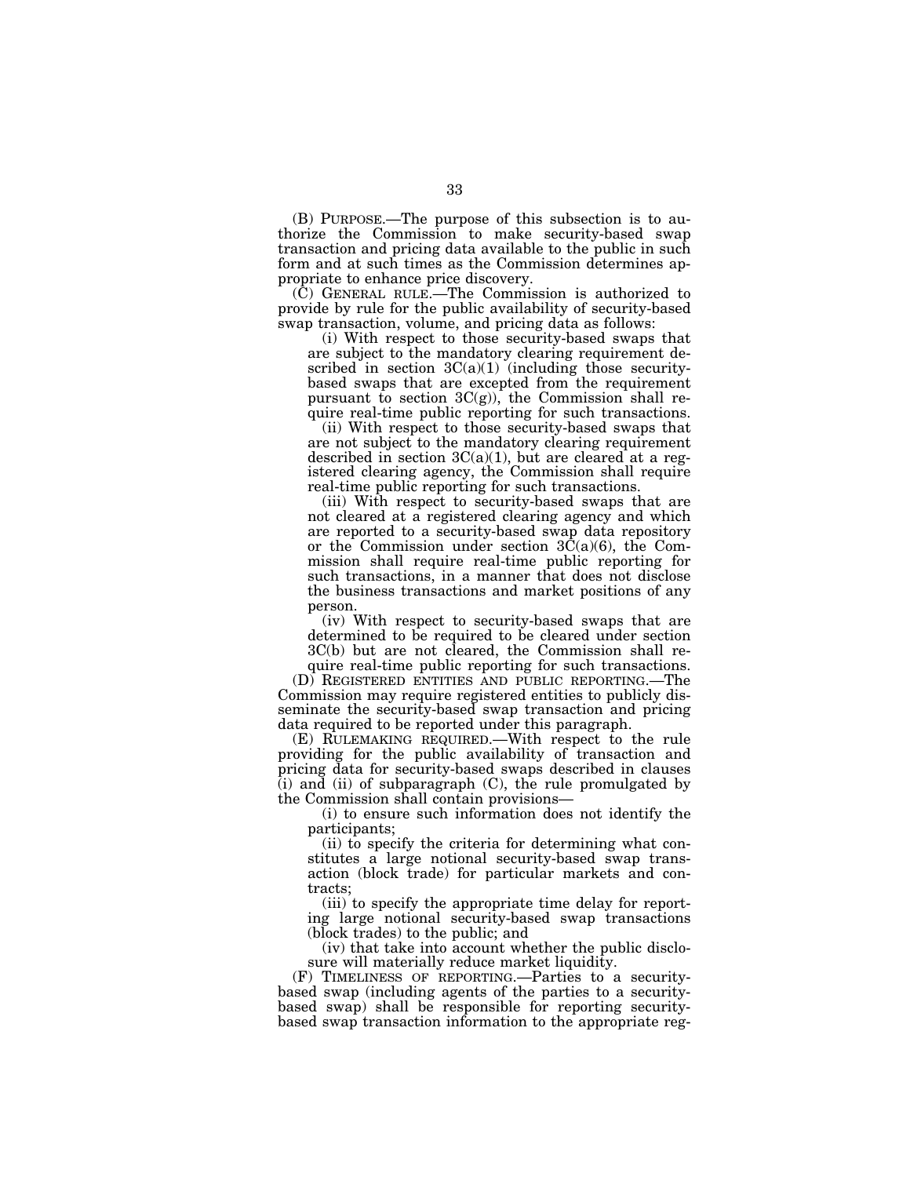(B) PURPOSE.—The purpose of this subsection is to authorize the Commission to make security-based swap transaction and pricing data available to the public in such form and at such times as the Commission determines appropriate to enhance price discovery.

(C) GENERAL RULE.—The Commission is authorized to provide by rule for the public availability of security-based swap transaction, volume, and pricing data as follows:

(i) With respect to those security-based swaps that are subject to the mandatory clearing requirement described in section  $3C(a)(1)$  (including those securitybased swaps that are excepted from the requirement pursuant to section  $3C(g)$ , the Commission shall require real-time public reporting for such transactions.

(ii) With respect to those security-based swaps that are not subject to the mandatory clearing requirement described in section  $3C(a)(1)$ , but are cleared at a registered clearing agency, the Commission shall require real-time public reporting for such transactions.

(iii) With respect to security-based swaps that are not cleared at a registered clearing agency and which are reported to a security-based swap data repository or the Commission under section  $3\hat{C}(\alpha)(6)$ , the Commission shall require real-time public reporting for such transactions, in a manner that does not disclose the business transactions and market positions of any person.

(iv) With respect to security-based swaps that are determined to be required to be cleared under section 3C(b) but are not cleared, the Commission shall re-

quire real-time public reporting for such transactions. (D) REGISTERED ENTITIES AND PUBLIC REPORTING.—The Commission may require registered entities to publicly disseminate the security-based swap transaction and pricing data required to be reported under this paragraph.

(E) RULEMAKING REQUIRED.—With respect to the rule providing for the public availability of transaction and pricing data for security-based swaps described in clauses  $(i)$  and  $(ii)$  of subparagraph  $(C)$ , the rule promulgated by the Commission shall contain provisions—

(i) to ensure such information does not identify the participants;

(ii) to specify the criteria for determining what constitutes a large notional security-based swap transaction (block trade) for particular markets and contracts;

(iii) to specify the appropriate time delay for reporting large notional security-based swap transactions (block trades) to the public; and

(iv) that take into account whether the public disclosure will materially reduce market liquidity.

(F) TIMELINESS OF REPORTING.—Parties to a securitybased swap (including agents of the parties to a securitybased swap) shall be responsible for reporting securitybased swap transaction information to the appropriate reg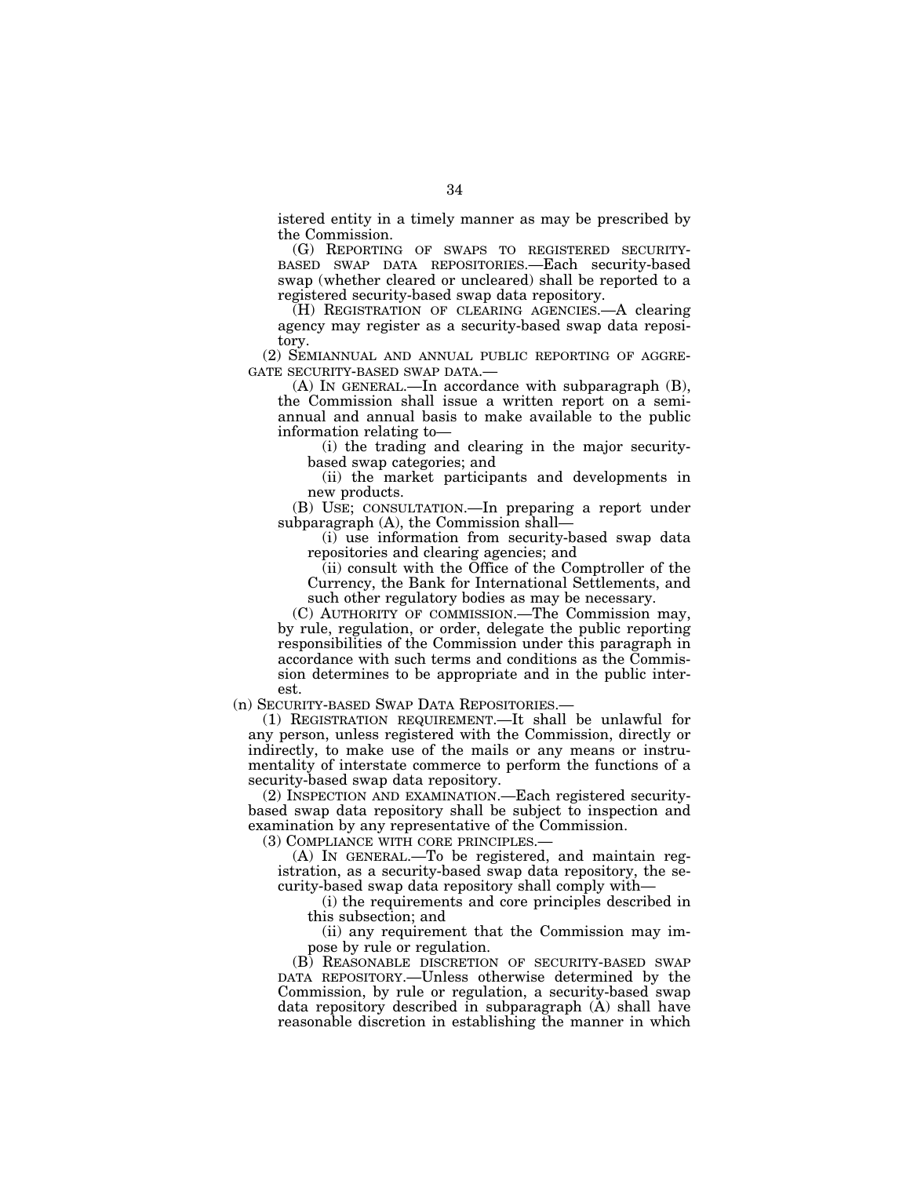istered entity in a timely manner as may be prescribed by the Commission.

(G) REPORTING OF SWAPS TO REGISTERED SECURITY-BASED SWAP DATA REPOSITORIES.—Each security-based swap (whether cleared or uncleared) shall be reported to a registered security-based swap data repository.

(H) REGISTRATION OF CLEARING AGENCIES.—A clearing agency may register as a security-based swap data repository.

(2) SEMIANNUAL AND ANNUAL PUBLIC REPORTING OF AGGRE-GATE SECURITY-BASED SWAP DATA.—

(A) IN GENERAL.—In accordance with subparagraph (B), the Commission shall issue a written report on a semiannual and annual basis to make available to the public information relating to—

(i) the trading and clearing in the major securitybased swap categories; and

(ii) the market participants and developments in new products.

(B) USE; CONSULTATION.—In preparing a report under subparagraph (A), the Commission shall—

(i) use information from security-based swap data repositories and clearing agencies; and

(ii) consult with the Office of the Comptroller of the Currency, the Bank for International Settlements, and such other regulatory bodies as may be necessary.

(C) AUTHORITY OF COMMISSION.—The Commission may, by rule, regulation, or order, delegate the public reporting responsibilities of the Commission under this paragraph in accordance with such terms and conditions as the Commission determines to be appropriate and in the public interest.

(n) SECURITY-BASED SWAP DATA REPOSITORIES.—

(1) REGISTRATION REQUIREMENT.—It shall be unlawful for any person, unless registered with the Commission, directly or indirectly, to make use of the mails or any means or instrumentality of interstate commerce to perform the functions of a security-based swap data repository.

(2) INSPECTION AND EXAMINATION.—Each registered securitybased swap data repository shall be subject to inspection and examination by any representative of the Commission.

(3) COMPLIANCE WITH CORE PRINCIPLES.—

(A) IN GENERAL.—To be registered, and maintain registration, as a security-based swap data repository, the security-based swap data repository shall comply with—

(i) the requirements and core principles described in this subsection; and

(ii) any requirement that the Commission may impose by rule or regulation.

(B) REASONABLE DISCRETION OF SECURITY-BASED SWAP DATA REPOSITORY.—Unless otherwise determined by the Commission, by rule or regulation, a security-based swap data repository described in subparagraph (A) shall have reasonable discretion in establishing the manner in which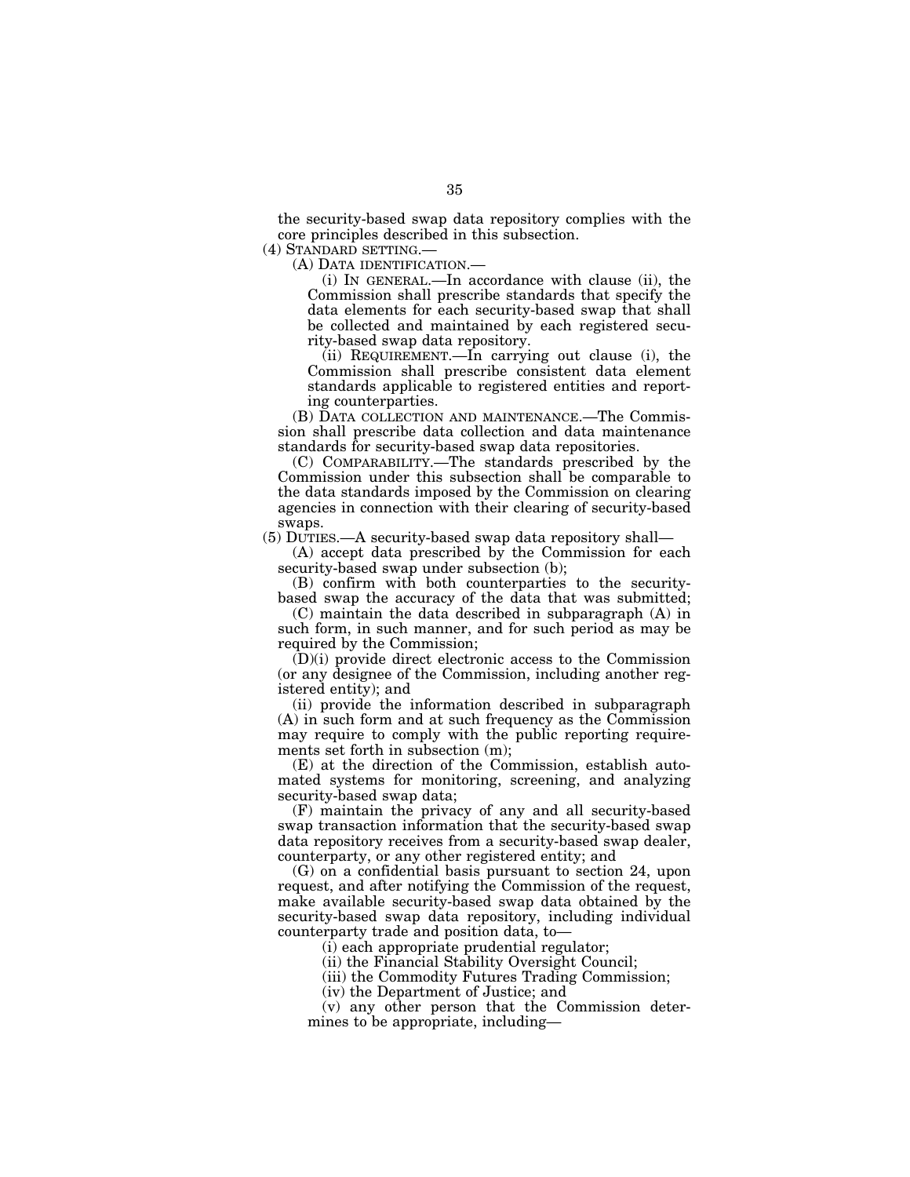the security-based swap data repository complies with the core principles described in this subsection.

(4) STANDARD SETTING.—

(A) DATA IDENTIFICATION.—

(i) IN GENERAL.—In accordance with clause (ii), the Commission shall prescribe standards that specify the data elements for each security-based swap that shall be collected and maintained by each registered security-based swap data repository.

(ii) REQUIREMENT.—In carrying out clause (i), the Commission shall prescribe consistent data element standards applicable to registered entities and reporting counterparties.

(B) DATA COLLECTION AND MAINTENANCE.—The Commission shall prescribe data collection and data maintenance standards for security-based swap data repositories.

(C) COMPARABILITY.—The standards prescribed by the Commission under this subsection shall be comparable to the data standards imposed by the Commission on clearing agencies in connection with their clearing of security-based swaps.

(5) DUTIES.—A security-based swap data repository shall—

(A) accept data prescribed by the Commission for each security-based swap under subsection (b);

(B) confirm with both counterparties to the securitybased swap the accuracy of the data that was submitted;

(C) maintain the data described in subparagraph (A) in such form, in such manner, and for such period as may be required by the Commission;

(D)(i) provide direct electronic access to the Commission (or any designee of the Commission, including another registered entity); and

(ii) provide the information described in subparagraph (A) in such form and at such frequency as the Commission may require to comply with the public reporting requirements set forth in subsection (m);

(E) at the direction of the Commission, establish automated systems for monitoring, screening, and analyzing security-based swap data;

(F) maintain the privacy of any and all security-based swap transaction information that the security-based swap data repository receives from a security-based swap dealer, counterparty, or any other registered entity; and

(G) on a confidential basis pursuant to section 24, upon request, and after notifying the Commission of the request, make available security-based swap data obtained by the security-based swap data repository, including individual counterparty trade and position data, to—

(i) each appropriate prudential regulator;

(ii) the Financial Stability Oversight Council;

(iii) the Commodity Futures Trading Commission;

(iv) the Department of Justice; and

(v) any other person that the Commission determines to be appropriate, including—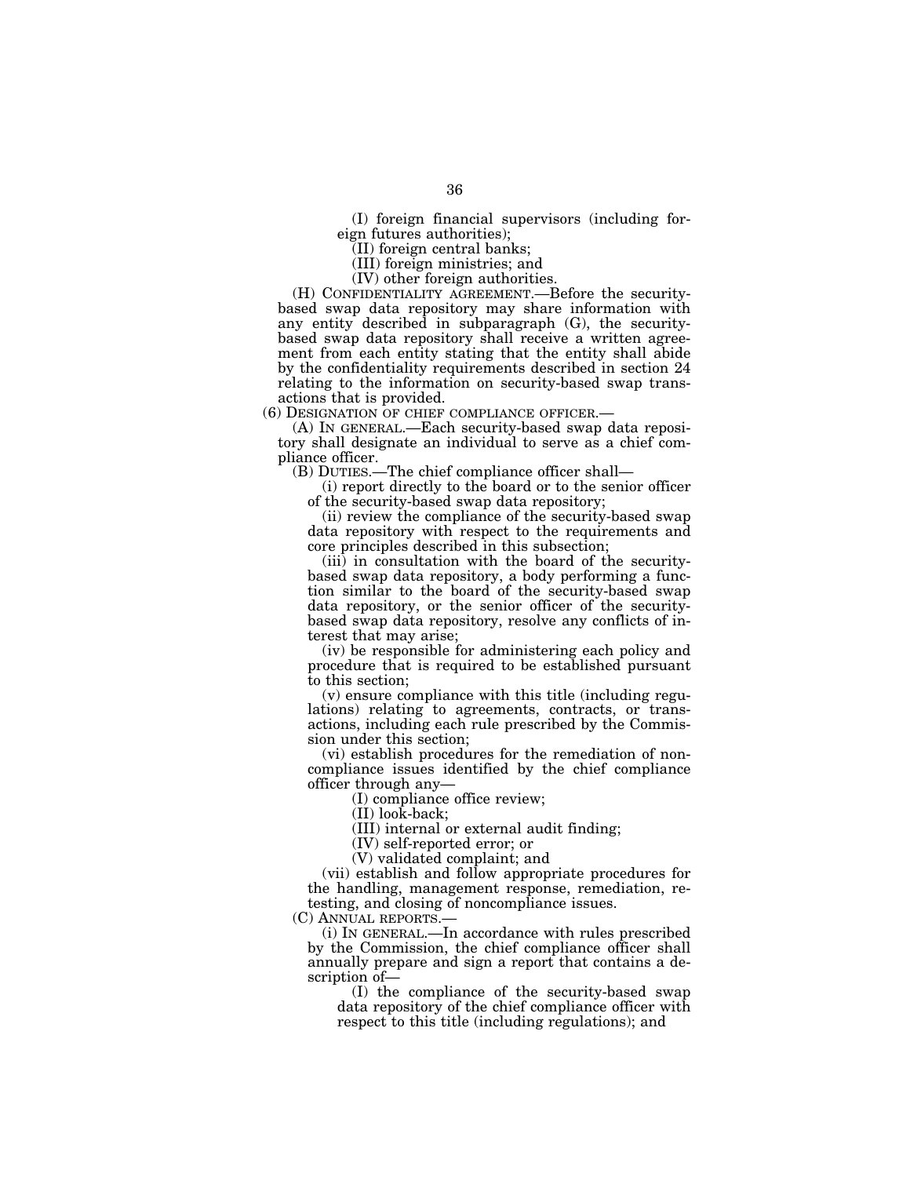(I) foreign financial supervisors (including foreign futures authorities);

(II) foreign central banks;

(III) foreign ministries; and

(IV) other foreign authorities.

(H) CONFIDENTIALITY AGREEMENT.—Before the securitybased swap data repository may share information with any entity described in subparagraph (G), the securitybased swap data repository shall receive a written agreement from each entity stating that the entity shall abide by the confidentiality requirements described in section 24 relating to the information on security-based swap transactions that is provided.

(6) DESIGNATION OF CHIEF COMPLIANCE OFFICER.—

(A) IN GENERAL.—Each security-based swap data repository shall designate an individual to serve as a chief compliance officer.

(B) DUTIES.—The chief compliance officer shall—

(i) report directly to the board or to the senior officer of the security-based swap data repository;

(ii) review the compliance of the security-based swap data repository with respect to the requirements and core principles described in this subsection;

(iii) in consultation with the board of the securitybased swap data repository, a body performing a function similar to the board of the security-based swap data repository, or the senior officer of the securitybased swap data repository, resolve any conflicts of interest that may arise;

(iv) be responsible for administering each policy and procedure that is required to be established pursuant to this section;

(v) ensure compliance with this title (including regulations) relating to agreements, contracts, or transactions, including each rule prescribed by the Commission under this section;

(vi) establish procedures for the remediation of noncompliance issues identified by the chief compliance officer through any—

(I) compliance office review;

(II) look-back;

(III) internal or external audit finding;

(IV) self-reported error; or

(V) validated complaint; and

(vii) establish and follow appropriate procedures for the handling, management response, remediation, retesting, and closing of noncompliance issues.

(C) ANNUAL REPORTS.—

(i) IN GENERAL.—In accordance with rules prescribed by the Commission, the chief compliance officer shall annually prepare and sign a report that contains a description of—

(I) the compliance of the security-based swap data repository of the chief compliance officer with respect to this title (including regulations); and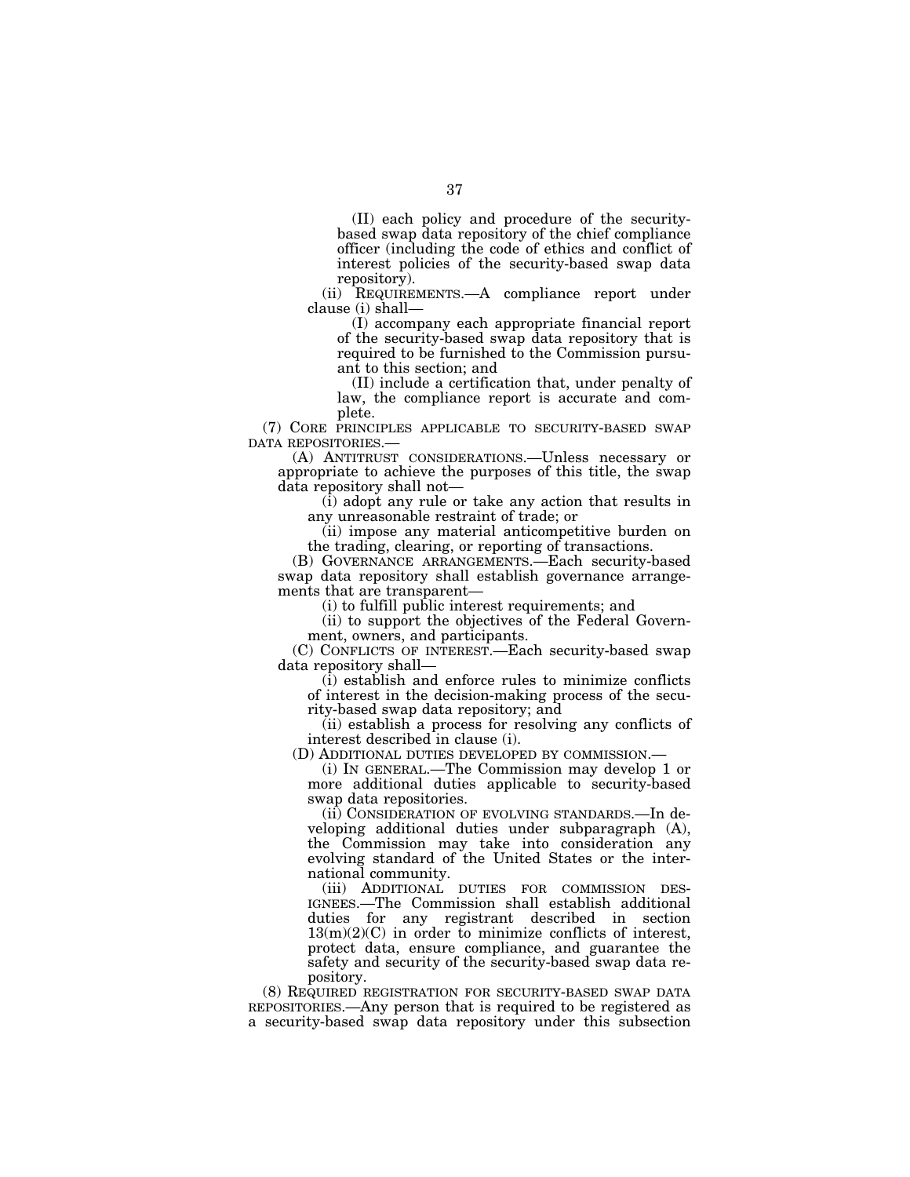(II) each policy and procedure of the securitybased swap data repository of the chief compliance officer (including the code of ethics and conflict of interest policies of the security-based swap data repository).

(ii) REQUIREMENTS.—A compliance report under clause (i) shall—

(I) accompany each appropriate financial report of the security-based swap data repository that is required to be furnished to the Commission pursuant to this section; and

(II) include a certification that, under penalty of law, the compliance report is accurate and complete.

(7) CORE PRINCIPLES APPLICABLE TO SECURITY-BASED SWAP DATA REPOSITORIES.—

(A) ANTITRUST CONSIDERATIONS.—Unless necessary or appropriate to achieve the purposes of this title, the swap data repository shall not—

(i) adopt any rule or take any action that results in any unreasonable restraint of trade; or

(ii) impose any material anticompetitive burden on the trading, clearing, or reporting of transactions.

(B) GOVERNANCE ARRANGEMENTS.—Each security-based swap data repository shall establish governance arrangements that are transparent—

(i) to fulfill public interest requirements; and

(ii) to support the objectives of the Federal Government, owners, and participants.

(C) CONFLICTS OF INTEREST.—Each security-based swap data repository shall—

(i) establish and enforce rules to minimize conflicts of interest in the decision-making process of the security-based swap data repository; and

(ii) establish a process for resolving any conflicts of

interest described in clause (i).<br>(D) ADDITIONAL DUTIES DEVELOPED BY COMMISSION.—

 $(i)$  In GENERAL.—The Commission may develop 1 or more additional duties applicable to security-based swap data repositories.

(ii) CONSIDERATION OF EVOLVING STANDARDS.—In developing additional duties under subparagraph (A), the Commission may take into consideration any evolving standard of the United States or the international community.

(iii) ADDITIONAL DUTIES FOR COMMISSION DES-IGNEES.—The Commission shall establish additional duties for any registrant described in section  $13(m)(2)(C)$  in order to minimize conflicts of interest, protect data, ensure compliance, and guarantee the safety and security of the security-based swap data repository.

(8) REQUIRED REGISTRATION FOR SECURITY-BASED SWAP DATA REPOSITORIES.—Any person that is required to be registered as a security-based swap data repository under this subsection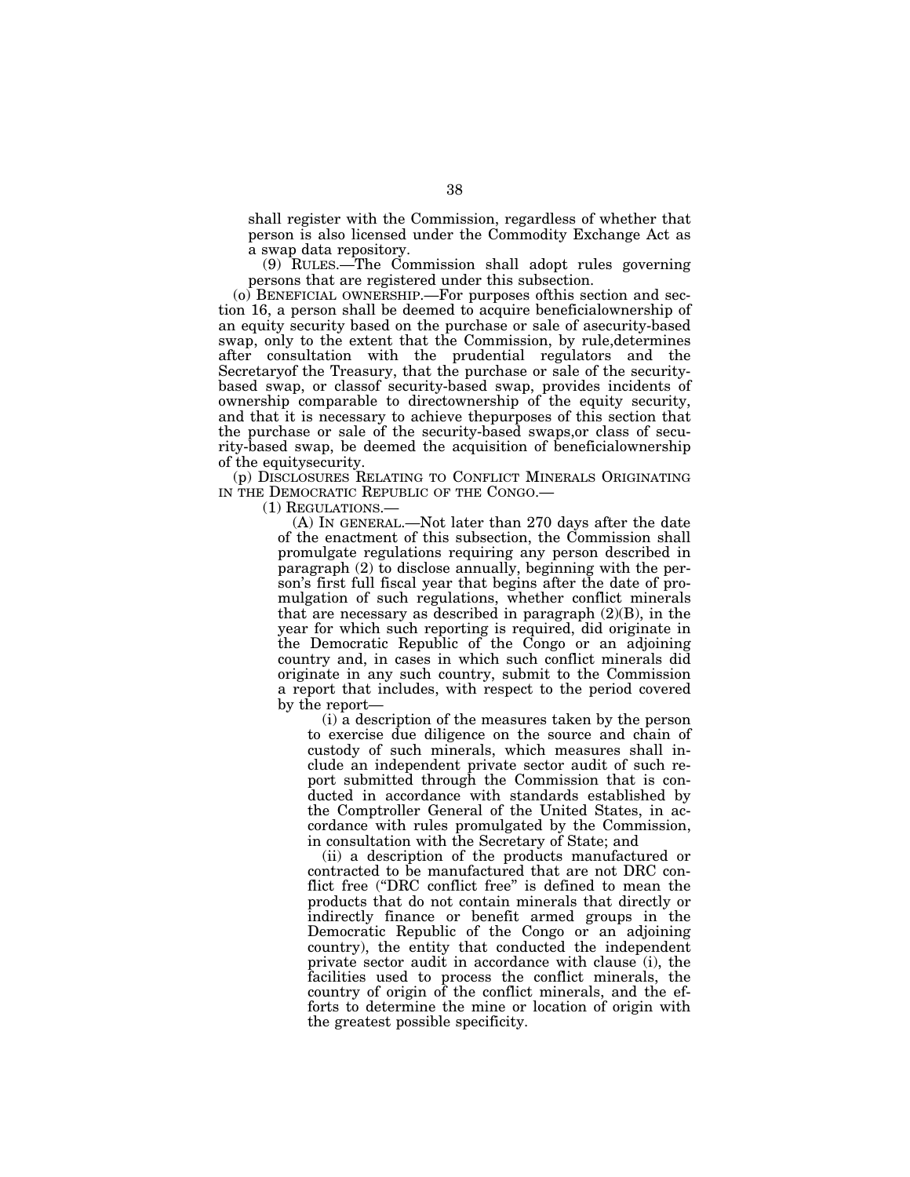shall register with the Commission, regardless of whether that person is also licensed under the Commodity Exchange Act as a swap data repository.

(9) RULES.—The Commission shall adopt rules governing persons that are registered under this subsection.

(o) BENEFICIAL OWNERSHIP.—For purposes ofthis section and section 16, a person shall be deemed to acquire beneficialownership of an equity security based on the purchase or sale of asecurity-based swap, only to the extent that the Commission, by rule,determines after consultation with the prudential regulators and the Secretaryof the Treasury, that the purchase or sale of the securitybased swap, or classof security-based swap, provides incidents of ownership comparable to directownership of the equity security, and that it is necessary to achieve thepurposes of this section that the purchase or sale of the security-based swaps,or class of security-based swap, be deemed the acquisition of beneficialownership of the equitysecurity.

(p) DISCLOSURES RELATING TO CONFLICT MINERALS ORIGINATING IN THE DEMOCRATIC REPUBLIC OF THE CONGO.—

(1) REGULATIONS.—

(A) IN GENERAL.—Not later than 270 days after the date of the enactment of this subsection, the Commission shall promulgate regulations requiring any person described in paragraph (2) to disclose annually, beginning with the person's first full fiscal year that begins after the date of promulgation of such regulations, whether conflict minerals that are necessary as described in paragraph (2)(B), in the year for which such reporting is required, did originate in the Democratic Republic of the Congo or an adjoining country and, in cases in which such conflict minerals did originate in any such country, submit to the Commission a report that includes, with respect to the period covered by the report—

(i) a description of the measures taken by the person to exercise due diligence on the source and chain of custody of such minerals, which measures shall include an independent private sector audit of such report submitted through the Commission that is conducted in accordance with standards established by the Comptroller General of the United States, in accordance with rules promulgated by the Commission, in consultation with the Secretary of State; and

(ii) a description of the products manufactured or contracted to be manufactured that are not DRC conflict free (''DRC conflict free'' is defined to mean the products that do not contain minerals that directly or indirectly finance or benefit armed groups in the Democratic Republic of the Congo or an adjoining country), the entity that conducted the independent private sector audit in accordance with clause (i), the facilities used to process the conflict minerals, the country of origin of the conflict minerals, and the efforts to determine the mine or location of origin with the greatest possible specificity.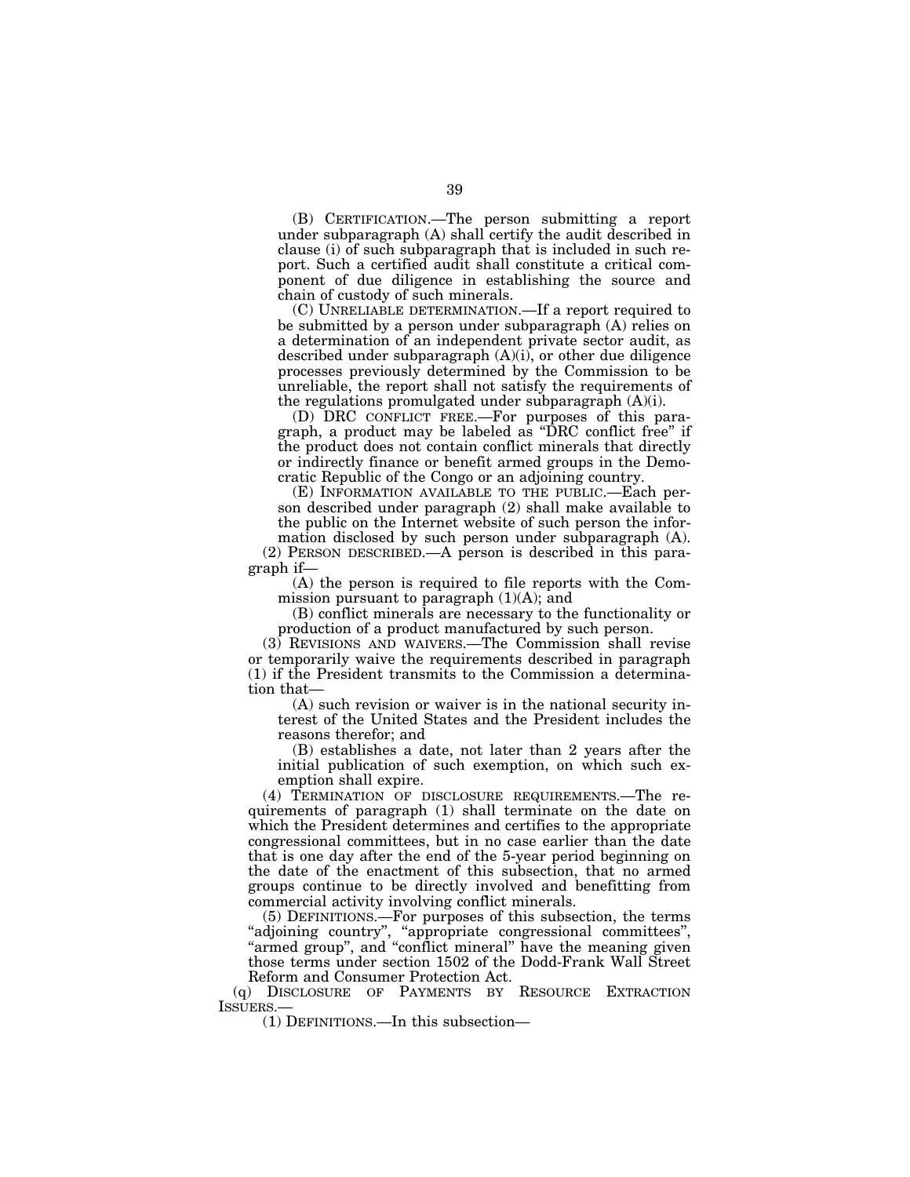(B) CERTIFICATION.—The person submitting a report under subparagraph (A) shall certify the audit described in clause (i) of such subparagraph that is included in such report. Such a certified audit shall constitute a critical component of due diligence in establishing the source and chain of custody of such minerals.

(C) UNRELIABLE DETERMINATION.—If a report required to be submitted by a person under subparagraph (A) relies on a determination of an independent private sector audit, as described under subparagraph (A)(i), or other due diligence processes previously determined by the Commission to be unreliable, the report shall not satisfy the requirements of the regulations promulgated under subparagraph (A)(i).

(D) DRC CONFLICT FREE.—For purposes of this paragraph, a product may be labeled as ''DRC conflict free'' if the product does not contain conflict minerals that directly or indirectly finance or benefit armed groups in the Democratic Republic of the Congo or an adjoining country.

(E) INFORMATION AVAILABLE TO THE PUBLIC.—Each person described under paragraph (2) shall make available to the public on the Internet website of such person the information disclosed by such person under subparagraph (A).

(2) PERSON DESCRIBED.—A person is described in this paragraph if—

(A) the person is required to file reports with the Commission pursuant to paragraph  $(1)(A)$ ; and

(B) conflict minerals are necessary to the functionality or production of a product manufactured by such person.

(3) REVISIONS AND WAIVERS.—The Commission shall revise or temporarily waive the requirements described in paragraph (1) if the President transmits to the Commission a determination that—

(A) such revision or waiver is in the national security interest of the United States and the President includes the reasons therefor; and

(B) establishes a date, not later than 2 years after the initial publication of such exemption, on which such exemption shall expire.

(4) TERMINATION OF DISCLOSURE REQUIREMENTS.—The requirements of paragraph (1) shall terminate on the date on which the President determines and certifies to the appropriate congressional committees, but in no case earlier than the date that is one day after the end of the 5-year period beginning on the date of the enactment of this subsection, that no armed groups continue to be directly involved and benefitting from commercial activity involving conflict minerals.

(5) DEFINITIONS.—For purposes of this subsection, the terms ''adjoining country'', ''appropriate congressional committees'', "armed group", and "conflict mineral" have the meaning given those terms under section 1502 of the Dodd-Frank Wall Street Reform and Consumer Protection Act.

(q) DISCLOSURE OF PAYMENTS BY RESOURCE EXTRACTION ISSUERS.—

(1) DEFINITIONS.—In this subsection—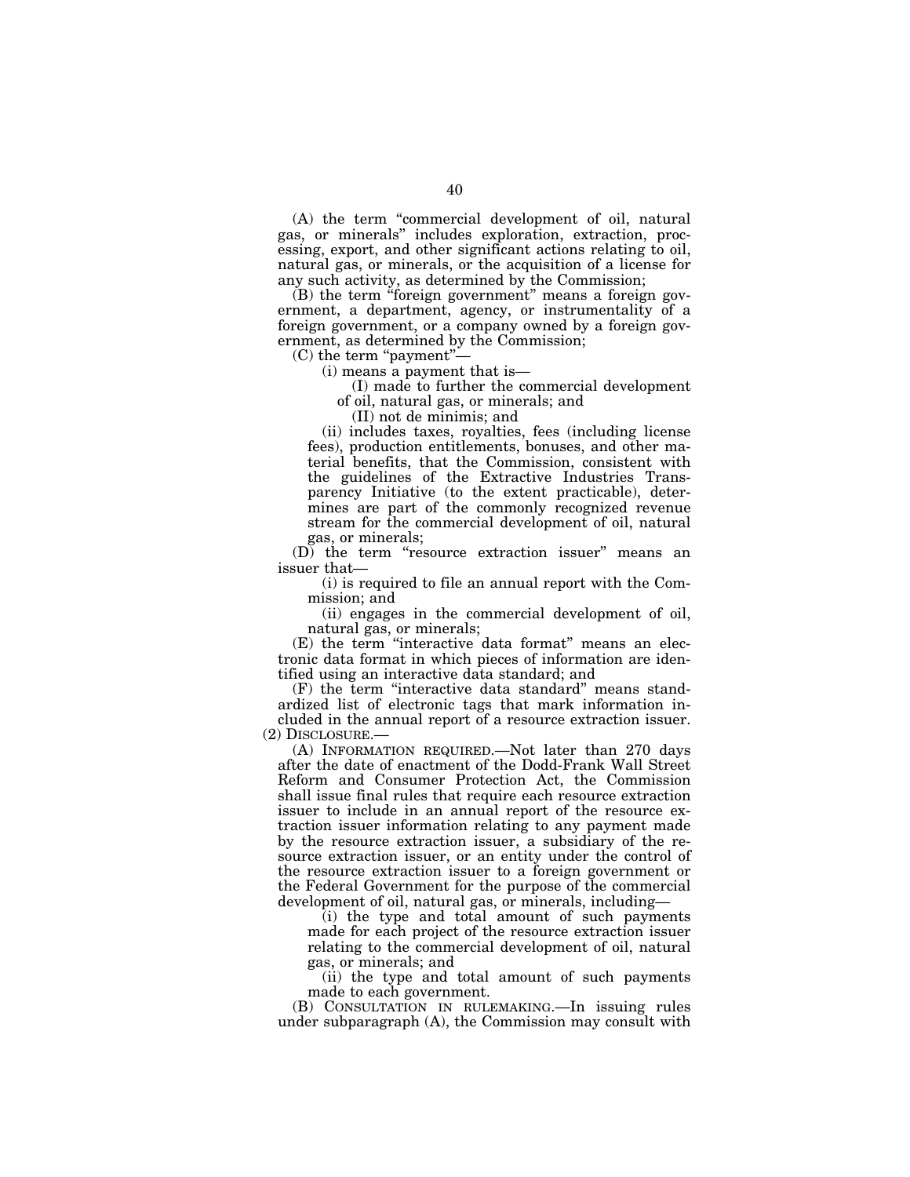(A) the term ''commercial development of oil, natural gas, or minerals'' includes exploration, extraction, processing, export, and other significant actions relating to oil, natural gas, or minerals, or the acquisition of a license for any such activity, as determined by the Commission;

(B) the term ''foreign government'' means a foreign government, a department, agency, or instrumentality of a foreign government, or a company owned by a foreign government, as determined by the Commission;

 $(C)$  the term "payment"-

(i) means a payment that is—

(I) made to further the commercial development

of oil, natural gas, or minerals; and

(II) not de minimis; and

(ii) includes taxes, royalties, fees (including license fees), production entitlements, bonuses, and other material benefits, that the Commission, consistent with the guidelines of the Extractive Industries Transparency Initiative (to the extent practicable), determines are part of the commonly recognized revenue stream for the commercial development of oil, natural gas, or minerals;

(D) the term "resource extraction issuer" means an issuer that—

(i) is required to file an annual report with the Commission; and

(ii) engages in the commercial development of oil, natural gas, or minerals;

(E) the term ''interactive data format'' means an electronic data format in which pieces of information are identified using an interactive data standard; and

(F) the term ''interactive data standard'' means standardized list of electronic tags that mark information included in the annual report of a resource extraction issuer. (2) DISCLOSURE.—

(A) INFORMATION REQUIRED.—Not later than 270 days after the date of enactment of the Dodd-Frank Wall Street Reform and Consumer Protection Act, the Commission shall issue final rules that require each resource extraction issuer to include in an annual report of the resource extraction issuer information relating to any payment made by the resource extraction issuer, a subsidiary of the resource extraction issuer, or an entity under the control of the resource extraction issuer to a foreign government or the Federal Government for the purpose of the commercial development of oil, natural gas, or minerals, including—

(i) the type and total amount of such payments made for each project of the resource extraction issuer relating to the commercial development of oil, natural gas, or minerals; and

(ii) the type and total amount of such payments made to each government.

(B) CONSULTATION IN RULEMAKING.—In issuing rules under subparagraph (A), the Commission may consult with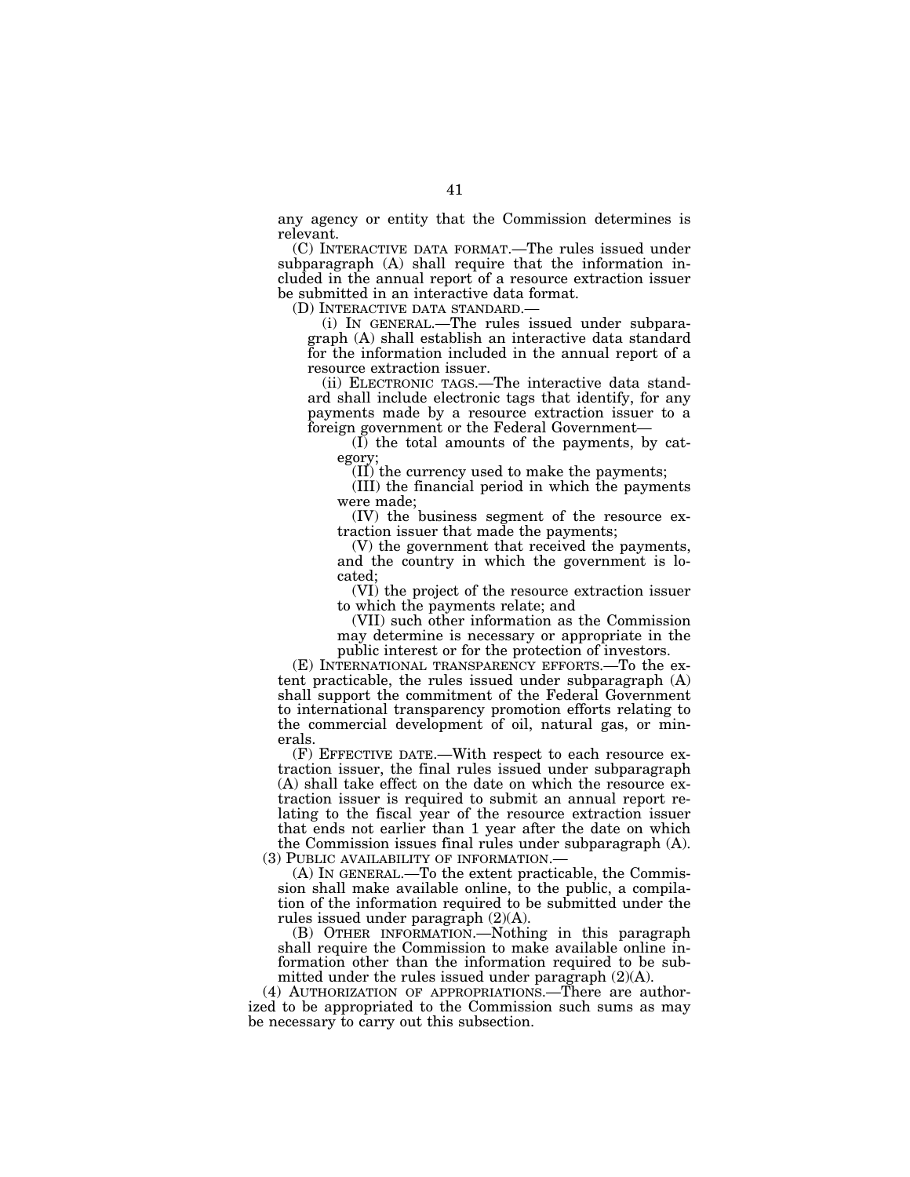any agency or entity that the Commission determines is relevant.

(C) INTERACTIVE DATA FORMAT.—The rules issued under subparagraph (A) shall require that the information included in the annual report of a resource extraction issuer be submitted in an interactive data format.

(D) INTERACTIVE DATA STANDARD.— (i) IN GENERAL.—The rules issued under subparagraph (A) shall establish an interactive data standard for the information included in the annual report of a resource extraction issuer.

(ii) ELECTRONIC TAGS.—The interactive data standard shall include electronic tags that identify, for any payments made by a resource extraction issuer to a foreign government or the Federal Government—

(I) the total amounts of the payments, by category;

(II) the currency used to make the payments;

(III) the financial period in which the payments were made;

(IV) the business segment of the resource extraction issuer that made the payments;

(V) the government that received the payments, and the country in which the government is located;

(VI) the project of the resource extraction issuer to which the payments relate; and

(VII) such other information as the Commission may determine is necessary or appropriate in the public interest or for the protection of investors.

(E) INTERNATIONAL TRANSPARENCY EFFORTS.—To the extent practicable, the rules issued under subparagraph (A) shall support the commitment of the Federal Government to international transparency promotion efforts relating to the commercial development of oil, natural gas, or minerals.

(F) EFFECTIVE DATE.—With respect to each resource extraction issuer, the final rules issued under subparagraph (A) shall take effect on the date on which the resource extraction issuer is required to submit an annual report relating to the fiscal year of the resource extraction issuer that ends not earlier than 1 year after the date on which the Commission issues final rules under subparagraph (A). (3) PUBLIC AVAILABILITY OF INFORMATION.—

(A) IN GENERAL.—To the extent practicable, the Commission shall make available online, to the public, a compilation of the information required to be submitted under the rules issued under paragraph (2)(A).

(B) OTHER INFORMATION.—Nothing in this paragraph shall require the Commission to make available online information other than the information required to be submitted under the rules issued under paragraph (2)(A).

(4) AUTHORIZATION OF APPROPRIATIONS.—There are authorized to be appropriated to the Commission such sums as may be necessary to carry out this subsection.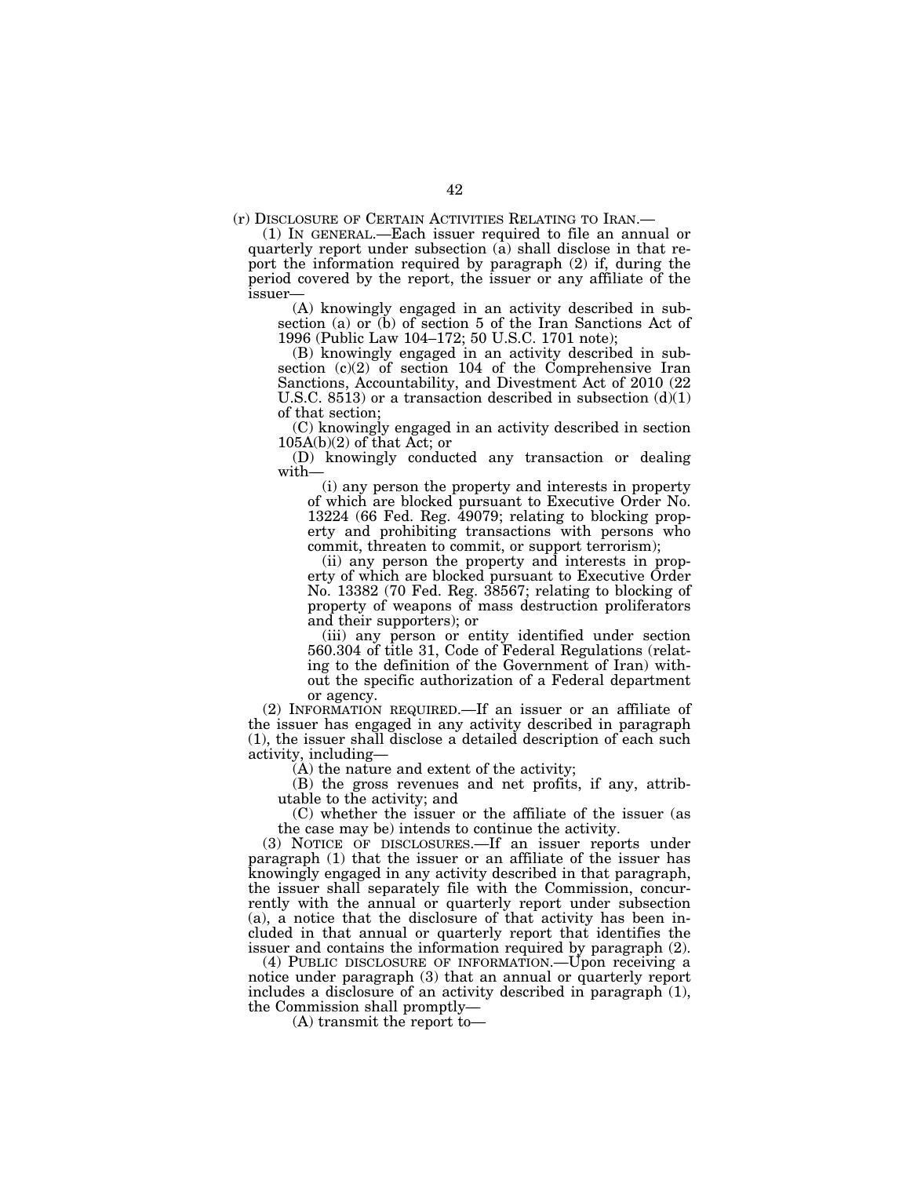(r) DISCLOSURE OF CERTAIN ACTIVITIES RELATING TO IRAN.— (1) IN GENERAL.—Each issuer required to file an annual or quarterly report under subsection (a) shall disclose in that report the information required by paragraph (2) if, during the period covered by the report, the issuer or any affiliate of the issuer—

(A) knowingly engaged in an activity described in subsection (a) or (b) of section 5 of the Iran Sanctions Act of 1996 (Public Law 104–172; 50 U.S.C. 1701 note);

(B) knowingly engaged in an activity described in subsection (c)(2) of section 104 of the Comprehensive Iran Sanctions, Accountability, and Divestment Act of 2010 (22 U.S.C. 8513) or a transaction described in subsection  $(d)(1)$ of that section;

(C) knowingly engaged in an activity described in section  $105A(b)(2)$  of that Act; or

(D) knowingly conducted any transaction or dealing with—

(i) any person the property and interests in property of which are blocked pursuant to Executive Order No. 13224 (66 Fed. Reg. 49079; relating to blocking property and prohibiting transactions with persons who commit, threaten to commit, or support terrorism);

(ii) any person the property and interests in property of which are blocked pursuant to Executive Order No. 13382 (70 Fed. Reg. 38567; relating to blocking of property of weapons of mass destruction proliferators and their supporters); or

(iii) any person or entity identified under section 560.304 of title 31, Code of Federal Regulations (relating to the definition of the Government of Iran) without the specific authorization of a Federal department or agency.

(2) INFORMATION REQUIRED.—If an issuer or an affiliate of the issuer has engaged in any activity described in paragraph (1), the issuer shall disclose a detailed description of each such activity, including—

(A) the nature and extent of the activity;

(B) the gross revenues and net profits, if any, attributable to the activity; and

(C) whether the issuer or the affiliate of the issuer (as the case may be) intends to continue the activity.

(3) NOTICE OF DISCLOSURES.—If an issuer reports under paragraph (1) that the issuer or an affiliate of the issuer has knowingly engaged in any activity described in that paragraph, the issuer shall separately file with the Commission, concurrently with the annual or quarterly report under subsection (a), a notice that the disclosure of that activity has been included in that annual or quarterly report that identifies the issuer and contains the information required by paragraph (2).

(4) PUBLIC DISCLOSURE OF INFORMATION.—Upon receiving a notice under paragraph (3) that an annual or quarterly report includes a disclosure of an activity described in paragraph (1), the Commission shall promptly—

(A) transmit the report to—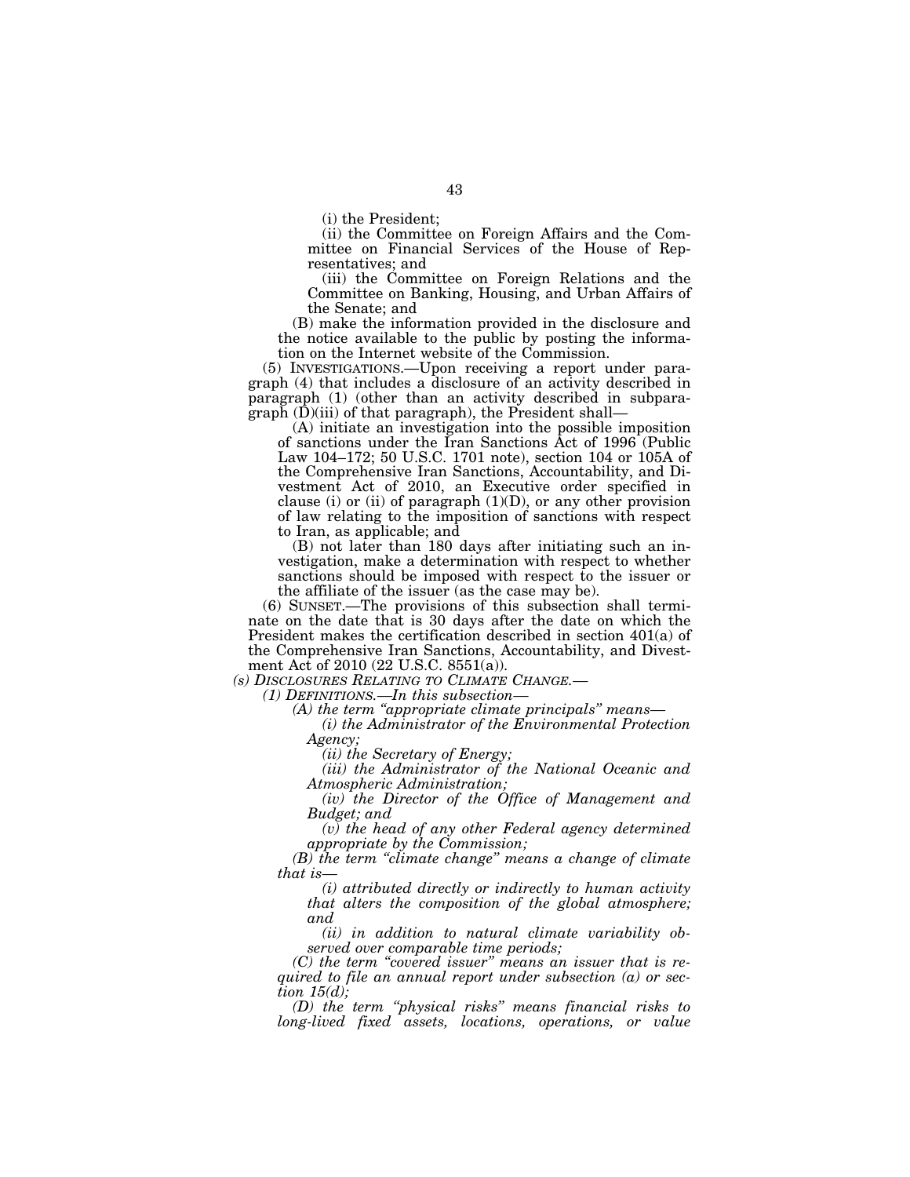(i) the President;

(ii) the Committee on Foreign Affairs and the Committee on Financial Services of the House of Representatives; and

(iii) the Committee on Foreign Relations and the Committee on Banking, Housing, and Urban Affairs of the Senate; and

(B) make the information provided in the disclosure and the notice available to the public by posting the information on the Internet website of the Commission.

(5) INVESTIGATIONS.—Upon receiving a report under paragraph (4) that includes a disclosure of an activity described in paragraph (1) (other than an activity described in subparagraph (D)(iii) of that paragraph), the President shall—

(A) initiate an investigation into the possible imposition of sanctions under the Iran Sanctions Act of 1996 (Public Law 104–172; 50 U.S.C. 1701 note), section 104 or 105A of the Comprehensive Iran Sanctions, Accountability, and Divestment Act of 2010, an Executive order specified in clause (i) or (ii) of paragraph (1)(D), or any other provision of law relating to the imposition of sanctions with respect to Iran, as applicable; and

(B) not later than 180 days after initiating such an investigation, make a determination with respect to whether sanctions should be imposed with respect to the issuer or the affiliate of the issuer (as the case may be).

(6) SUNSET.—The provisions of this subsection shall terminate on the date that is 30 days after the date on which the President makes the certification described in section 401(a) of the Comprehensive Iran Sanctions, Accountability, and Divestment Act of 2010 (22 U.S.C. 8551(a)).

*(s) DISCLOSURES RELATING TO CLIMATE CHANGE.—* 

*(1) DEFINITIONS.—In this subsection—* 

*(A) the term ''appropriate climate principals'' means—* 

*(i) the Administrator of the Environmental Protection Agency;* 

*(ii) the Secretary of Energy;* 

*(iii) the Administrator of the National Oceanic and Atmospheric Administration;* 

*(iv) the Director of the Office of Management and Budget; and* 

*(v) the head of any other Federal agency determined appropriate by the Commission;* 

*(B) the term ''climate change'' means a change of climate that is—* 

*(i) attributed directly or indirectly to human activity that alters the composition of the global atmosphere; and* 

*(ii) in addition to natural climate variability observed over comparable time periods;* 

*(C) the term ''covered issuer'' means an issuer that is required to file an annual report under subsection (a) or section 15(d);* 

*(D) the term ''physical risks'' means financial risks to long-lived fixed assets, locations, operations, or value*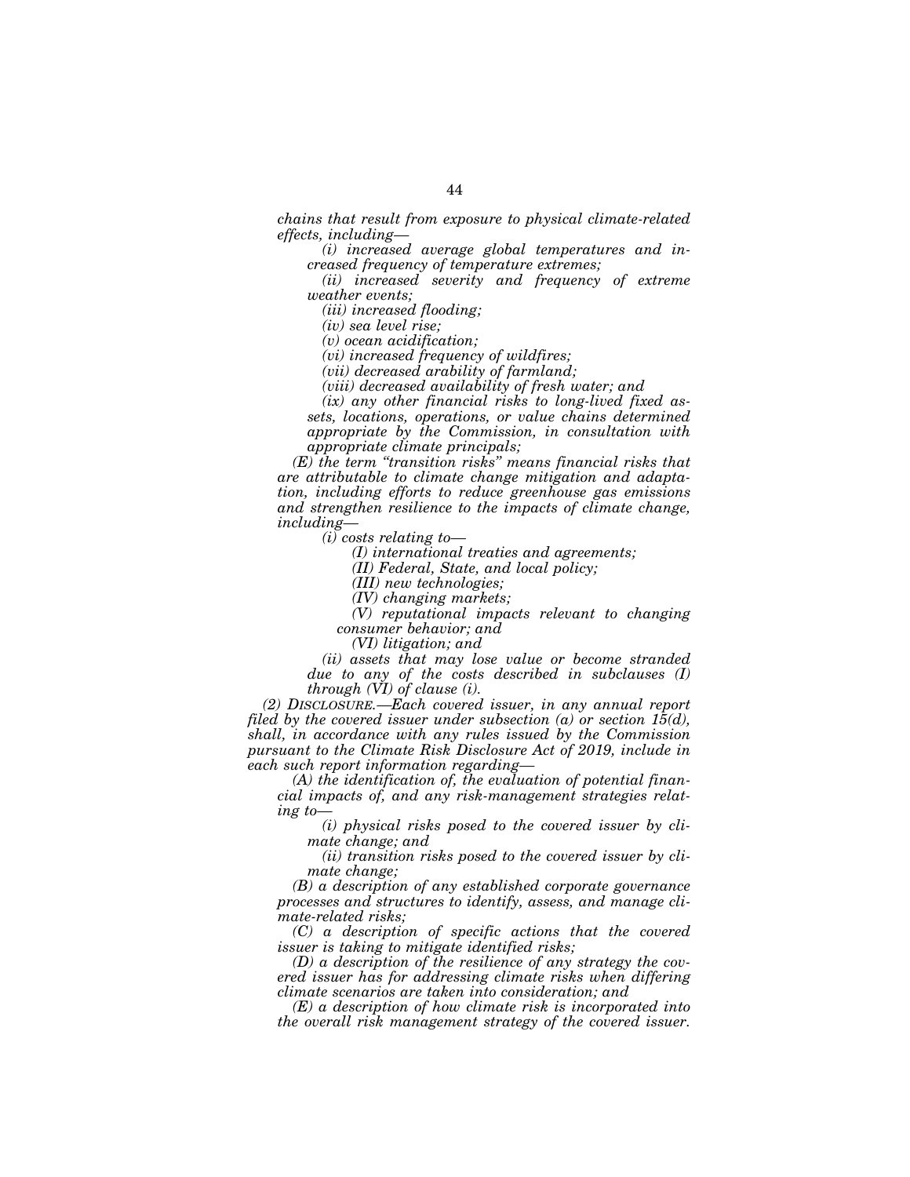*chains that result from exposure to physical climate-related effects, including—* 

*(i) increased average global temperatures and increased frequency of temperature extremes;* 

*(ii) increased severity and frequency of extreme weather events;* 

*(iii) increased flooding;* 

*(iv) sea level rise;* 

*(v) ocean acidification;* 

*(vi) increased frequency of wildfires;* 

*(vii) decreased arability of farmland;* 

*(viii) decreased availability of fresh water; and* 

*(ix) any other financial risks to long-lived fixed assets, locations, operations, or value chains determined appropriate by the Commission, in consultation with appropriate climate principals;* 

*(E) the term ''transition risks'' means financial risks that are attributable to climate change mitigation and adaptation, including efforts to reduce greenhouse gas emissions and strengthen resilience to the impacts of climate change, including—* 

*(i) costs relating to—* 

*(I) international treaties and agreements;* 

*(II) Federal, State, and local policy;* 

*(III) new technologies;* 

*(IV) changing markets;* 

*(V) reputational impacts relevant to changing consumer behavior; and* 

*(VI) litigation; and* 

*(ii) assets that may lose value or become stranded due to any of the costs described in subclauses (I) through (VI) of clause (i).* 

*(2) DISCLOSURE.—Each covered issuer, in any annual report filed by the covered issuer under subsection (a) or section 15(d), shall, in accordance with any rules issued by the Commission pursuant to the Climate Risk Disclosure Act of 2019, include in each such report information regarding—* 

*(A) the identification of, the evaluation of potential financial impacts of, and any risk-management strategies relating to—* 

*(i) physical risks posed to the covered issuer by climate change; and* 

*(ii) transition risks posed to the covered issuer by climate change;* 

*(B) a description of any established corporate governance processes and structures to identify, assess, and manage climate-related risks;* 

*(C) a description of specific actions that the covered issuer is taking to mitigate identified risks;* 

*(D) a description of the resilience of any strategy the covered issuer has for addressing climate risks when differing climate scenarios are taken into consideration; and* 

*(E) a description of how climate risk is incorporated into the overall risk management strategy of the covered issuer.*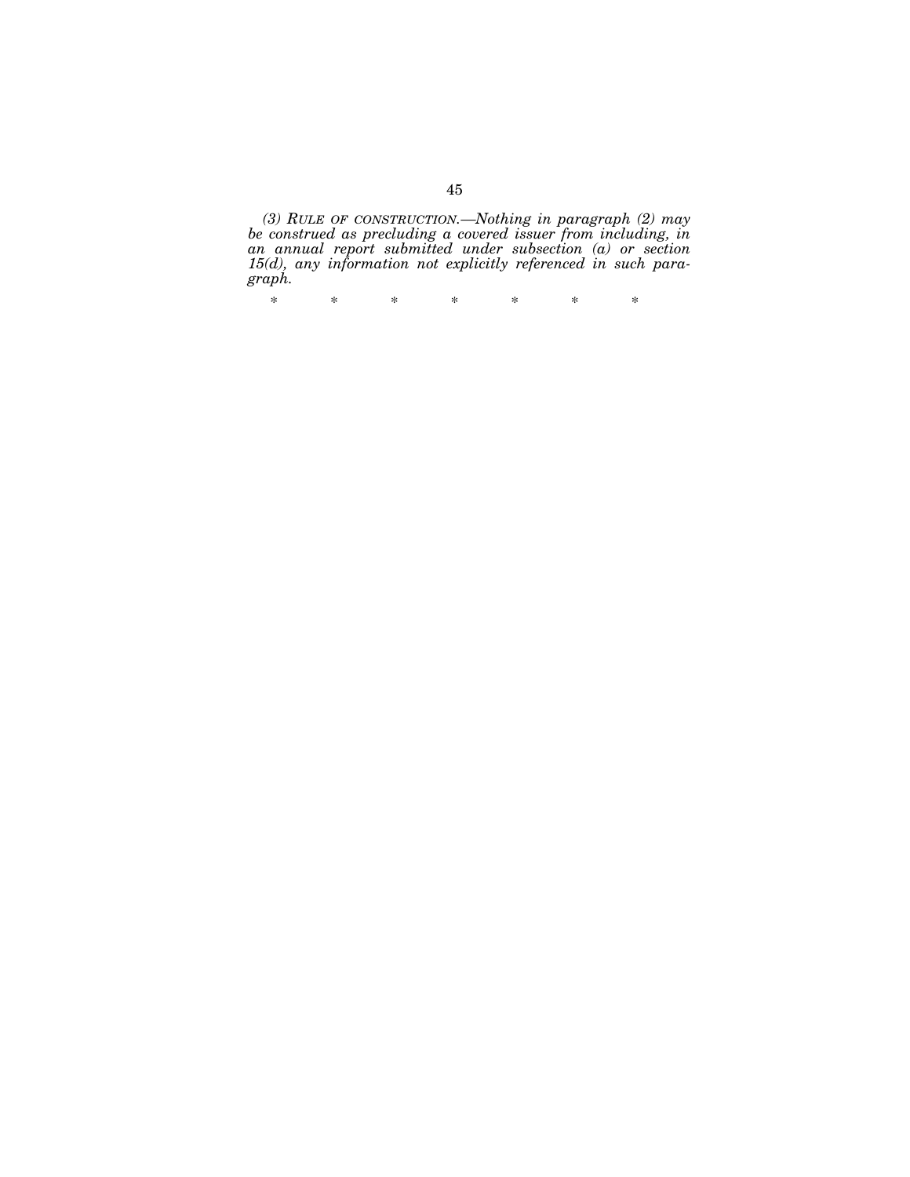*(3) RULE OF CONSTRUCTION.—Nothing in paragraph (2) may be construed as precluding a covered issuer from including, in an annual report submitted under subsection (a) or section 15(d), any information not explicitly referenced in such paragraph.* 

\* \* \* \* \* \* \*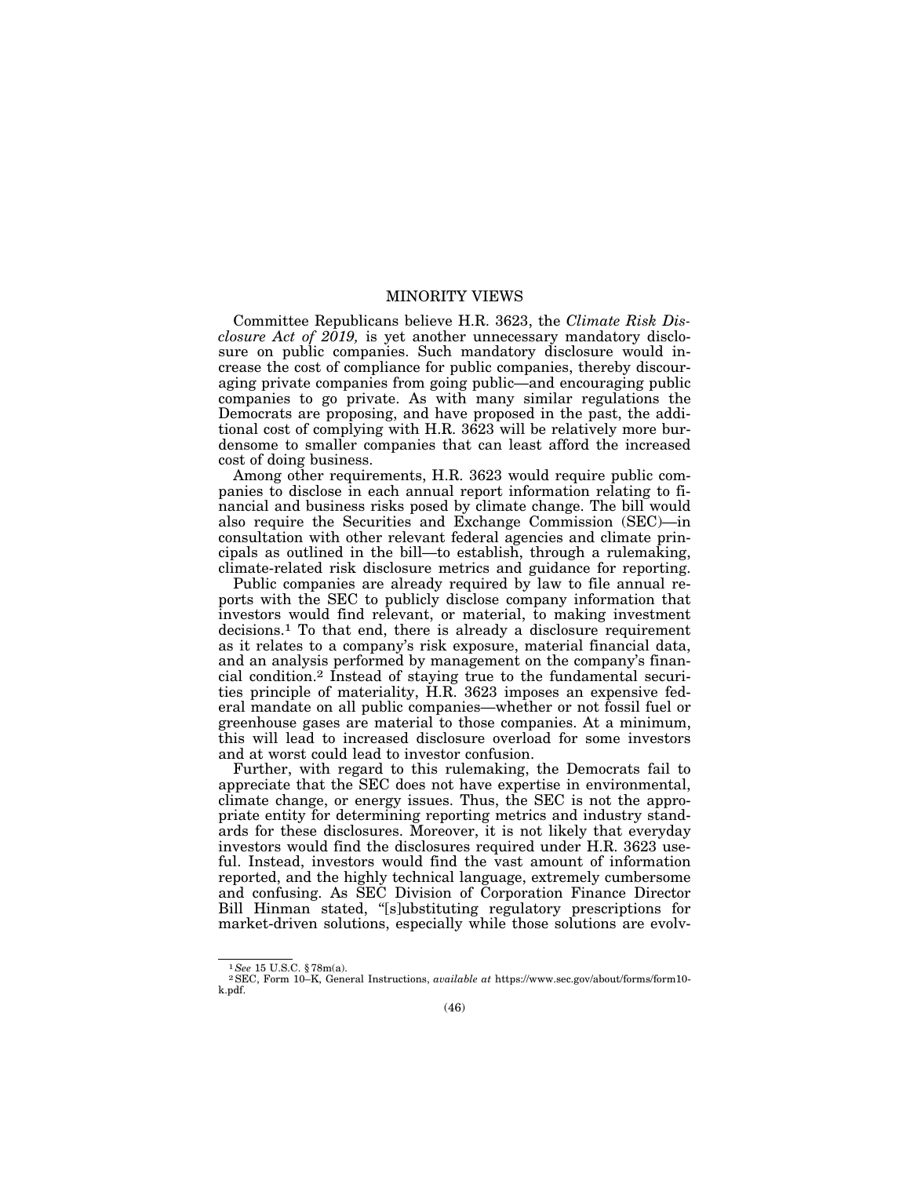# MINORITY VIEWS

Committee Republicans believe H.R. 3623, the *Climate Risk Disclosure Act of 2019,* is yet another unnecessary mandatory disclosure on public companies. Such mandatory disclosure would increase the cost of compliance for public companies, thereby discouraging private companies from going public—and encouraging public companies to go private. As with many similar regulations the Democrats are proposing, and have proposed in the past, the additional cost of complying with H.R. 3623 will be relatively more burdensome to smaller companies that can least afford the increased cost of doing business.

Among other requirements, H.R. 3623 would require public companies to disclose in each annual report information relating to financial and business risks posed by climate change. The bill would also require the Securities and Exchange Commission (SEC)—in consultation with other relevant federal agencies and climate principals as outlined in the bill—to establish, through a rulemaking, climate-related risk disclosure metrics and guidance for reporting.

Public companies are already required by law to file annual reports with the SEC to publicly disclose company information that investors would find relevant, or material, to making investment decisions.1 To that end, there is already a disclosure requirement as it relates to a company's risk exposure, material financial data, and an analysis performed by management on the company's financial condition.2 Instead of staying true to the fundamental securities principle of materiality, H.R. 3623 imposes an expensive federal mandate on all public companies—whether or not fossil fuel or greenhouse gases are material to those companies. At a minimum, this will lead to increased disclosure overload for some investors and at worst could lead to investor confusion.

Further, with regard to this rulemaking, the Democrats fail to appreciate that the SEC does not have expertise in environmental, climate change, or energy issues. Thus, the SEC is not the appropriate entity for determining reporting metrics and industry standards for these disclosures. Moreover, it is not likely that everyday investors would find the disclosures required under H.R. 3623 useful. Instead, investors would find the vast amount of information reported, and the highly technical language, extremely cumbersome and confusing. As SEC Division of Corporation Finance Director Bill Hinman stated, "[s]ubstituting regulatory prescriptions for market-driven solutions, especially while those solutions are evolv-

<sup>1</sup>*See* 15 U.S.C. § 78m(a). 2SEC, Form 10–K, General Instructions, *available at* https://www.sec.gov/about/forms/form10 k.pdf.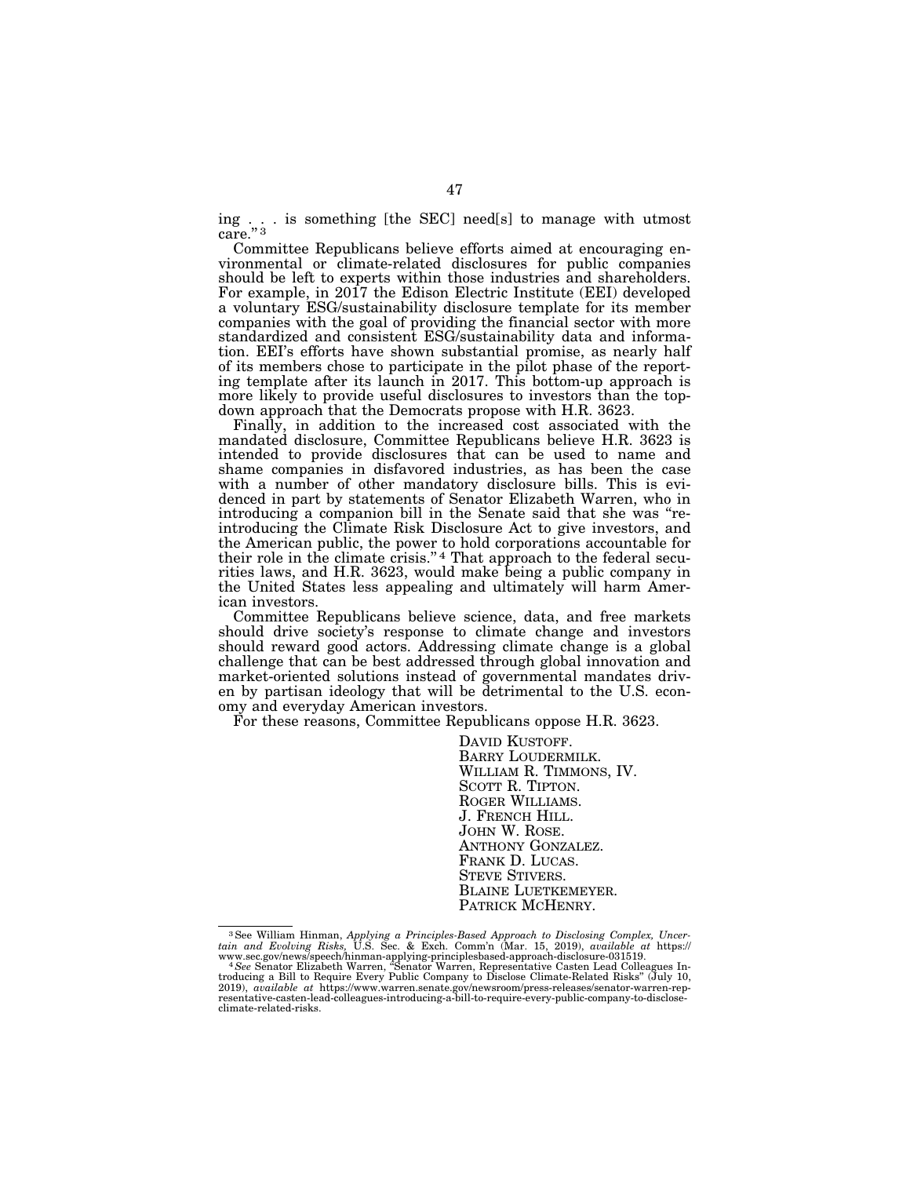ing . . . is something [the SEC] need[s] to manage with utmost care.'' 3

Committee Republicans believe efforts aimed at encouraging environmental or climate-related disclosures for public companies should be left to experts within those industries and shareholders. For example, in 2017 the Edison Electric Institute (EEI) developed a voluntary ESG/sustainability disclosure template for its member companies with the goal of providing the financial sector with more standardized and consistent ESG/sustainability data and information. EEI's efforts have shown substantial promise, as nearly half of its members chose to participate in the pilot phase of the reporting template after its launch in 2017. This bottom-up approach is more likely to provide useful disclosures to investors than the topdown approach that the Democrats propose with H.R. 3623.

Finally, in addition to the increased cost associated with the mandated disclosure, Committee Republicans believe H.R. 3623 is intended to provide disclosures that can be used to name and shame companies in disfavored industries, as has been the case with a number of other mandatory disclosure bills. This is evidenced in part by statements of Senator Elizabeth Warren, who in introducing a companion bill in the Senate said that she was ''reintroducing the Climate Risk Disclosure Act to give investors, and the American public, the power to hold corporations accountable for their role in the climate crisis."<sup>4</sup> That approach to the federal securities laws, and H.R. 3623, would make being a public company in the United States less appealing and ultimately will harm American investors.

Committee Republicans believe science, data, and free markets should drive society's response to climate change and investors should reward good actors. Addressing climate change is a global challenge that can be best addressed through global innovation and market-oriented solutions instead of governmental mandates driven by partisan ideology that will be detrimental to the U.S. economy and everyday American investors.

For these reasons, Committee Republicans oppose H.R. 3623.

DAVID KUSTOFF. BARRY LOUDERMILK. WILLIAM R. TIMMONS, IV. SCOTT R. TIPTON. ROGER WILLIAMS. J. FRENCH HILL. JOHN W. ROSE. ANTHONY GONZALEZ. FRANK D. LUCAS. STEVE STIVERS. BLAINE LUETKEMEYER. PATRICK MCHENRY.

<sup>3</sup>See William Hinman, *Applying a Principles-Based Approach to Disclosing Complex, Uncer-tain and Evolving Risks,* U.S. Sec. & Exch. Comm'n (Mar. 15, 2019), *available at* https://

www.sec.gov/news/speech/hinman-applying-principlesbased-approach-disclosure-031519.<br>4 See Senator Elizabeth Warren, "Senator Warren, Representative Casten Lead Colleagues In-<br>10 troducing a Bill to Require Every Public Com 2019), *available at* https://www.warren.senate.gov/newsroom/press-releases/senator-warren-representative-casten-lead-colleagues-introducing-a-bill-to-require-every-public-company-to-discloseclimate-related-risks.